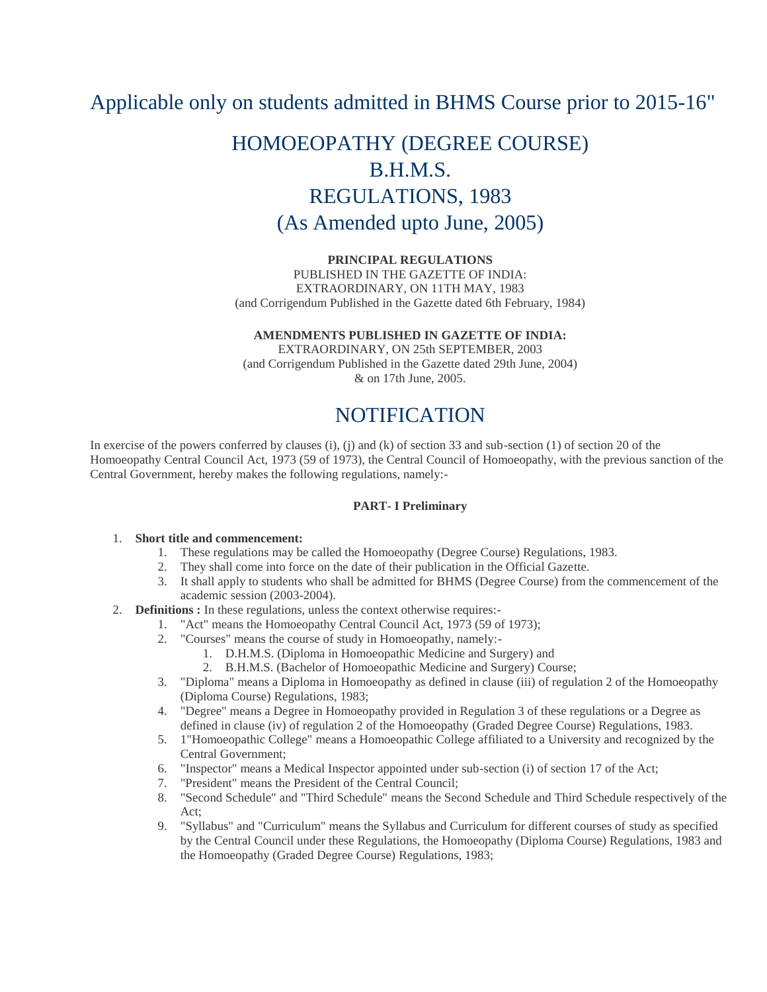# Applicable only on students admitted in BHMS Course prior to 2015-16"

# HOMOEOPATHY (DEGREE COURSE) B.H.M.S. REGULATIONS, 1983 (As Amended upto June, 2005)

#### **PRINCIPAL REGULATIONS**

PUBLISHED IN THE GAZETTE OF INDIA: EXTRAORDINARY, ON 11TH MAY, 1983 (and Corrigendum Published in the Gazette dated 6th February, 1984)

#### **AMENDMENTS PUBLISHED IN GAZETTE OF INDIA:**

EXTRAORDINARY, ON 25th SEPTEMBER, 2003 (and Corrigendum Published in the Gazette dated 29th June, 2004) & on 17th June, 2005.

# NOTIFICATION

In exercise of the powers conferred by clauses (i), (j) and (k) of section 33 and sub-section (1) of section 20 of the Homoeopathy Central Council Act, 1973 (59 of 1973), the Central Council of Homoeopathy, with the previous sanction of the Central Government, hereby makes the following regulations, namely:-

## **PART- I Preliminary**

#### 1. **Short title and commencement:**

- 1. These regulations may be called the Homoeopathy (Degree Course) Regulations, 1983.
- 2. They shall come into force on the date of their publication in the Official Gazette.
- 3. It shall apply to students who shall be admitted for BHMS (Degree Course) from the commencement of the academic session (2003-2004).
- 2. **Definitions :** In these regulations, unless the context otherwise requires:-
	- 1. "Act" means the Homoeopathy Central Council Act, 1973 (59 of 1973);
	- 2. "Courses" means the course of study in Homoeopathy, namely:-
		- 1. D.H.M.S. (Diploma in Homoeopathic Medicine and Surgery) and
		- 2. B.H.M.S. (Bachelor of Homoeopathic Medicine and Surgery) Course;
	- 3. "Diploma" means a Diploma in Homoeopathy as defined in clause (iii) of regulation 2 of the Homoeopathy (Diploma Course) Regulations, 1983;
	- 4. "Degree" means a Degree in Homoeopathy provided in Regulation 3 of these regulations or a Degree as defined in clause (iv) of regulation 2 of the Homoeopathy (Graded Degree Course) Regulations, 1983.
	- 5. 1"Homoeopathic College" means a Homoeopathic College affiliated to a University and recognized by the Central Government;
	- 6. "Inspector" means a Medical Inspector appointed under sub-section (i) of section 17 of the Act;
	- 7. "President" means the President of the Central Council;
	- 8. "Second Schedule" and "Third Schedule" means the Second Schedule and Third Schedule respectively of the Act;
	- 9. "Syllabus" and "Curriculum" means the Syllabus and Curriculum for different courses of study as specified by the Central Council under these Regulations, the Homoeopathy (Diploma Course) Regulations, 1983 and the Homoeopathy (Graded Degree Course) Regulations, 1983;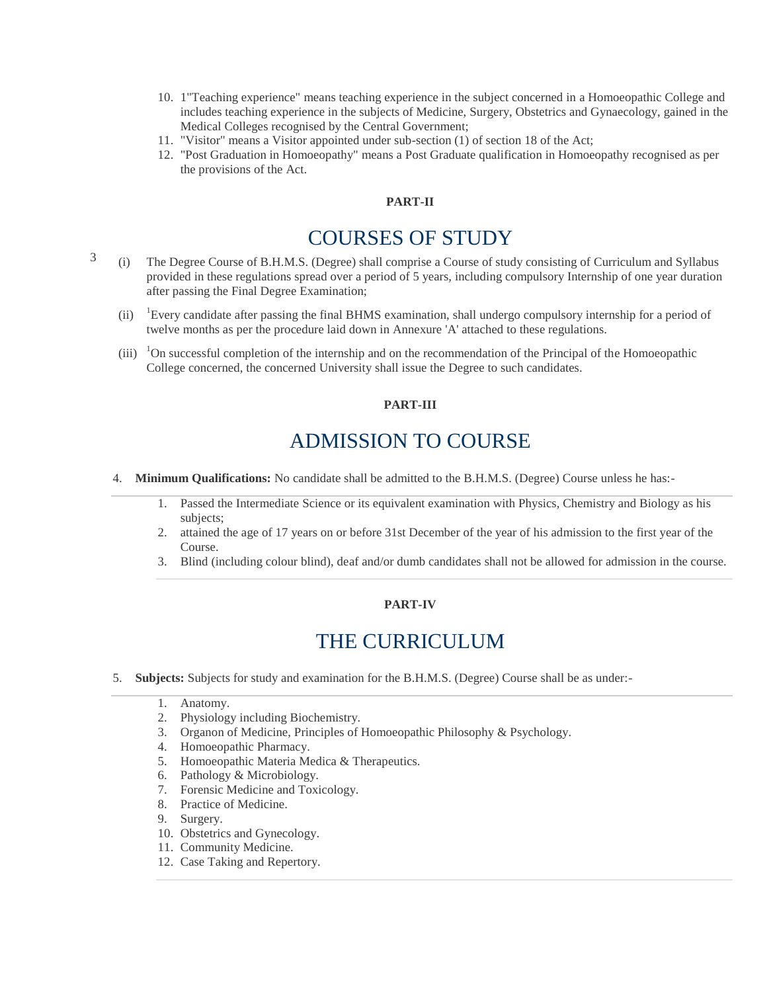- 10. 1"Teaching experience" means teaching experience in the subject concerned in a Homoeopathic College and includes teaching experience in the subjects of Medicine, Surgery, Obstetrics and Gynaecology, gained in the Medical Colleges recognised by the Central Government;
- 11. "Visitor" means a Visitor appointed under sub-section (1) of section 18 of the Act;
- 12. "Post Graduation in Homoeopathy" means a Post Graduate qualification in Homoeopathy recognised as per the provisions of the Act.

### **PART-II**

# COURSES OF STUDY

- 3 (i) The Degree Course of B.H.M.S. (Degree) shall comprise a Course of study consisting of Curriculum and Syllabus provided in these regulations spread over a period of 5 years, including compulsory Internship of one year duration after passing the Final Degree Examination;
	- (ii) <sup>1</sup>Every candidate after passing the final BHMS examination, shall undergo compulsory internship for a period of twelve months as per the procedure laid down in Annexure 'A' attached to these regulations.
	- $(iii)$ <sup>1</sup>On successful completion of the internship and on the recommendation of the Principal of the Homoeopathic College concerned, the concerned University shall issue the Degree to such candidates.

### **PART-III**

# ADMISSION TO COURSE

- 4. **Minimum Qualifications:** No candidate shall be admitted to the B.H.M.S. (Degree) Course unless he has:-
	- 1. Passed the Intermediate Science or its equivalent examination with Physics, Chemistry and Biology as his subjects;
	- 2. attained the age of 17 years on or before 31st December of the year of his admission to the first year of the Course.
	- 3. Blind (including colour blind), deaf and/or dumb candidates shall not be allowed for admission in the course.

### **PART-IV**

# THE CURRICULUM

- 5. **Subjects:** Subjects for study and examination for the B.H.M.S. (Degree) Course shall be as under:-
	- 1. Anatomy.
	- 2. Physiology including Biochemistry.
	- 3. Organon of Medicine, Principles of Homoeopathic Philosophy & Psychology.
	- 4. Homoeopathic Pharmacy.
	- 5. Homoeopathic Materia Medica & Therapeutics.
	- 6. Pathology & Microbiology.
	- 7. Forensic Medicine and Toxicology.
	- 8. Practice of Medicine.
	- 9. Surgery.
	- 10. Obstetrics and Gynecology.
	- 11. Community Medicine.
	- 12. Case Taking and Repertory.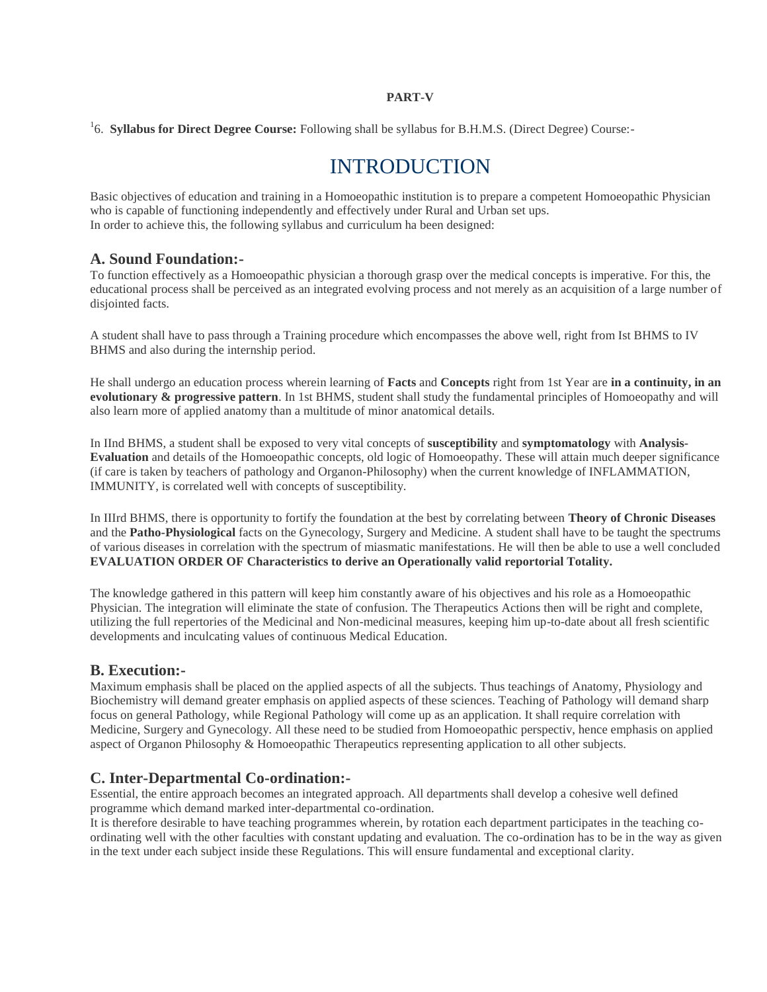#### **PART-V**

<sup>1</sup>6. **Syllabus for Direct Degree Course:** Following shall be syllabus for B.H.M.S. (Direct Degree) Course:-

# INTRODUCTION

Basic objectives of education and training in a Homoeopathic institution is to prepare a competent Homoeopathic Physician who is capable of functioning independently and effectively under Rural and Urban set ups. In order to achieve this, the following syllabus and curriculum ha been designed:

## **A. Sound Foundation:-**

To function effectively as a Homoeopathic physician a thorough grasp over the medical concepts is imperative. For this, the educational process shall be perceived as an integrated evolving process and not merely as an acquisition of a large number of disjointed facts.

A student shall have to pass through a Training procedure which encompasses the above well, right from Ist BHMS to IV BHMS and also during the internship period.

He shall undergo an education process wherein learning of **Facts** and **Concepts** right from 1st Year are **in a continuity, in an evolutionary & progressive pattern**. In 1st BHMS, student shall study the fundamental principles of Homoeopathy and will also learn more of applied anatomy than a multitude of minor anatomical details.

In IInd BHMS, a student shall be exposed to very vital concepts of **susceptibility** and **symptomatology** with **Analysis-Evaluation** and details of the Homoeopathic concepts, old logic of Homoeopathy. These will attain much deeper significance (if care is taken by teachers of pathology and Organon-Philosophy) when the current knowledge of INFLAMMATION, IMMUNITY, is correlated well with concepts of susceptibility.

In IIIrd BHMS, there is opportunity to fortify the foundation at the best by correlating between **Theory of Chronic Diseases** and the **Patho-Physiological** facts on the Gynecology, Surgery and Medicine. A student shall have to be taught the spectrums of various diseases in correlation with the spectrum of miasmatic manifestations. He will then be able to use a well concluded **EVALUATION ORDER OF Characteristics to derive an Operationally valid reportorial Totality.**

The knowledge gathered in this pattern will keep him constantly aware of his objectives and his role as a Homoeopathic Physician. The integration will eliminate the state of confusion. The Therapeutics Actions then will be right and complete, utilizing the full repertories of the Medicinal and Non-medicinal measures, keeping him up-to-date about all fresh scientific developments and inculcating values of continuous Medical Education.

## **B. Execution:-**

Maximum emphasis shall be placed on the applied aspects of all the subjects. Thus teachings of Anatomy, Physiology and Biochemistry will demand greater emphasis on applied aspects of these sciences. Teaching of Pathology will demand sharp focus on general Pathology, while Regional Pathology will come up as an application. It shall require correlation with Medicine, Surgery and Gynecology. All these need to be studied from Homoeopathic perspectiv, hence emphasis on applied aspect of Organon Philosophy & Homoeopathic Therapeutics representing application to all other subjects.

# **C. Inter-Departmental Co-ordination:-**

Essential, the entire approach becomes an integrated approach. All departments shall develop a cohesive well defined programme which demand marked inter-departmental co-ordination.

It is therefore desirable to have teaching programmes wherein, by rotation each department participates in the teaching coordinating well with the other faculties with constant updating and evaluation. The co-ordination has to be in the way as given in the text under each subject inside these Regulations. This will ensure fundamental and exceptional clarity.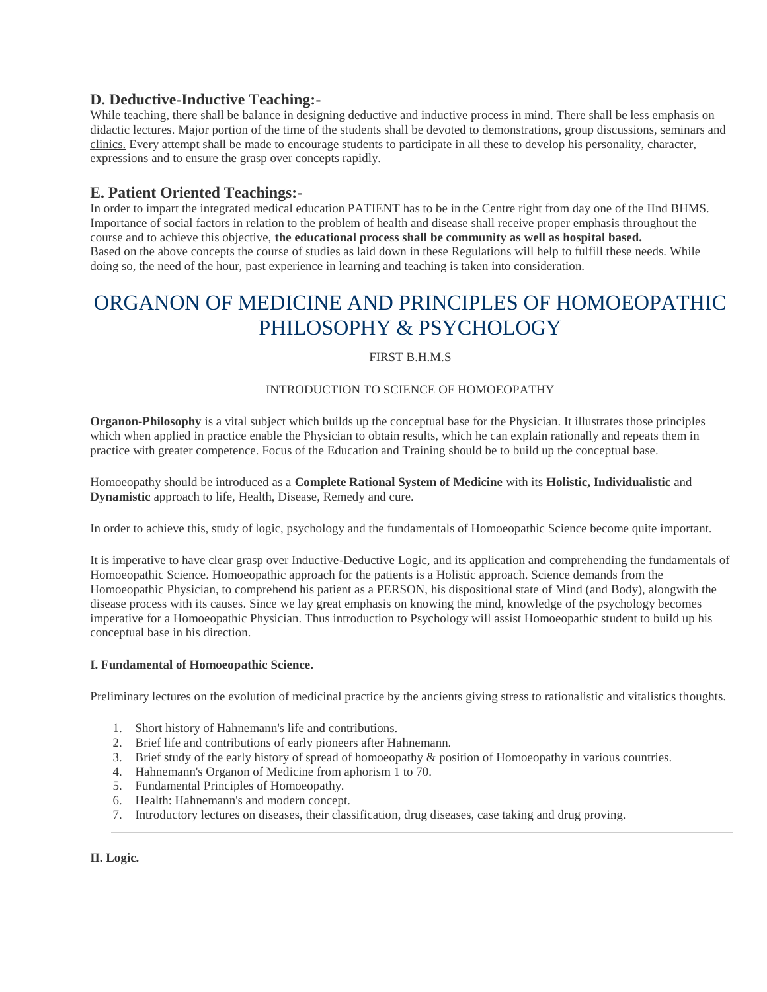# **D. Deductive-Inductive Teaching:-**

While teaching, there shall be balance in designing deductive and inductive process in mind. There shall be less emphasis on didactic lectures. Major portion of the time of the students shall be devoted to demonstrations, group discussions, seminars and clinics. Every attempt shall be made to encourage students to participate in all these to develop his personality, character, expressions and to ensure the grasp over concepts rapidly.

# **E. Patient Oriented Teachings:-**

In order to impart the integrated medical education PATIENT has to be in the Centre right from day one of the IInd BHMS. Importance of social factors in relation to the problem of health and disease shall receive proper emphasis throughout the course and to achieve this objective, **the educational process shall be community as well as hospital based.** Based on the above concepts the course of studies as laid down in these Regulations will help to fulfill these needs. While doing so, the need of the hour, past experience in learning and teaching is taken into consideration.

# ORGANON OF MEDICINE AND PRINCIPLES OF HOMOEOPATHIC PHILOSOPHY & PSYCHOLOGY

## FIRST B.H.M.S

## INTRODUCTION TO SCIENCE OF HOMOEOPATHY

**Organon-Philosophy** is a vital subject which builds up the conceptual base for the Physician. It illustrates those principles which when applied in practice enable the Physician to obtain results, which he can explain rationally and repeats them in practice with greater competence. Focus of the Education and Training should be to build up the conceptual base.

Homoeopathy should be introduced as a **Complete Rational System of Medicine** with its **Holistic, Individualistic** and **Dynamistic** approach to life, Health, Disease, Remedy and cure.

In order to achieve this, study of logic, psychology and the fundamentals of Homoeopathic Science become quite important.

It is imperative to have clear grasp over Inductive-Deductive Logic, and its application and comprehending the fundamentals of Homoeopathic Science. Homoeopathic approach for the patients is a Holistic approach. Science demands from the Homoeopathic Physician, to comprehend his patient as a PERSON, his dispositional state of Mind (and Body), alongwith the disease process with its causes. Since we lay great emphasis on knowing the mind, knowledge of the psychology becomes imperative for a Homoeopathic Physician. Thus introduction to Psychology will assist Homoeopathic student to build up his conceptual base in his direction.

## **I. Fundamental of Homoeopathic Science.**

Preliminary lectures on the evolution of medicinal practice by the ancients giving stress to rationalistic and vitalistics thoughts.

- 1. Short history of Hahnemann's life and contributions.
- 2. Brief life and contributions of early pioneers after Hahnemann.
- 3. Brief study of the early history of spread of homoeopathy & position of Homoeopathy in various countries.
- 4. Hahnemann's Organon of Medicine from aphorism 1 to 70.
- 5. Fundamental Principles of Homoeopathy.
- 6. Health: Hahnemann's and modern concept.
- 7. Introductory lectures on diseases, their classification, drug diseases, case taking and drug proving.

**II. Logic.**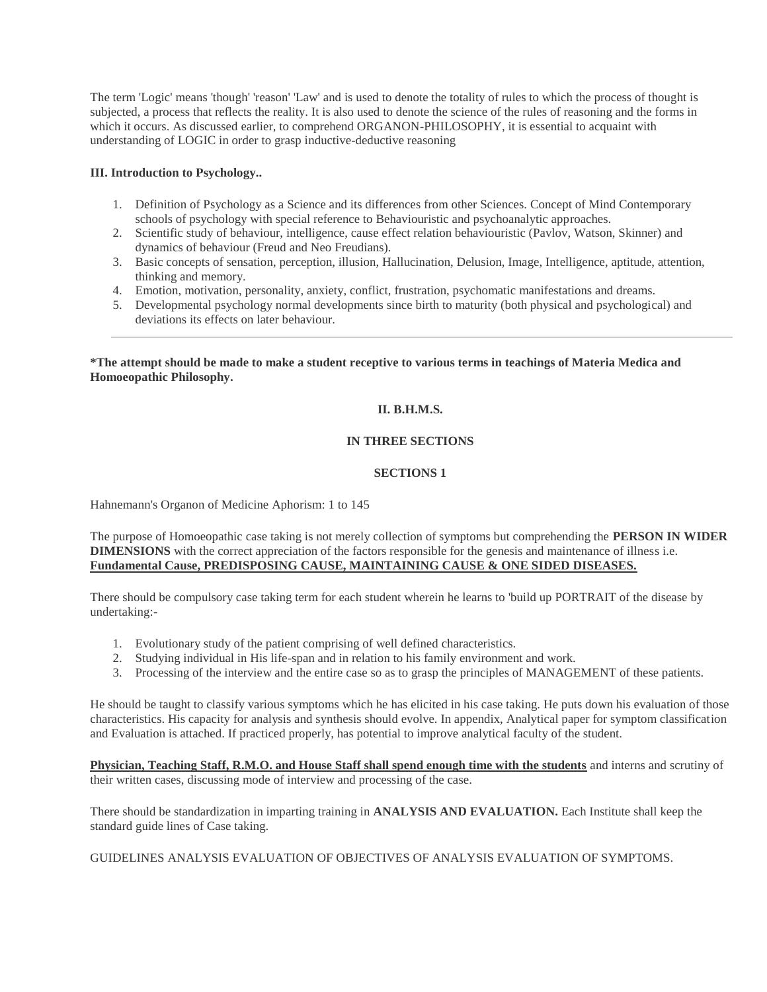The term 'Logic' means 'though' 'reason' 'Law' and is used to denote the totality of rules to which the process of thought is subjected, a process that reflects the reality. It is also used to denote the science of the rules of reasoning and the forms in which it occurs. As discussed earlier, to comprehend ORGANON-PHILOSOPHY, it is essential to acquaint with understanding of LOGIC in order to grasp inductive-deductive reasoning

## **III. Introduction to Psychology..**

- 1. Definition of Psychology as a Science and its differences from other Sciences. Concept of Mind Contemporary schools of psychology with special reference to Behaviouristic and psychoanalytic approaches.
- 2. Scientific study of behaviour, intelligence, cause effect relation behaviouristic (Pavlov, Watson, Skinner) and dynamics of behaviour (Freud and Neo Freudians).
- 3. Basic concepts of sensation, perception, illusion, Hallucination, Delusion, Image, Intelligence, aptitude, attention, thinking and memory.
- 4. Emotion, motivation, personality, anxiety, conflict, frustration, psychomatic manifestations and dreams.
- 5. Developmental psychology normal developments since birth to maturity (both physical and psychological) and deviations its effects on later behaviour.

**\*The attempt should be made to make a student receptive to various terms in teachings of Materia Medica and Homoeopathic Philosophy.**

## **II. B.H.M.S.**

## **IN THREE SECTIONS**

## **SECTIONS 1**

Hahnemann's Organon of Medicine Aphorism: 1 to 145

The purpose of Homoeopathic case taking is not merely collection of symptoms but comprehending the **PERSON IN WIDER DIMENSIONS** with the correct appreciation of the factors responsible for the genesis and maintenance of illness i.e. **Fundamental Cause, PREDISPOSING CAUSE, MAINTAINING CAUSE & ONE SIDED DISEASES.**

There should be compulsory case taking term for each student wherein he learns to 'build up PORTRAIT of the disease by undertaking:-

- 1. Evolutionary study of the patient comprising of well defined characteristics.
- 2. Studying individual in His life-span and in relation to his family environment and work.
- 3. Processing of the interview and the entire case so as to grasp the principles of MANAGEMENT of these patients.

He should be taught to classify various symptoms which he has elicited in his case taking. He puts down his evaluation of those characteristics. His capacity for analysis and synthesis should evolve. In appendix, Analytical paper for symptom classification and Evaluation is attached. If practiced properly, has potential to improve analytical faculty of the student.

**Physician, Teaching Staff, R.M.O. and House Staff shall spend enough time with the students** and interns and scrutiny of their written cases, discussing mode of interview and processing of the case.

There should be standardization in imparting training in **ANALYSIS AND EVALUATION.** Each Institute shall keep the standard guide lines of Case taking.

GUIDELINES ANALYSIS EVALUATION OF OBJECTIVES OF ANALYSIS EVALUATION OF SYMPTOMS.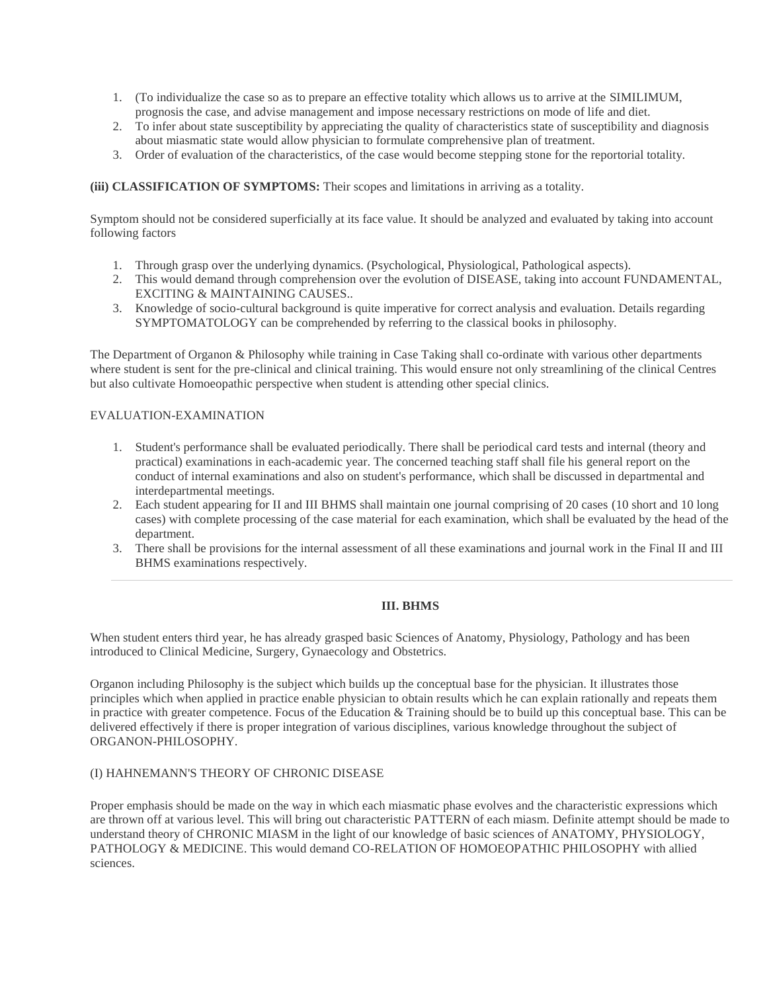- 1. (To individualize the case so as to prepare an effective totality which allows us to arrive at the SIMILIMUM, prognosis the case, and advise management and impose necessary restrictions on mode of life and diet.
- 2. To infer about state susceptibility by appreciating the quality of characteristics state of susceptibility and diagnosis about miasmatic state would allow physician to formulate comprehensive plan of treatment.
- 3. Order of evaluation of the characteristics, of the case would become stepping stone for the reportorial totality.

## **(iii) CLASSIFICATION OF SYMPTOMS:** Their scopes and limitations in arriving as a totality.

Symptom should not be considered superficially at its face value. It should be analyzed and evaluated by taking into account following factors

- 1. Through grasp over the underlying dynamics. (Psychological, Physiological, Pathological aspects).
- 2. This would demand through comprehension over the evolution of DISEASE, taking into account FUNDAMENTAL, EXCITING & MAINTAINING CAUSES..
- 3. Knowledge of socio-cultural background is quite imperative for correct analysis and evaluation. Details regarding SYMPTOMATOLOGY can be comprehended by referring to the classical books in philosophy.

The Department of Organon & Philosophy while training in Case Taking shall co-ordinate with various other departments where student is sent for the pre-clinical and clinical training. This would ensure not only streamlining of the clinical Centres but also cultivate Homoeopathic perspective when student is attending other special clinics.

### EVALUATION-EXAMINATION

- 1. Student's performance shall be evaluated periodically. There shall be periodical card tests and internal (theory and practical) examinations in each-academic year. The concerned teaching staff shall file his general report on the conduct of internal examinations and also on student's performance, which shall be discussed in departmental and interdepartmental meetings.
- 2. Each student appearing for II and III BHMS shall maintain one journal comprising of 20 cases (10 short and 10 long cases) with complete processing of the case material for each examination, which shall be evaluated by the head of the department.
- 3. There shall be provisions for the internal assessment of all these examinations and journal work in the Final II and III BHMS examinations respectively.

#### **III. BHMS**

When student enters third year, he has already grasped basic Sciences of Anatomy, Physiology, Pathology and has been introduced to Clinical Medicine, Surgery, Gynaecology and Obstetrics.

Organon including Philosophy is the subject which builds up the conceptual base for the physician. It illustrates those principles which when applied in practice enable physician to obtain results which he can explain rationally and repeats them in practice with greater competence. Focus of the Education & Training should be to build up this conceptual base. This can be delivered effectively if there is proper integration of various disciplines, various knowledge throughout the subject of ORGANON-PHILOSOPHY.

## (I) HAHNEMANN'S THEORY OF CHRONIC DISEASE

Proper emphasis should be made on the way in which each miasmatic phase evolves and the characteristic expressions which are thrown off at various level. This will bring out characteristic PATTERN of each miasm. Definite attempt should be made to understand theory of CHRONIC MIASM in the light of our knowledge of basic sciences of ANATOMY, PHYSIOLOGY, PATHOLOGY & MEDICINE. This would demand CO-RELATION OF HOMOEOPATHIC PHILOSOPHY with allied sciences.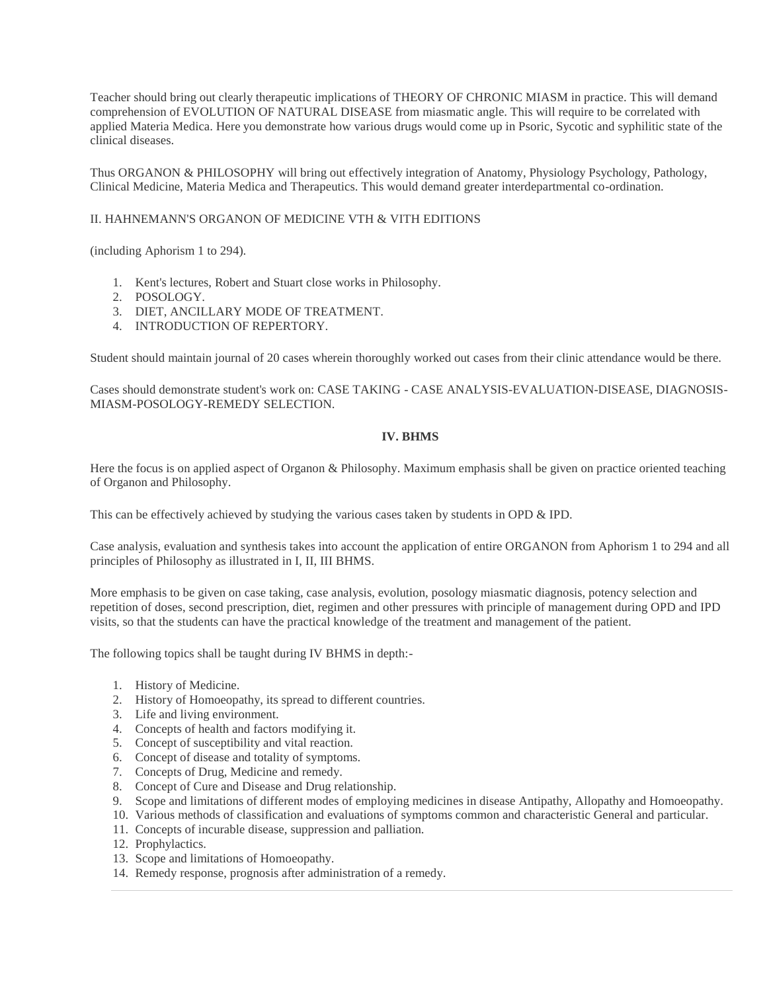Teacher should bring out clearly therapeutic implications of THEORY OF CHRONIC MIASM in practice. This will demand comprehension of EVOLUTION OF NATURAL DISEASE from miasmatic angle. This will require to be correlated with applied Materia Medica. Here you demonstrate how various drugs would come up in Psoric, Sycotic and syphilitic state of the clinical diseases.

Thus ORGANON & PHILOSOPHY will bring out effectively integration of Anatomy, Physiology Psychology, Pathology, Clinical Medicine, Materia Medica and Therapeutics. This would demand greater interdepartmental co-ordination.

### II. HAHNEMANN'S ORGANON OF MEDICINE VTH & VITH EDITIONS

(including Aphorism 1 to 294).

- 1. Kent's lectures, Robert and Stuart close works in Philosophy.
- 2. POSOLOGY.
- 3. DIET, ANCILLARY MODE OF TREATMENT.
- 4. INTRODUCTION OF REPERTORY.

Student should maintain journal of 20 cases wherein thoroughly worked out cases from their clinic attendance would be there.

Cases should demonstrate student's work on: CASE TAKING - CASE ANALYSIS-EVALUATION-DISEASE, DIAGNOSIS-MIASM-POSOLOGY-REMEDY SELECTION.

#### **IV. BHMS**

Here the focus is on applied aspect of Organon & Philosophy. Maximum emphasis shall be given on practice oriented teaching of Organon and Philosophy.

This can be effectively achieved by studying the various cases taken by students in OPD & IPD.

Case analysis, evaluation and synthesis takes into account the application of entire ORGANON from Aphorism 1 to 294 and all principles of Philosophy as illustrated in I, II, III BHMS.

More emphasis to be given on case taking, case analysis, evolution, posology miasmatic diagnosis, potency selection and repetition of doses, second prescription, diet, regimen and other pressures with principle of management during OPD and IPD visits, so that the students can have the practical knowledge of the treatment and management of the patient.

The following topics shall be taught during IV BHMS in depth:-

- 1. History of Medicine.
- 2. History of Homoeopathy, its spread to different countries.
- 3. Life and living environment.
- 4. Concepts of health and factors modifying it.
- 5. Concept of susceptibility and vital reaction.
- 6. Concept of disease and totality of symptoms.
- 7. Concepts of Drug, Medicine and remedy.
- 8. Concept of Cure and Disease and Drug relationship.
- 9. Scope and limitations of different modes of employing medicines in disease Antipathy, Allopathy and Homoeopathy.
- 10. Various methods of classification and evaluations of symptoms common and characteristic General and particular.
- 11. Concepts of incurable disease, suppression and palliation.
- 12. Prophylactics.
- 13. Scope and limitations of Homoeopathy.
- 14. Remedy response, prognosis after administration of a remedy.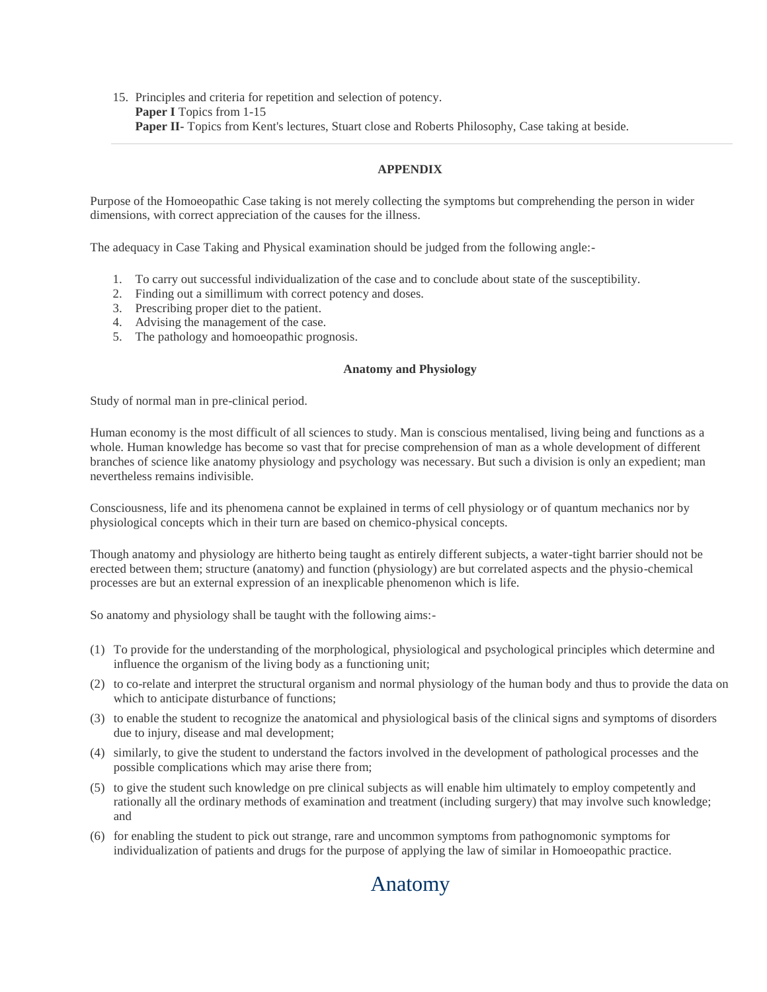15. Principles and criteria for repetition and selection of potency. **Paper I** Topics from 1-15 **Paper II-** Topics from Kent's lectures, Stuart close and Roberts Philosophy, Case taking at beside.

## **APPENDIX**

Purpose of the Homoeopathic Case taking is not merely collecting the symptoms but comprehending the person in wider dimensions, with correct appreciation of the causes for the illness.

The adequacy in Case Taking and Physical examination should be judged from the following angle:-

- 1. To carry out successful individualization of the case and to conclude about state of the susceptibility.
- 2. Finding out a simillimum with correct potency and doses.
- 3. Prescribing proper diet to the patient.
- 4. Advising the management of the case.
- 5. The pathology and homoeopathic prognosis.

#### **Anatomy and Physiology**

Study of normal man in pre-clinical period.

Human economy is the most difficult of all sciences to study. Man is conscious mentalised, living being and functions as a whole. Human knowledge has become so vast that for precise comprehension of man as a whole development of different branches of science like anatomy physiology and psychology was necessary. But such a division is only an expedient; man nevertheless remains indivisible.

Consciousness, life and its phenomena cannot be explained in terms of cell physiology or of quantum mechanics nor by physiological concepts which in their turn are based on chemico-physical concepts.

Though anatomy and physiology are hitherto being taught as entirely different subjects, a water-tight barrier should not be erected between them; structure (anatomy) and function (physiology) are but correlated aspects and the physio-chemical processes are but an external expression of an inexplicable phenomenon which is life.

So anatomy and physiology shall be taught with the following aims:-

- (1) To provide for the understanding of the morphological, physiological and psychological principles which determine and influence the organism of the living body as a functioning unit;
- (2) to co-relate and interpret the structural organism and normal physiology of the human body and thus to provide the data on which to anticipate disturbance of functions;
- (3) to enable the student to recognize the anatomical and physiological basis of the clinical signs and symptoms of disorders due to injury, disease and mal development;
- (4) similarly, to give the student to understand the factors involved in the development of pathological processes and the possible complications which may arise there from;
- (5) to give the student such knowledge on pre clinical subjects as will enable him ultimately to employ competently and rationally all the ordinary methods of examination and treatment (including surgery) that may involve such knowledge; and
- (6) for enabling the student to pick out strange, rare and uncommon symptoms from pathognomonic symptoms for individualization of patients and drugs for the purpose of applying the law of similar in Homoeopathic practice.

# Anatomy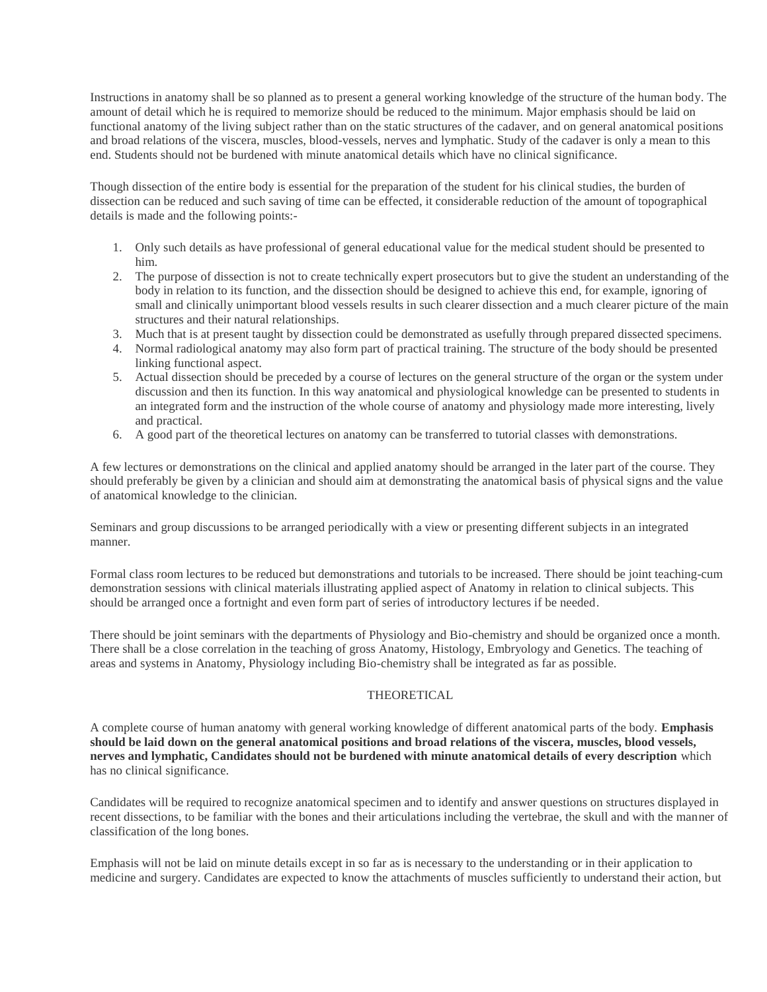Instructions in anatomy shall be so planned as to present a general working knowledge of the structure of the human body. The amount of detail which he is required to memorize should be reduced to the minimum. Major emphasis should be laid on functional anatomy of the living subject rather than on the static structures of the cadaver, and on general anatomical positions and broad relations of the viscera, muscles, blood-vessels, nerves and lymphatic. Study of the cadaver is only a mean to this end. Students should not be burdened with minute anatomical details which have no clinical significance.

Though dissection of the entire body is essential for the preparation of the student for his clinical studies, the burden of dissection can be reduced and such saving of time can be effected, it considerable reduction of the amount of topographical details is made and the following points:-

- 1. Only such details as have professional of general educational value for the medical student should be presented to him.
- 2. The purpose of dissection is not to create technically expert prosecutors but to give the student an understanding of the body in relation to its function, and the dissection should be designed to achieve this end, for example, ignoring of small and clinically unimportant blood vessels results in such clearer dissection and a much clearer picture of the main structures and their natural relationships.
- 3. Much that is at present taught by dissection could be demonstrated as usefully through prepared dissected specimens.
- 4. Normal radiological anatomy may also form part of practical training. The structure of the body should be presented linking functional aspect.
- 5. Actual dissection should be preceded by a course of lectures on the general structure of the organ or the system under discussion and then its function. In this way anatomical and physiological knowledge can be presented to students in an integrated form and the instruction of the whole course of anatomy and physiology made more interesting, lively and practical.
- 6. A good part of the theoretical lectures on anatomy can be transferred to tutorial classes with demonstrations.

A few lectures or demonstrations on the clinical and applied anatomy should be arranged in the later part of the course. They should preferably be given by a clinician and should aim at demonstrating the anatomical basis of physical signs and the value of anatomical knowledge to the clinician.

Seminars and group discussions to be arranged periodically with a view or presenting different subjects in an integrated manner.

Formal class room lectures to be reduced but demonstrations and tutorials to be increased. There should be joint teaching-cum demonstration sessions with clinical materials illustrating applied aspect of Anatomy in relation to clinical subjects. This should be arranged once a fortnight and even form part of series of introductory lectures if be needed.

There should be joint seminars with the departments of Physiology and Bio-chemistry and should be organized once a month. There shall be a close correlation in the teaching of gross Anatomy, Histology, Embryology and Genetics. The teaching of areas and systems in Anatomy, Physiology including Bio-chemistry shall be integrated as far as possible.

## THEORETICAL

A complete course of human anatomy with general working knowledge of different anatomical parts of the body. **Emphasis should be laid down on the general anatomical positions and broad relations of the viscera, muscles, blood vessels, nerves and lymphatic, Candidates should not be burdened with minute anatomical details of every description** which has no clinical significance.

Candidates will be required to recognize anatomical specimen and to identify and answer questions on structures displayed in recent dissections, to be familiar with the bones and their articulations including the vertebrae, the skull and with the manner of classification of the long bones.

Emphasis will not be laid on minute details except in so far as is necessary to the understanding or in their application to medicine and surgery. Candidates are expected to know the attachments of muscles sufficiently to understand their action, but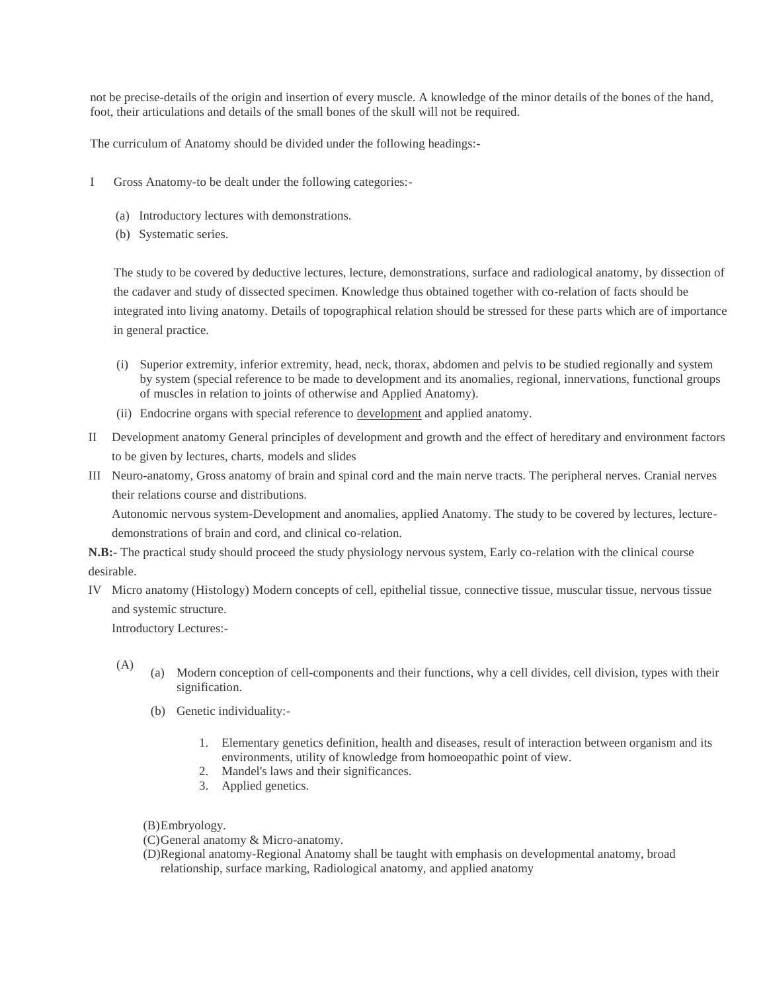not be precise-details of the origin and insertion of every muscle. A knowledge of the minor details of the bones of the hand, foot, their articulations and details of the small bones of the skull will not be required.

The curriculum of Anatomy should be divided under the following headings:-

- I Gross Anatomy-to be dealt under the following categories:-
	- (a) Introductory lectures with demonstrations.
	- (b) Systematic series.

The study to be covered by deductive lectures, lecture, demonstrations, surface and radiological anatomy, by dissection of the cadaver and study of dissected specimen. Knowledge thus obtained together with co-relation of facts should be integrated into living anatomy. Details of topographical relation should be stressed for these parts which are of importance in general practice.

- (i) Superior extremity, inferior extremity, head, neck, thorax, abdomen and pelvis to be studied regionally and system by system (special reference to be made to development and its anomalies, regional, innervations, functional groups of muscles in relation to joints of otherwise and Applied Anatomy).
- (ii) Endocrine organs with special reference to development and applied anatomy.
- II Development anatomy General principles of development and growth and the effect of hereditary and environment factors to be given by lectures, charts, models and slides
- III Neuro-anatomy, Gross anatomy of brain and spinal cord and the main nerve tracts. The peripheral nerves. Cranial nerves their relations course and distributions.

Autonomic nervous system-Development and anomalies, applied Anatomy. The study to be covered by lectures, lecturedemonstrations of brain and cord, and clinical co-relation.

**N.B:-** The practical study should proceed the study physiology nervous system, Early co-relation with the clinical course desirable.

IV Micro anatomy (Histology) Modern concepts of cell, epithelial tissue, connective tissue, muscular tissue, nervous tissue and systemic structure.

Introductory Lectures:-

- 
- (A) (a) Modern conception of cell-components and their functions, why a cell divides, cell division, types with their signification.
	- (b) Genetic individuality:-
		- 1. Elementary genetics definition, health and diseases, result of interaction between organism and its environments, utility of knowledge from homoeopathic point of view.
		- 2. Mandel's laws and their significances.
		- 3. Applied genetics.
	- (B)Embryology.
	- (C)General anatomy & Micro-anatomy.
	- (D)Regional anatomy-Regional Anatomy shall be taught with emphasis on developmental anatomy, broad relationship, surface marking, Radiological anatomy, and applied anatomy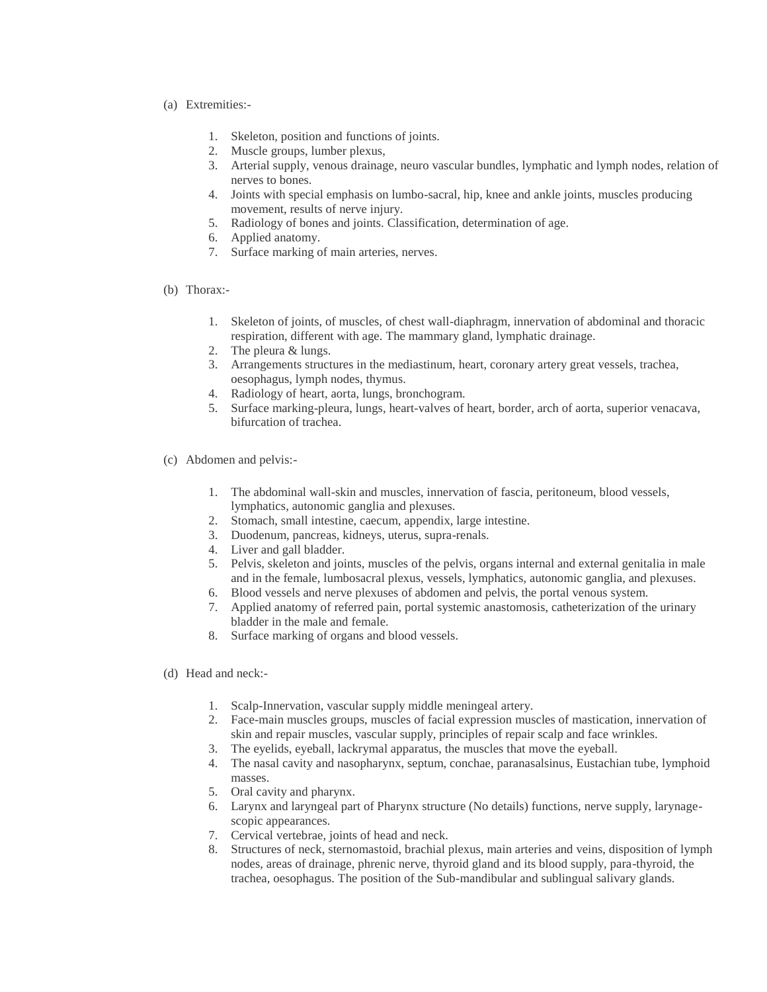- (a) Extremities:-
	- 1. Skeleton, position and functions of joints.
	- 2. Muscle groups, lumber plexus,
	- 3. Arterial supply, venous drainage, neuro vascular bundles, lymphatic and lymph nodes, relation of nerves to bones.
	- 4. Joints with special emphasis on lumbo-sacral, hip, knee and ankle joints, muscles producing movement, results of nerve injury.
	- 5. Radiology of bones and joints. Classification, determination of age.
	- 6. Applied anatomy.
	- 7. Surface marking of main arteries, nerves.
- (b) Thorax:-
	- 1. Skeleton of joints, of muscles, of chest wall-diaphragm, innervation of abdominal and thoracic respiration, different with age. The mammary gland, lymphatic drainage.
	- 2. The pleura & lungs.
	- 3. Arrangements structures in the mediastinum, heart, coronary artery great vessels, trachea, oesophagus, lymph nodes, thymus.
	- 4. Radiology of heart, aorta, lungs, bronchogram.
	- 5. Surface marking-pleura, lungs, heart-valves of heart, border, arch of aorta, superior venacava, bifurcation of trachea.
- (c) Abdomen and pelvis:-
	- 1. The abdominal wall-skin and muscles, innervation of fascia, peritoneum, blood vessels, lymphatics, autonomic ganglia and plexuses.
	- 2. Stomach, small intestine, caecum, appendix, large intestine.
	- 3. Duodenum, pancreas, kidneys, uterus, supra-renals.
	- 4. Liver and gall bladder.
	- 5. Pelvis, skeleton and joints, muscles of the pelvis, organs internal and external genitalia in male and in the female, lumbosacral plexus, vessels, lymphatics, autonomic ganglia, and plexuses.
	- 6. Blood vessels and nerve plexuses of abdomen and pelvis, the portal venous system.
	- 7. Applied anatomy of referred pain, portal systemic anastomosis, catheterization of the urinary bladder in the male and female.
	- 8. Surface marking of organs and blood vessels.
- (d) Head and neck:-
	- 1. Scalp-Innervation, vascular supply middle meningeal artery.
	- 2. Face-main muscles groups, muscles of facial expression muscles of mastication, innervation of skin and repair muscles, vascular supply, principles of repair scalp and face wrinkles.
	- 3. The eyelids, eyeball, lackrymal apparatus, the muscles that move the eyeball.
	- 4. The nasal cavity and nasopharynx, septum, conchae, paranasalsinus, Eustachian tube, lymphoid masses.
	- 5. Oral cavity and pharynx.
	- 6. Larynx and laryngeal part of Pharynx structure (No details) functions, nerve supply, larynagescopic appearances.
	- 7. Cervical vertebrae, joints of head and neck.
	- 8. Structures of neck, sternomastoid, brachial plexus, main arteries and veins, disposition of lymph nodes, areas of drainage, phrenic nerve, thyroid gland and its blood supply, para-thyroid, the trachea, oesophagus. The position of the Sub-mandibular and sublingual salivary glands.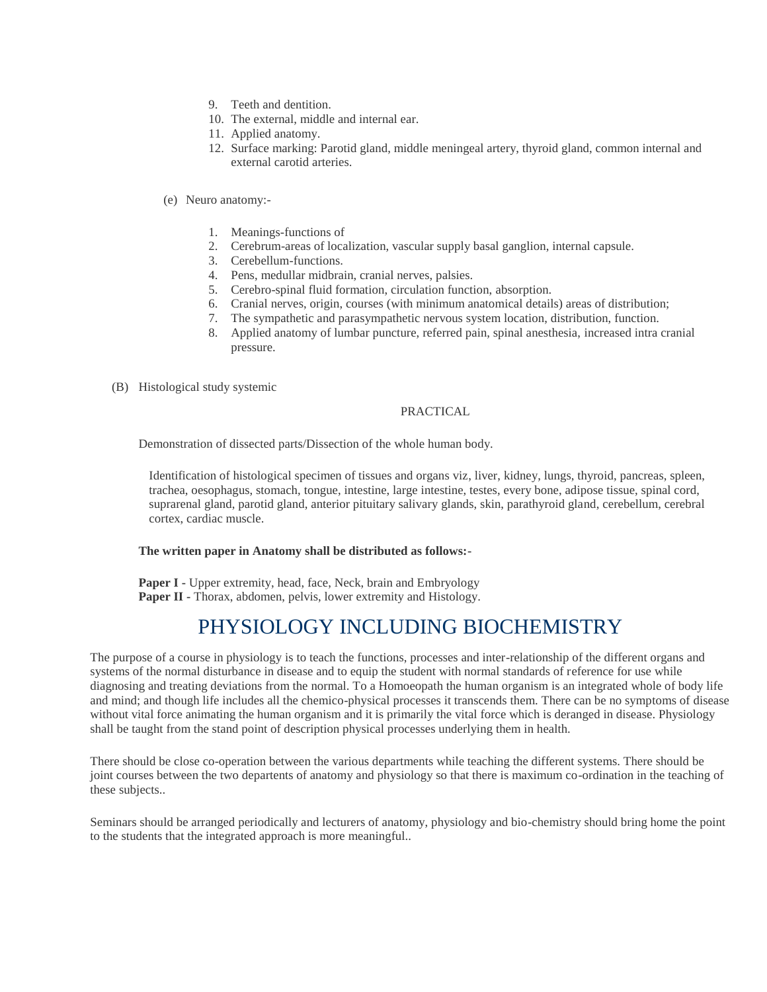- 9. Teeth and dentition.
- 10. The external, middle and internal ear.
- 11. Applied anatomy.
- 12. Surface marking: Parotid gland, middle meningeal artery, thyroid gland, common internal and external carotid arteries.

### (e) Neuro anatomy:-

- 1. Meanings-functions of
- 2. Cerebrum-areas of localization, vascular supply basal ganglion, internal capsule.
- 3. Cerebellum-functions.
- 4. Pens, medullar midbrain, cranial nerves, palsies.
- 5. Cerebro-spinal fluid formation, circulation function, absorption.
- 6. Cranial nerves, origin, courses (with minimum anatomical details) areas of distribution;
- 7. The sympathetic and parasympathetic nervous system location, distribution, function.
- 8. Applied anatomy of lumbar puncture, referred pain, spinal anesthesia, increased intra cranial pressure.
- (B) Histological study systemic

### PRACTICAL

Demonstration of dissected parts/Dissection of the whole human body.

Identification of histological specimen of tissues and organs viz, liver, kidney, lungs, thyroid, pancreas, spleen, trachea, oesophagus, stomach, tongue, intestine, large intestine, testes, every bone, adipose tissue, spinal cord, suprarenal gland, parotid gland, anterior pituitary salivary glands, skin, parathyroid gland, cerebellum, cerebral cortex, cardiac muscle.

### **The written paper in Anatomy shall be distributed as follows:-**

**Paper I** - Upper extremity, head, face, Neck, brain and Embryology **Paper II -** Thorax, abdomen, pelvis, lower extremity and Histology.

# PHYSIOLOGY INCLUDING BIOCHEMISTRY

The purpose of a course in physiology is to teach the functions, processes and inter-relationship of the different organs and systems of the normal disturbance in disease and to equip the student with normal standards of reference for use while diagnosing and treating deviations from the normal. To a Homoeopath the human organism is an integrated whole of body life and mind; and though life includes all the chemico-physical processes it transcends them. There can be no symptoms of disease without vital force animating the human organism and it is primarily the vital force which is deranged in disease. Physiology shall be taught from the stand point of description physical processes underlying them in health.

There should be close co-operation between the various departments while teaching the different systems. There should be joint courses between the two departents of anatomy and physiology so that there is maximum co-ordination in the teaching of these subjects..

Seminars should be arranged periodically and lecturers of anatomy, physiology and bio-chemistry should bring home the point to the students that the integrated approach is more meaningful..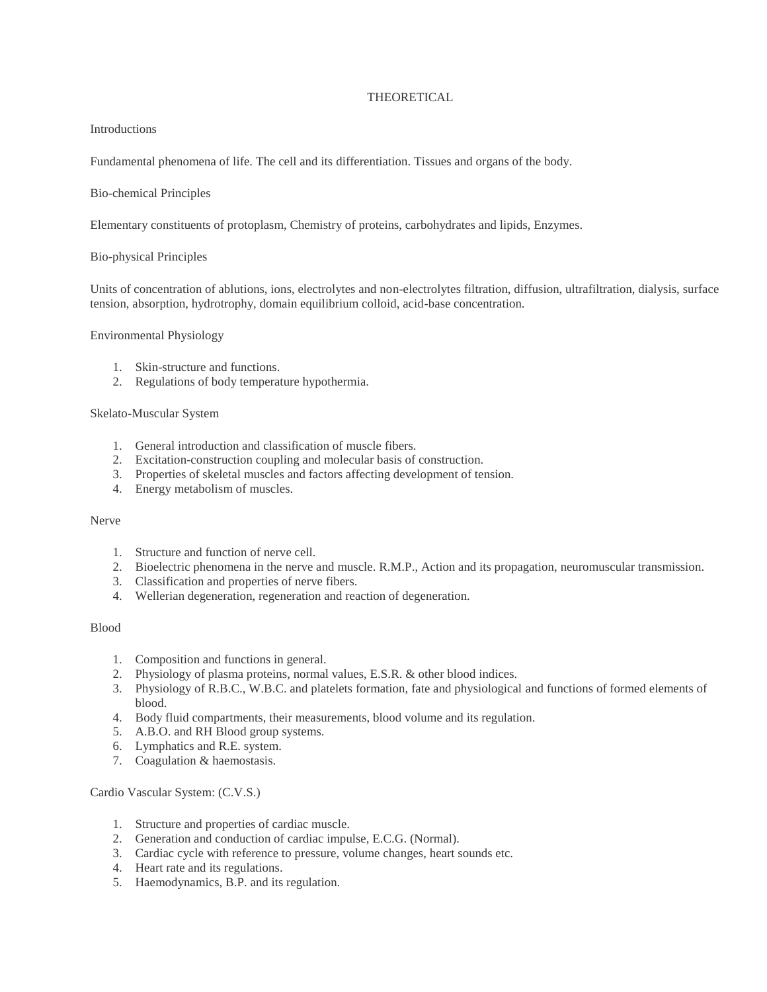### THEORETICAL

#### Introductions

Fundamental phenomena of life. The cell and its differentiation. Tissues and organs of the body.

### Bio-chemical Principles

Elementary constituents of protoplasm, Chemistry of proteins, carbohydrates and lipids, Enzymes.

### Bio-physical Principles

Units of concentration of ablutions, ions, electrolytes and non-electrolytes filtration, diffusion, ultrafiltration, dialysis, surface tension, absorption, hydrotrophy, domain equilibrium colloid, acid-base concentration.

### Environmental Physiology

- 1. Skin-structure and functions.
- 2. Regulations of body temperature hypothermia.

## Skelato-Muscular System

- 1. General introduction and classification of muscle fibers.
- 2. Excitation-construction coupling and molecular basis of construction.
- 3. Properties of skeletal muscles and factors affecting development of tension.
- 4. Energy metabolism of muscles.

## Nerve

- 1. Structure and function of nerve cell.
- 2. Bioelectric phenomena in the nerve and muscle. R.M.P., Action and its propagation, neuromuscular transmission.
- 3. Classification and properties of nerve fibers.
- 4. Wellerian degeneration, regeneration and reaction of degeneration.

### Blood

- 1. Composition and functions in general.
- 2. Physiology of plasma proteins, normal values, E.S.R. & other blood indices.
- 3. Physiology of R.B.C., W.B.C. and platelets formation, fate and physiological and functions of formed elements of blood.
- 4. Body fluid compartments, their measurements, blood volume and its regulation.
- 5. A.B.O. and RH Blood group systems.
- 6. Lymphatics and R.E. system.
- 7. Coagulation & haemostasis.

Cardio Vascular System: (C.V.S.)

- 1. Structure and properties of cardiac muscle.
- 2. Generation and conduction of cardiac impulse, E.C.G. (Normal).
- 3. Cardiac cycle with reference to pressure, volume changes, heart sounds etc.
- 4. Heart rate and its regulations.
- 5. Haemodynamics, B.P. and its regulation.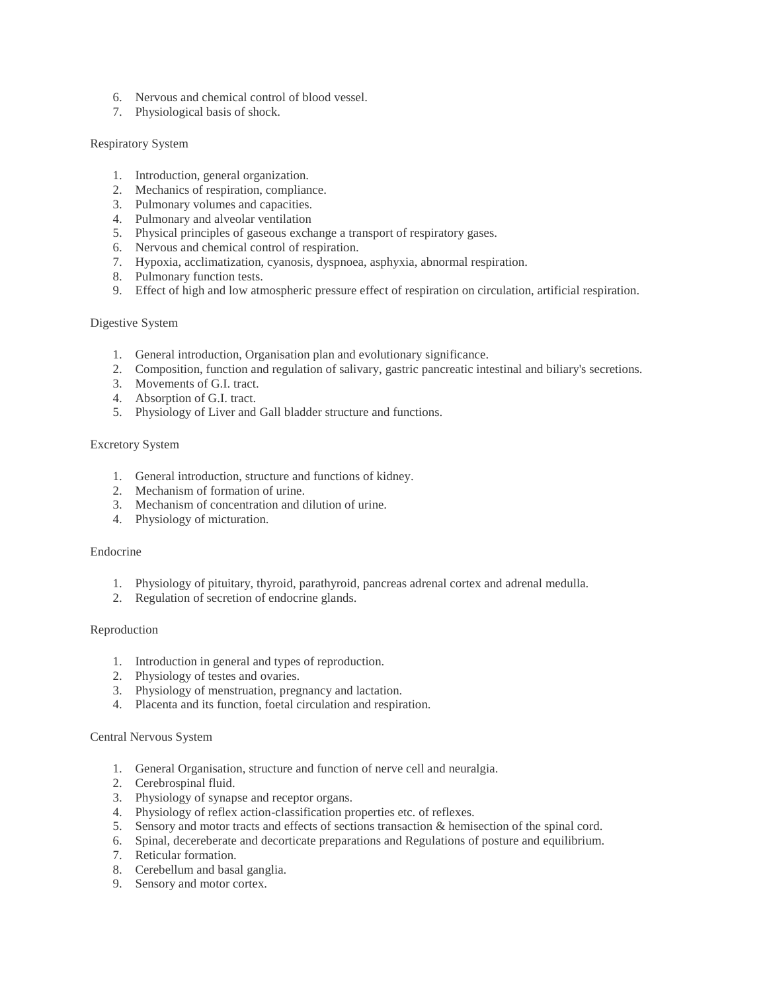- 6. Nervous and chemical control of blood vessel.
- 7. Physiological basis of shock.

#### Respiratory System

- 1. Introduction, general organization.
- 2. Mechanics of respiration, compliance.
- 3. Pulmonary volumes and capacities.
- 4. Pulmonary and alveolar ventilation
- 5. Physical principles of gaseous exchange a transport of respiratory gases.
- 6. Nervous and chemical control of respiration.
- 7. Hypoxia, acclimatization, cyanosis, dyspnoea, asphyxia, abnormal respiration.
- 8. Pulmonary function tests.
- 9. Effect of high and low atmospheric pressure effect of respiration on circulation, artificial respiration.

#### Digestive System

- 1. General introduction, Organisation plan and evolutionary significance.
- 2. Composition, function and regulation of salivary, gastric pancreatic intestinal and biliary's secretions.
- 3. Movements of G.I. tract.
- 4. Absorption of G.I. tract.
- 5. Physiology of Liver and Gall bladder structure and functions.

### Excretory System

- 1. General introduction, structure and functions of kidney.
- 2. Mechanism of formation of urine.
- 3. Mechanism of concentration and dilution of urine.
- 4. Physiology of micturation.

#### Endocrine

- 1. Physiology of pituitary, thyroid, parathyroid, pancreas adrenal cortex and adrenal medulla.
- 2. Regulation of secretion of endocrine glands.

#### Reproduction

- 1. Introduction in general and types of reproduction.
- 2. Physiology of testes and ovaries.
- 3. Physiology of menstruation, pregnancy and lactation.
- 4. Placenta and its function, foetal circulation and respiration.

#### Central Nervous System

- 1. General Organisation, structure and function of nerve cell and neuralgia.
- 2. Cerebrospinal fluid.
- 3. Physiology of synapse and receptor organs.
- 4. Physiology of reflex action-classification properties etc. of reflexes.
- 5. Sensory and motor tracts and effects of sections transaction & hemisection of the spinal cord.
- 6. Spinal, decereberate and decorticate preparations and Regulations of posture and equilibrium.
- 7. Reticular formation.
- 8. Cerebellum and basal ganglia.
- 9. Sensory and motor cortex.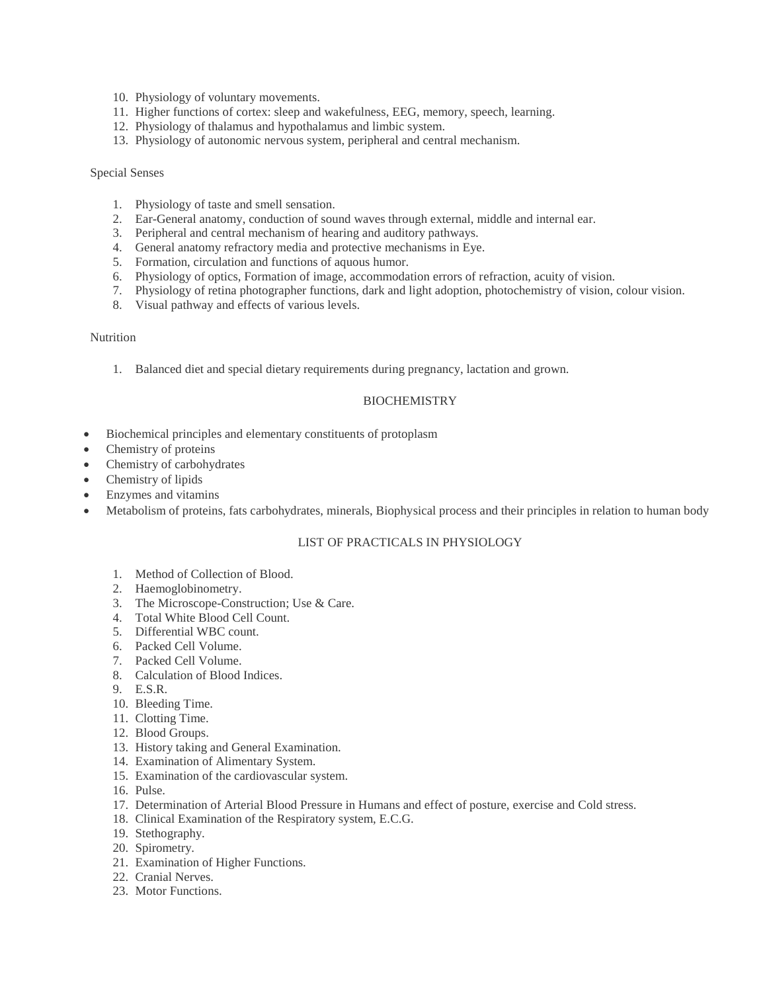- 10. Physiology of voluntary movements.
- 11. Higher functions of cortex: sleep and wakefulness, EEG, memory, speech, learning.
- 12. Physiology of thalamus and hypothalamus and limbic system.
- 13. Physiology of autonomic nervous system, peripheral and central mechanism.

#### Special Senses

- 1. Physiology of taste and smell sensation.
- 2. Ear-General anatomy, conduction of sound waves through external, middle and internal ear.
- 3. Peripheral and central mechanism of hearing and auditory pathways.
- 4. General anatomy refractory media and protective mechanisms in Eye.
- 5. Formation, circulation and functions of aquous humor.
- 6. Physiology of optics, Formation of image, accommodation errors of refraction, acuity of vision.
- 7. Physiology of retina photographer functions, dark and light adoption, photochemistry of vision, colour vision.
- 8. Visual pathway and effects of various levels.

### Nutrition

1. Balanced diet and special dietary requirements during pregnancy, lactation and grown.

### **BIOCHEMISTRY**

- Biochemical principles and elementary constituents of protoplasm
- Chemistry of proteins
- Chemistry of carbohydrates
- Chemistry of lipids
- Enzymes and vitamins
- Metabolism of proteins, fats carbohydrates, minerals, Biophysical process and their principles in relation to human body

#### LIST OF PRACTICALS IN PHYSIOLOGY

- 1. Method of Collection of Blood.
- 2. Haemoglobinometry.
- 3. The Microscope-Construction; Use & Care.
- 4. Total White Blood Cell Count.
- 5. Differential WBC count.
- 6. Packed Cell Volume.
- 7. Packed Cell Volume.
- 8. Calculation of Blood Indices.
- 9. E.S.R.
- 10. Bleeding Time.
- 11. Clotting Time.
- 12. Blood Groups.
- 13. History taking and General Examination.
- 14. Examination of Alimentary System.
- 15. Examination of the cardiovascular system.
- 16. Pulse.
- 17. Determination of Arterial Blood Pressure in Humans and effect of posture, exercise and Cold stress.
- 18. Clinical Examination of the Respiratory system, E.C.G.
- 19. Stethography.
- 20. Spirometry.
- 21. Examination of Higher Functions.
- 22. Cranial Nerves.
- 23. Motor Functions.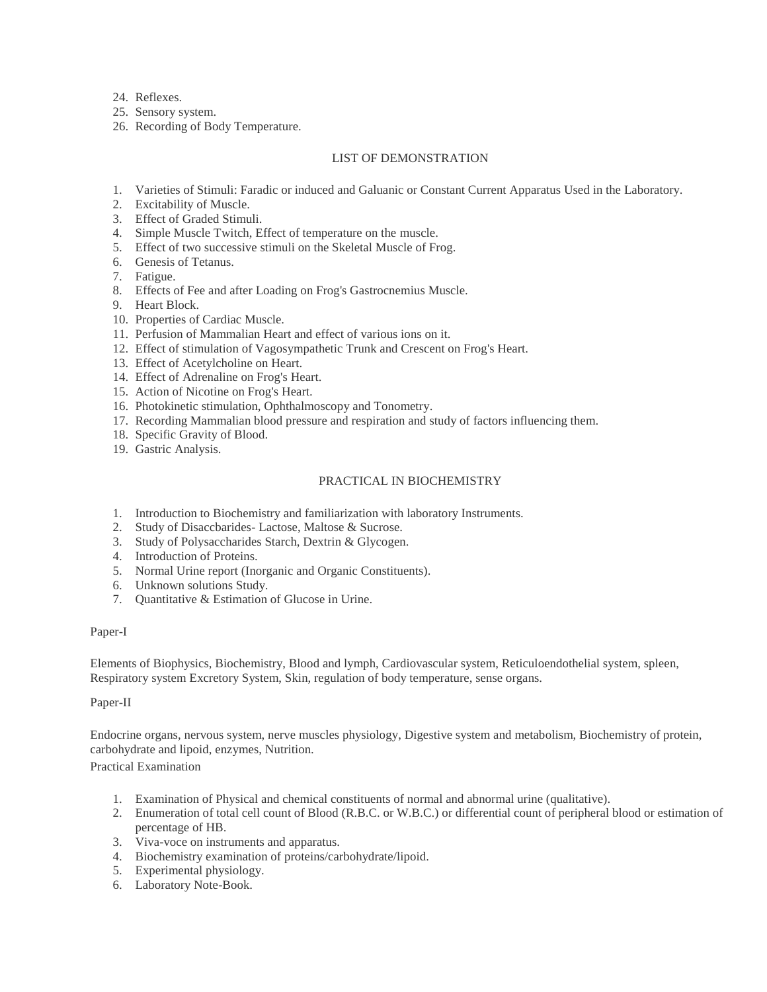24. Reflexes.

25. Sensory system.

26. Recording of Body Temperature.

## LIST OF DEMONSTRATION

- 1. Varieties of Stimuli: Faradic or induced and Galuanic or Constant Current Apparatus Used in the Laboratory.
- 2. Excitability of Muscle.
- 3. Effect of Graded Stimuli.
- 4. Simple Muscle Twitch, Effect of temperature on the muscle.
- 5. Effect of two successive stimuli on the Skeletal Muscle of Frog.
- 6. Genesis of Tetanus.
- 7. Fatigue.
- 8. Effects of Fee and after Loading on Frog's Gastrocnemius Muscle.
- 9. Heart Block.
- 10. Properties of Cardiac Muscle.
- 11. Perfusion of Mammalian Heart and effect of various ions on it.
- 12. Effect of stimulation of Vagosympathetic Trunk and Crescent on Frog's Heart.
- 13. Effect of Acetylcholine on Heart.
- 14. Effect of Adrenaline on Frog's Heart.
- 15. Action of Nicotine on Frog's Heart.
- 16. Photokinetic stimulation, Ophthalmoscopy and Tonometry.
- 17. Recording Mammalian blood pressure and respiration and study of factors influencing them.
- 18. Specific Gravity of Blood.
- 19. Gastric Analysis.

## PRACTICAL IN BIOCHEMISTRY

- 1. Introduction to Biochemistry and familiarization with laboratory Instruments.
- 2. Study of Disaccbarides- Lactose, Maltose & Sucrose.
- 3. Study of Polysaccharides Starch, Dextrin & Glycogen.
- 4. Introduction of Proteins.
- 5. Normal Urine report (Inorganic and Organic Constituents).
- 6. Unknown solutions Study.
- 7. Quantitative & Estimation of Glucose in Urine.

## Paper-I

Elements of Biophysics, Biochemistry, Blood and lymph, Cardiovascular system, Reticuloendothelial system, spleen, Respiratory system Excretory System, Skin, regulation of body temperature, sense organs.

## Paper-II

Endocrine organs, nervous system, nerve muscles physiology, Digestive system and metabolism, Biochemistry of protein, carbohydrate and lipoid, enzymes, Nutrition.

Practical Examination

- 1. Examination of Physical and chemical constituents of normal and abnormal urine (qualitative).
- 2. Enumeration of total cell count of Blood (R.B.C. or W.B.C.) or differential count of peripheral blood or estimation of percentage of HB.
- 3. Viva-voce on instruments and apparatus.
- 4. Biochemistry examination of proteins/carbohydrate/lipoid.
- 5. Experimental physiology.
- 6. Laboratory Note-Book.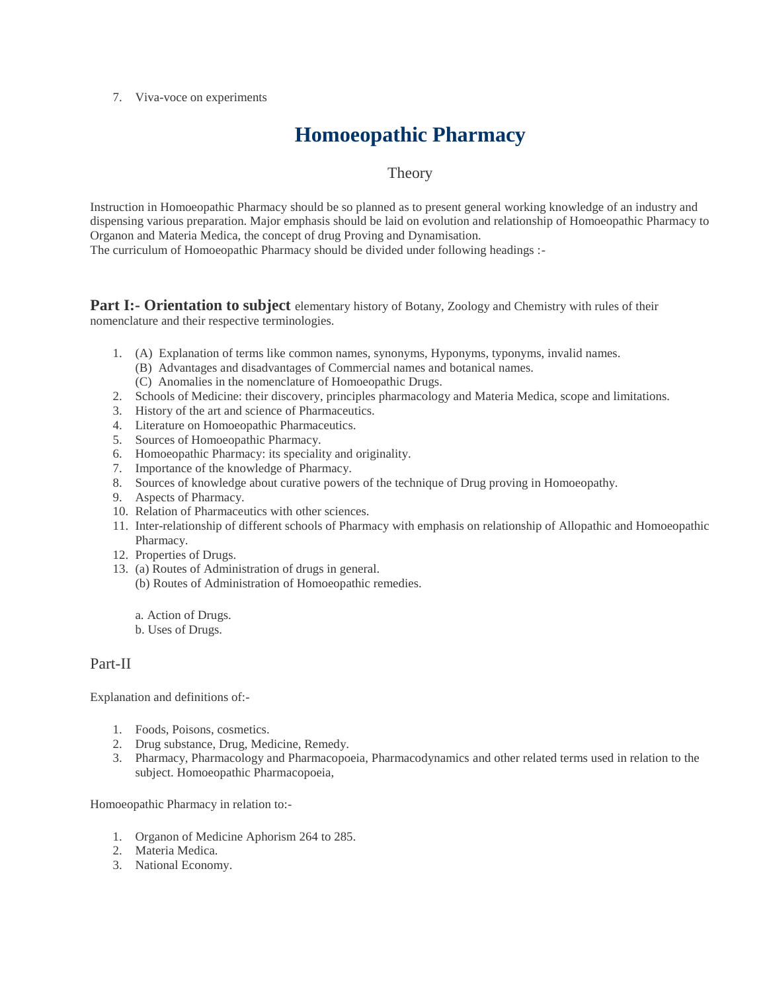7. Viva-voce on experiments

# **Homoeopathic Pharmacy**

# **Theory**

Instruction in Homoeopathic Pharmacy should be so planned as to present general working knowledge of an industry and dispensing various preparation. Major emphasis should be laid on evolution and relationship of Homoeopathic Pharmacy to Organon and Materia Medica, the concept of drug Proving and Dynamisation. The curriculum of Homoeopathic Pharmacy should be divided under following headings :-

**Part I:- Orientation to subject** elementary history of Botany, Zoology and Chemistry with rules of their nomenclature and their respective terminologies.

- 1. (A) Explanation of terms like common names, synonyms, Hyponyms, typonyms, invalid names.
	- (B) Advantages and disadvantages of Commercial names and botanical names.
	- (C) Anomalies in the nomenclature of Homoeopathic Drugs.
- 2. Schools of Medicine: their discovery, principles pharmacology and Materia Medica, scope and limitations.
- 3. History of the art and science of Pharmaceutics.
- 4. Literature on Homoeopathic Pharmaceutics.
- 5. Sources of Homoeopathic Pharmacy.
- 6. Homoeopathic Pharmacy: its speciality and originality.
- 7. Importance of the knowledge of Pharmacy.
- 8. Sources of knowledge about curative powers of the technique of Drug proving in Homoeopathy.
- 9. Aspects of Pharmacy.
- 10. Relation of Pharmaceutics with other sciences.
- 11. Inter-relationship of different schools of Pharmacy with emphasis on relationship of Allopathic and Homoeopathic Pharmacy.
- 12. Properties of Drugs.
- 13. (a) Routes of Administration of drugs in general.
	- (b) Routes of Administration of Homoeopathic remedies.

a. Action of Drugs.

b. Uses of Drugs.

# Part-II

Explanation and definitions of:-

- 1. Foods, Poisons, cosmetics.
- 2. Drug substance, Drug, Medicine, Remedy.
- 3. Pharmacy, Pharmacology and Pharmacopoeia, Pharmacodynamics and other related terms used in relation to the subject. Homoeopathic Pharmacopoeia,

Homoeopathic Pharmacy in relation to:-

- 1. Organon of Medicine Aphorism 264 to 285.
- 2. Materia Medica.
- 3. National Economy.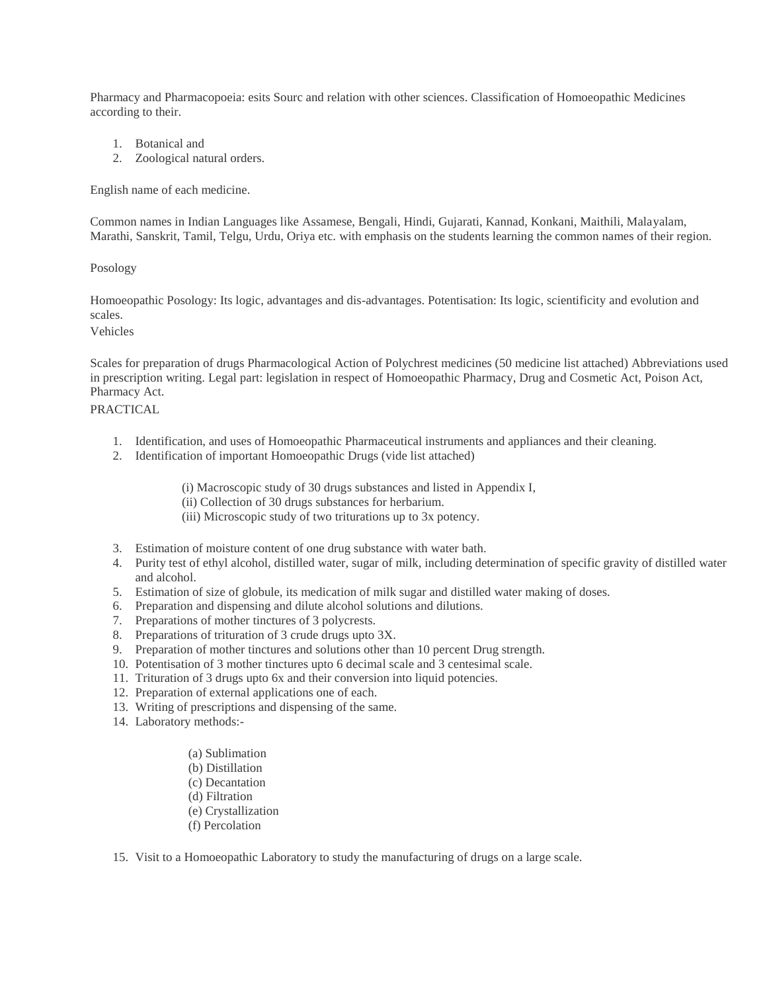Pharmacy and Pharmacopoeia: esits Sourc and relation with other sciences. Classification of Homoeopathic Medicines according to their.

- 1. Botanical and
- 2. Zoological natural orders.

English name of each medicine.

Common names in Indian Languages like Assamese, Bengali, Hindi, Gujarati, Kannad, Konkani, Maithili, Malayalam, Marathi, Sanskrit, Tamil, Telgu, Urdu, Oriya etc. with emphasis on the students learning the common names of their region.

### Posology

Homoeopathic Posology: Its logic, advantages and dis-advantages. Potentisation: Its logic, scientificity and evolution and scales.

Vehicles

Scales for preparation of drugs Pharmacological Action of Polychrest medicines (50 medicine list attached) Abbreviations used in prescription writing. Legal part: legislation in respect of Homoeopathic Pharmacy, Drug and Cosmetic Act, Poison Act, Pharmacy Act. PRACTICAL

- 1. Identification, and uses of Homoeopathic Pharmaceutical instruments and appliances and their cleaning.
- 2. Identification of important Homoeopathic Drugs (vide list attached)

(i) Macroscopic study of 30 drugs substances and listed in Appendix I,

- (ii) Collection of 30 drugs substances for herbarium.
- (iii) Microscopic study of two triturations up to 3x potency.
- 3. Estimation of moisture content of one drug substance with water bath.
- 4. Purity test of ethyl alcohol, distilled water, sugar of milk, including determination of specific gravity of distilled water and alcohol.
- 5. Estimation of size of globule, its medication of milk sugar and distilled water making of doses.
- 6. Preparation and dispensing and dilute alcohol solutions and dilutions.
- 7. Preparations of mother tinctures of 3 polycrests.
- 8. Preparations of trituration of 3 crude drugs upto 3X.
- 9. Preparation of mother tinctures and solutions other than 10 percent Drug strength.
- 10. Potentisation of 3 mother tinctures upto 6 decimal scale and 3 centesimal scale.
- 11. Trituration of 3 drugs upto 6x and their conversion into liquid potencies.
- 12. Preparation of external applications one of each.
- 13. Writing of prescriptions and dispensing of the same.
- 14. Laboratory methods:-
	- (a) Sublimation
	- (b) Distillation
	- (c) Decantation
	- (d) Filtration
	- (e) Crystallization
	- (f) Percolation
- 15. Visit to a Homoeopathic Laboratory to study the manufacturing of drugs on a large scale.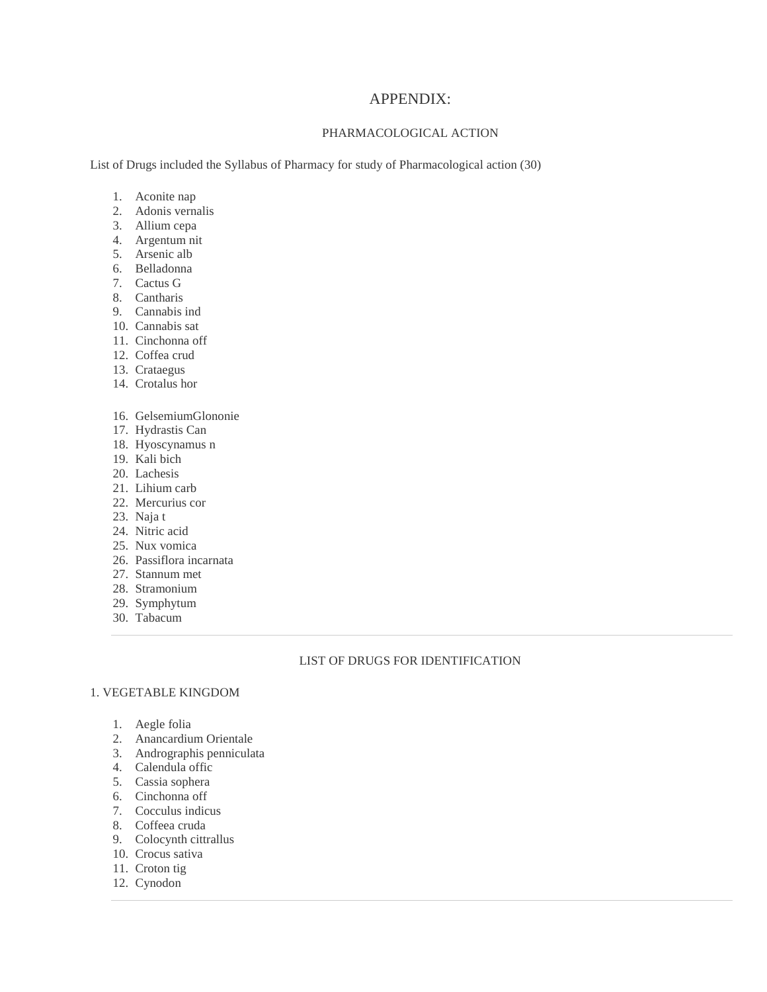## APPENDIX:

## PHARMACOLOGICAL ACTION

List of Drugs included the Syllabus of Pharmacy for study of Pharmacological action (30)

- 1. Aconite nap
- 2. Adonis vernalis
- 3. Allium cepa
- 4. Argentum nit
- 5. Arsenic alb
- 6. Belladonna
- 7. Cactus G
- 8. Cantharis
- 9. Cannabis ind
- 10. Cannabis sat
- 11. Cinchonna off
- 12. Coffea crud
- 13. Crataegus
- 14. Crotalus hor
- 16. GelsemiumGlononie
- 17. Hydrastis Can
- 18. Hyoscynamus n
- 19. Kali bich
- 20. Lachesis
- 21. Lihium carb
- 22. Mercurius cor
- 23. Naja t
- 24. Nitric acid
- 25. Nux vomica
- 26. Passiflora incarnata
- 27. Stannum met
- 28. Stramonium
- 29. Symphytum
- 30. Tabacum

## LIST OF DRUGS FOR IDENTIFICATION

### 1. VEGETABLE KINGDOM

- 1. Aegle folia
- 2. Anancardium Orientale
- 3. Andrographis penniculata
- 4. Calendula offic
- 5. Cassia sophera
- 6. Cinchonna off
- 7. Cocculus indicus
- 8. Coffeea cruda
- 9. Colocynth cittrallus
- 10. Crocus sativa
- 11. Croton tig
- 12. Cynodon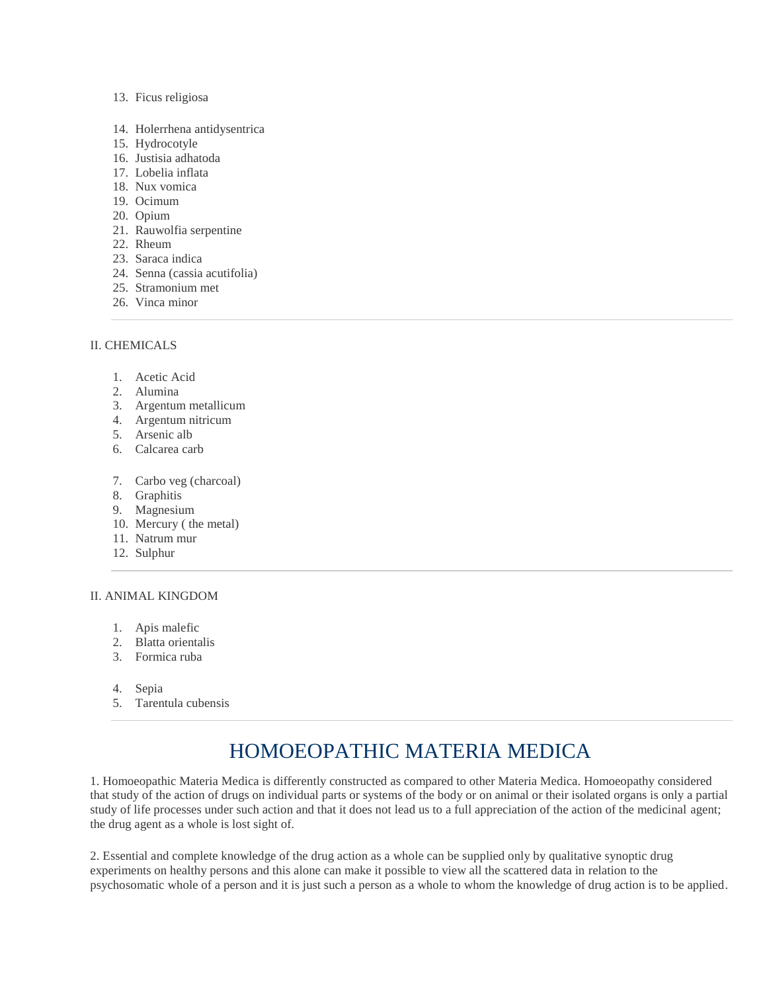### 13. Ficus religiosa

- 14. Holerrhena antidysentrica
- 15. Hydrocotyle
- 16. Justisia adhatoda
- 17. Lobelia inflata
- 18. Nux vomica
- 19. Ocimum
- 20. Opium
- 21. Rauwolfia serpentine
- 22. Rheum
- 23. Saraca indica
- 24. Senna (cassia acutifolia)
- 25. Stramonium met
- 26. Vinca minor

## II. CHEMICALS

- 1. Acetic Acid
- 2. Alumina
- 3. Argentum metallicum
- 4. Argentum nitricum
- 5. Arsenic alb
- 6. Calcarea carb
- 7. Carbo veg (charcoal)
- 8. Graphitis
- 9. Magnesium
- 10. Mercury ( the metal)
- 11. Natrum mur
- 12. Sulphur

### II. ANIMAL KINGDOM

- 1. Apis malefic
- 2. Blatta orientalis
- 3. Formica ruba
- 4. Sepia
- 5. Tarentula cubensis

# HOMOEOPATHIC MATERIA MEDICA

1. Homoeopathic Materia Medica is differently constructed as compared to other Materia Medica. Homoeopathy considered that study of the action of drugs on individual parts or systems of the body or on animal or their isolated organs is only a partial study of life processes under such action and that it does not lead us to a full appreciation of the action of the medicinal agent; the drug agent as a whole is lost sight of.

2. Essential and complete knowledge of the drug action as a whole can be supplied only by qualitative synoptic drug experiments on healthy persons and this alone can make it possible to view all the scattered data in relation to the psychosomatic whole of a person and it is just such a person as a whole to whom the knowledge of drug action is to be applied.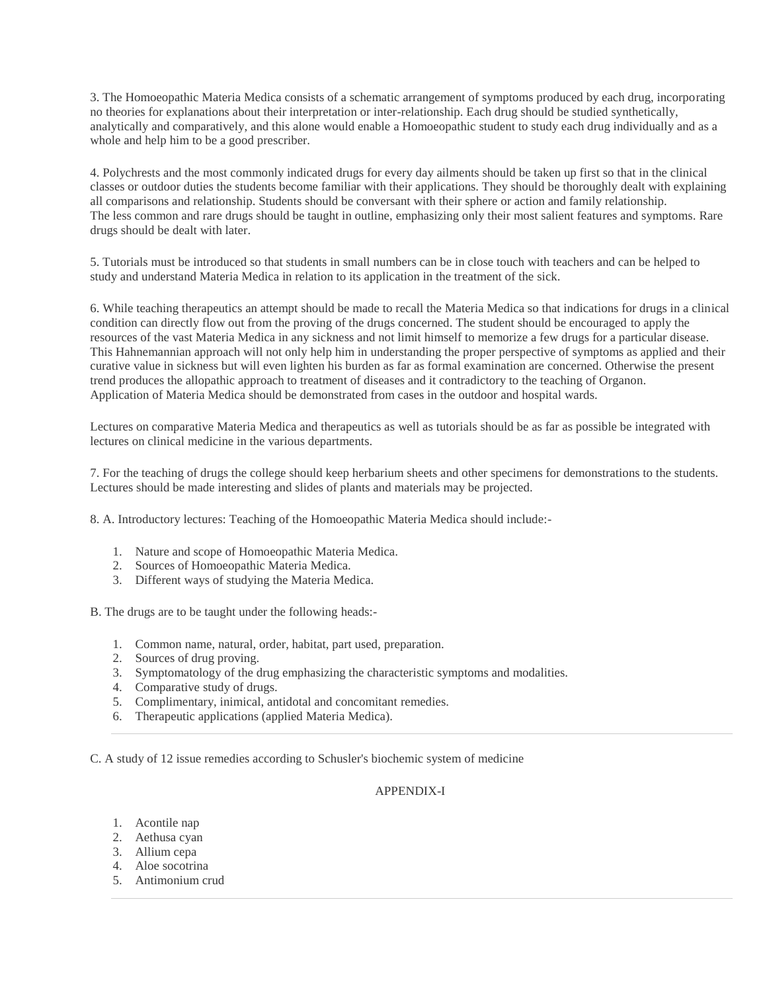3. The Homoeopathic Materia Medica consists of a schematic arrangement of symptoms produced by each drug, incorporating no theories for explanations about their interpretation or inter-relationship. Each drug should be studied synthetically, analytically and comparatively, and this alone would enable a Homoeopathic student to study each drug individually and as a whole and help him to be a good prescriber.

4. Polychrests and the most commonly indicated drugs for every day ailments should be taken up first so that in the clinical classes or outdoor duties the students become familiar with their applications. They should be thoroughly dealt with explaining all comparisons and relationship. Students should be conversant with their sphere or action and family relationship. The less common and rare drugs should be taught in outline, emphasizing only their most salient features and symptoms. Rare drugs should be dealt with later.

5. Tutorials must be introduced so that students in small numbers can be in close touch with teachers and can be helped to study and understand Materia Medica in relation to its application in the treatment of the sick.

6. While teaching therapeutics an attempt should be made to recall the Materia Medica so that indications for drugs in a clinical condition can directly flow out from the proving of the drugs concerned. The student should be encouraged to apply the resources of the vast Materia Medica in any sickness and not limit himself to memorize a few drugs for a particular disease. This Hahnemannian approach will not only help him in understanding the proper perspective of symptoms as applied and their curative value in sickness but will even lighten his burden as far as formal examination are concerned. Otherwise the present trend produces the allopathic approach to treatment of diseases and it contradictory to the teaching of Organon. Application of Materia Medica should be demonstrated from cases in the outdoor and hospital wards.

Lectures on comparative Materia Medica and therapeutics as well as tutorials should be as far as possible be integrated with lectures on clinical medicine in the various departments.

7. For the teaching of drugs the college should keep herbarium sheets and other specimens for demonstrations to the students. Lectures should be made interesting and slides of plants and materials may be projected.

8. A. Introductory lectures: Teaching of the Homoeopathic Materia Medica should include:-

- 1. Nature and scope of Homoeopathic Materia Medica.
- 2. Sources of Homoeopathic Materia Medica.
- 3. Different ways of studying the Materia Medica.

B. The drugs are to be taught under the following heads:-

- 1. Common name, natural, order, habitat, part used, preparation.
- 2. Sources of drug proving.
- 3. Symptomatology of the drug emphasizing the characteristic symptoms and modalities.
- 4. Comparative study of drugs.
- 5. Complimentary, inimical, antidotal and concomitant remedies.
- 6. Therapeutic applications (applied Materia Medica).

C. A study of 12 issue remedies according to Schusler's biochemic system of medicine

## APPENDIX-I

- 1. Acontile nap
- 2. Aethusa cyan
- 3. Allium cepa
- 4. Aloe socotrina
- 5. Antimonium crud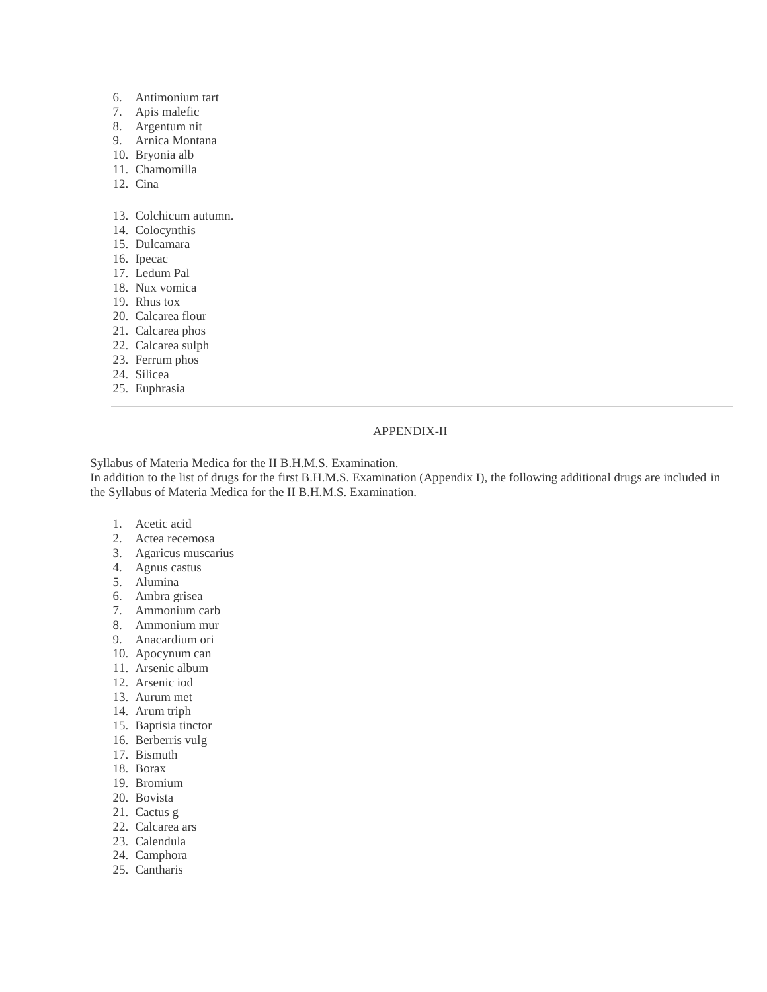- 6. Antimonium tart
- 7. Apis malefic
- 8. Argentum nit
- 9. Arnica Montana
- 10. Bryonia alb
- 11. Chamomilla
- 12. Cina
- 13. Colchicum autumn.
- 14. Colocynthis
- 15. Dulcamara
- 16. Ipecac
- 17. Ledum Pal
- 18. Nux vomica
- 19. Rhus tox
- 20. Calcarea flour
- 21. Calcarea phos
- 22. Calcarea sulph
- 23. Ferrum phos
- 24. Silicea
- 25. Euphrasia

## APPENDIX-II

Syllabus of Materia Medica for the II B.H.M.S. Examination.

In addition to the list of drugs for the first B.H.M.S. Examination (Appendix I), the following additional drugs are included in the Syllabus of Materia Medica for the II B.H.M.S. Examination.

- 1. Acetic acid
- 2. Actea recemosa
- 3. Agaricus muscarius
- 4. Agnus castus
- 5. Alumina
- 6. Ambra grisea
- 7. Ammonium carb
- 8. Ammonium mur
- 9. Anacardium ori
- 10. Apocynum can
- 11. Arsenic album
- 12. Arsenic iod
- 13. Aurum met
- 14. Arum triph
- 15. Baptisia tinctor
- 16. Berberris vulg
- 17. Bismuth
- 18. Borax
- 19. Bromium
- 20. Bovista
- 21. Cactus g
- 22. Calcarea ars
- 23. Calendula
- 24. Camphora
- 25. Cantharis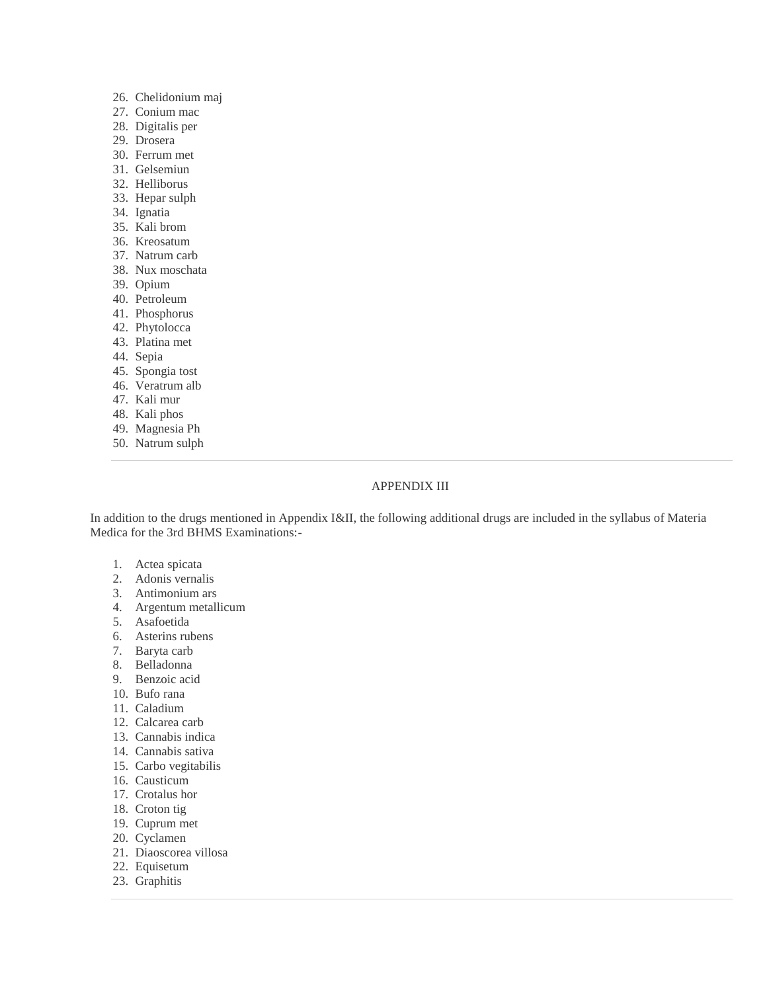- 26. Chelidonium maj
- 27. Conium mac
- 28. Digitalis per
- 29. Drosera
- 30. Ferrum met
- 31. Gelsemiun
- 32. Helliborus
- 33. Hepar sulph
- 34. Ignatia
- 35. Kali brom
- 36. Kreosatum
- 37. Natrum carb
- 38. Nux moschata
- 39. Opium
- 40. Petroleum
- 41. Phosphorus
- 42. Phytolocca
- 43. Platina met
- 44. Sepia
- 45. Spongia tost
- 46. Veratrum alb
- 47. Kali mur
- 48. Kali phos
- 49. Magnesia Ph
- 50. Natrum sulph

#### APPENDIX III

In addition to the drugs mentioned in Appendix I&II, the following additional drugs are included in the syllabus of Materia Medica for the 3rd BHMS Examinations:-

- 1. Actea spicata
- 2. Adonis vernalis
- 3. Antimonium ars
- 4. Argentum metallicum
- 5. Asafoetida
- 6. Asterins rubens
- 7. Baryta carb
- 8. Belladonna
- 9. Benzoic acid
- 10. Bufo rana
- 11. Caladium
- 12. Calcarea carb
- 13. Cannabis indica
- 14. Cannabis sativa
- 15. Carbo vegitabilis
- 16. Causticum
- 17. Crotalus hor
- 18. Croton tig
- 19. Cuprum met
- 20. Cyclamen
- 21. Diaoscorea villosa
- 22. Equisetum
- 23. Graphitis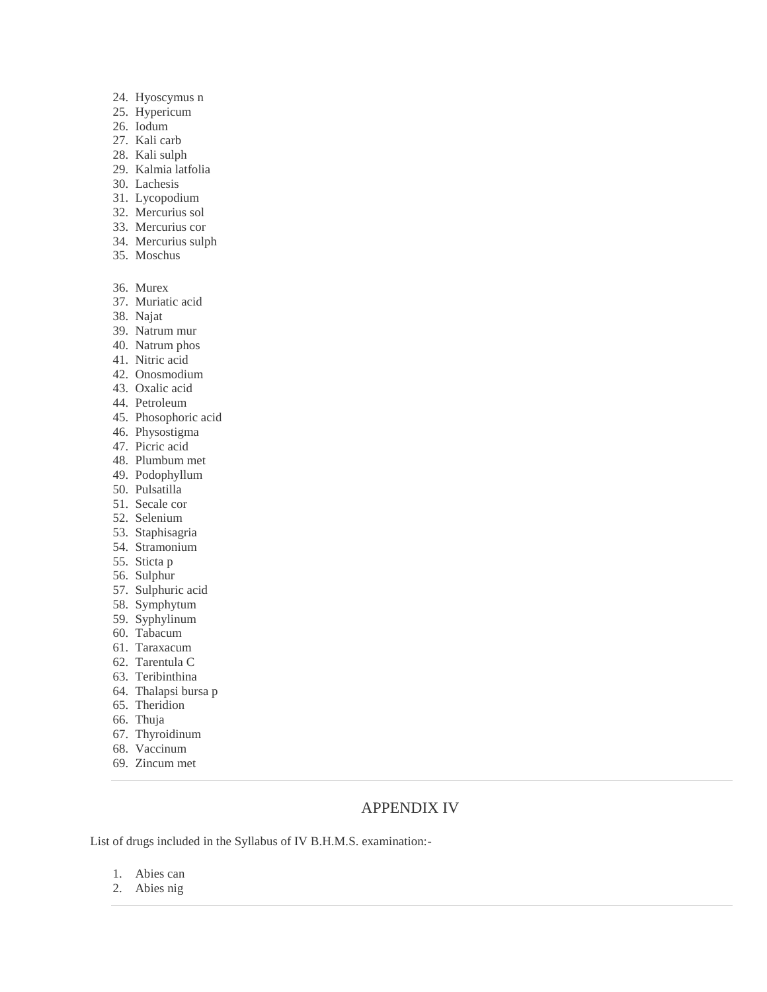- 24. Hyoscymus n
- 25. Hypericum
- 26. Iodum
- 27. Kali carb
- 28. Kali sulph
- 29. Kalmia latfolia
- 30. Lachesis
- 31. Lycopodium
- 32. Mercurius sol
- 33. Mercurius cor
- 34. Mercurius sulph
- 35. Moschus
- 36. Murex
- 37. Muriatic acid
- 38. Najat
- 39. Natrum mur
- 40. Natrum phos
- 41. Nitric acid
- 42. Onosmodium
- 43. Oxalic acid
- 44. Petroleum
- 45. Phosophoric acid
- 46. Physostigma
- 47. Picric acid
- 48. Plumbum met
- 49. Podophyllum
- 50. Pulsatilla
- 51. Secale cor
- 52. Selenium
- 53. Staphisagria
- 54. Stramonium
- 55. Sticta p
- 56. Sulphur
- 57. Sulphuric acid
- 58. Symphytum
- 59. Syphylinum
- 60. Tabacum
- 61. Taraxacum
- 62. Tarentula C
- 63. Teribinthina
- 64. Thalapsi bursa p
- 65. Theridion
- 66. Thuja
- 67. Thyroidinum
- 68. Vaccinum
- 69. Zincum met

# APPENDIX IV

List of drugs included in the Syllabus of IV B.H.M.S. examination:-

- 1. Abies can
- 2. Abies nig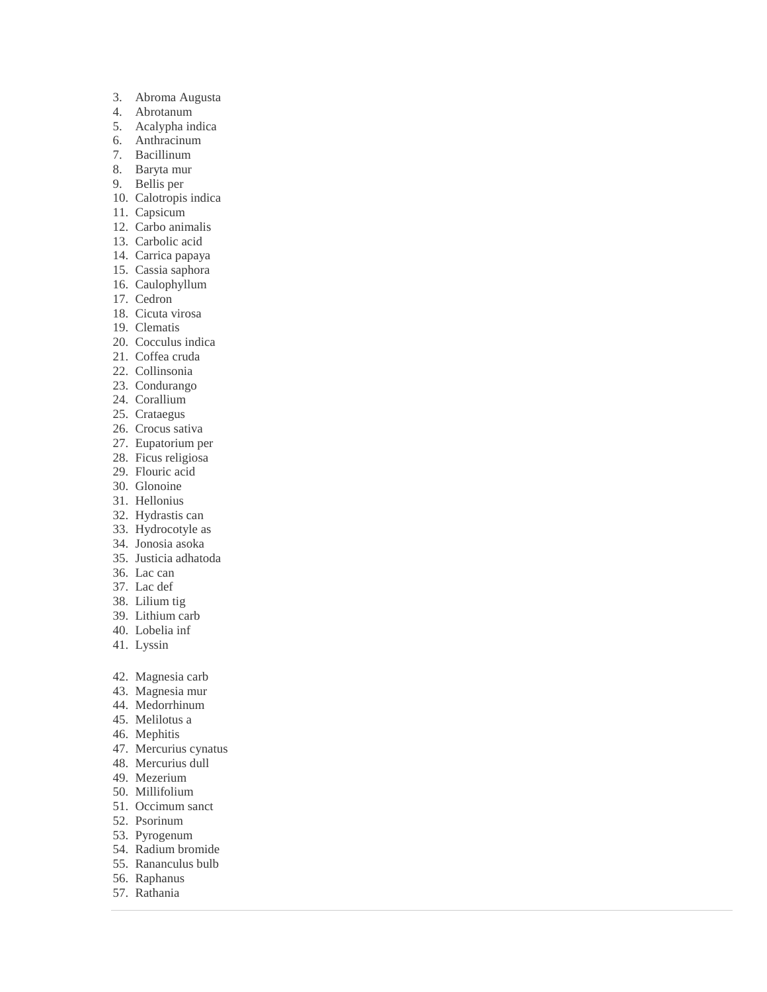- 3. Abroma Augusta
- 4. Abrotanum
- 5. Acalypha indica
- 6. Anthracinum
- 7. Bacillinum
- 8. Baryta mur
- 9. Bellis per
- 10. Calotropis indica
- 11. Capsicum
- 12. Carbo animalis
- 13. Carbolic acid
- 14. Carrica papaya
- 15. Cassia saphora
- 16. Caulophyllum
- 17. Cedron
- 18. Cicuta virosa
- 19. Clematis
- 20. Cocculus indica
- 21. Coffea cruda
- 22. Collinsonia
- 23. Condurango
- 24. Corallium
- 25. Crataegus
- 26. Crocus sativa
- 27. Eupatorium per 28. Ficus religiosa
- 29. Flouric acid
- 30. Glonoine
- 31. Hellonius
- 32. Hydrastis can
- 33. Hydrocotyle as
- 34. Jonosia asoka
- 35. Justicia adhatoda
- 36. Lac can
- 37. Lac def
- 38. Lilium tig
- 39. Lithium carb
- 40. Lobelia inf
- 41. Lyssin
- 42. Magnesia carb
- 43. Magnesia mur
- 44. Medorrhinum
- 45. Melilotus a
- 46. Mephitis
- 47. Mercurius cynatus
- 48. Mercurius dull
- 49. Mezerium
- 50. Millifolium
- 51. Occimum sanct
- 52. Psorinum
- 53. Pyrogenum
- 54. Radium bromide
- 55. Rananculus bulb
- 56. Raphanus
- 57. Rathania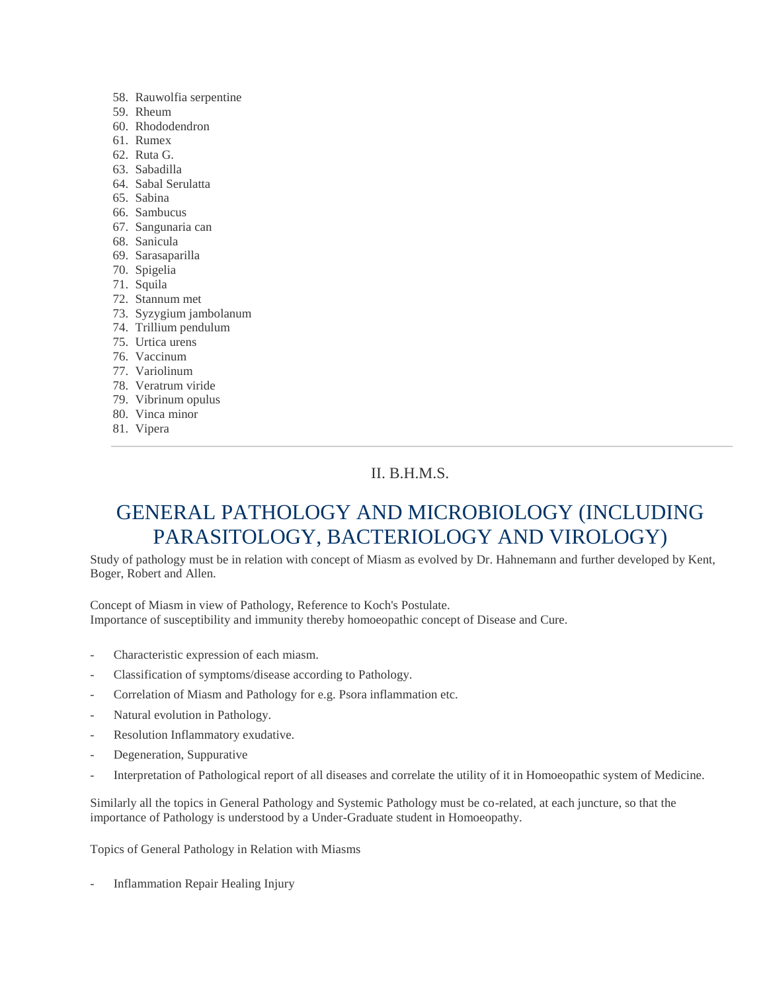- 58. Rauwolfia serpentine
- 59. Rheum
- 60. Rhododendron
- 61. Rumex
- 62. Ruta G.
- 63. Sabadilla
- 64. Sabal Serulatta
- 65. Sabina
- 66. Sambucus
- 67. Sangunaria can
- 68. Sanicula
- 69. Sarasaparilla
- 70. Spigelia
- 71. Squila
- 72. Stannum met
- 73. Syzygium jambolanum
- 74. Trillium pendulum
- 75. Urtica urens
- 76. Vaccinum
- 77. Variolinum
- 78. Veratrum viride
- 79. Vibrinum opulus
- 80. Vinca minor
- 81. Vipera

# II. B.H.M.S.

# GENERAL PATHOLOGY AND MICROBIOLOGY (INCLUDING PARASITOLOGY, BACTERIOLOGY AND VIROLOGY)

Study of pathology must be in relation with concept of Miasm as evolved by Dr. Hahnemann and further developed by Kent, Boger, Robert and Allen.

Concept of Miasm in view of Pathology, Reference to Koch's Postulate. Importance of susceptibility and immunity thereby homoeopathic concept of Disease and Cure.

- Characteristic expression of each miasm.
- Classification of symptoms/disease according to Pathology.
- Correlation of Miasm and Pathology for e.g. Psora inflammation etc.
- Natural evolution in Pathology.
- Resolution Inflammatory exudative.
- Degeneration, Suppurative
- Interpretation of Pathological report of all diseases and correlate the utility of it in Homoeopathic system of Medicine.

Similarly all the topics in General Pathology and Systemic Pathology must be co-related, at each juncture, so that the importance of Pathology is understood by a Under-Graduate student in Homoeopathy.

Topics of General Pathology in Relation with Miasms

- Inflammation Repair Healing Injury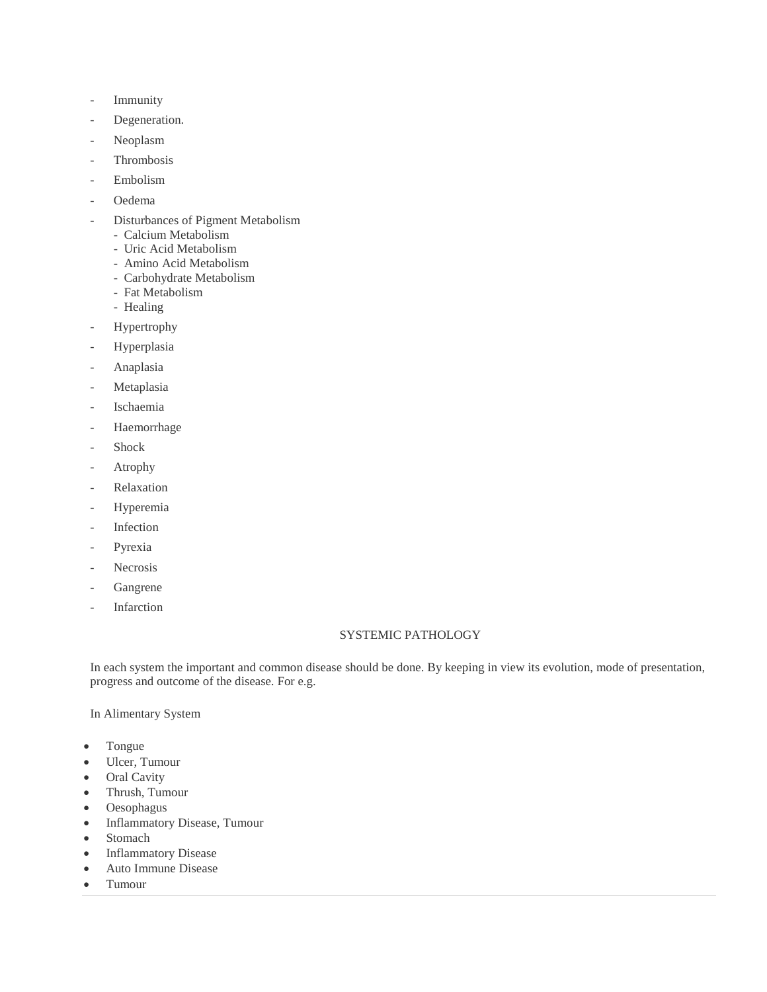- **Immunity**
- Degeneration.
- Neoplasm
- Thrombosis
- Embolism
- Oedema
- Disturbances of Pigment Metabolism
	- Calcium Metabolism
	- Uric Acid Metabolism
	- Amino Acid Metabolism
	- Carbohydrate Metabolism
	- Fat Metabolism
	- Healing
- Hypertrophy
- **Hyperplasia**
- Anaplasia
- Metaplasia
- Ischaemia
- Haemorrhage
- Shock
- **Atrophy**
- **Relaxation**
- Hyperemia
- **Infection**
- Pyrexia
- Necrosis
- **Gangrene**
- **Infarction**

### SYSTEMIC PATHOLOGY

In each system the important and common disease should be done. By keeping in view its evolution, mode of presentation, progress and outcome of the disease. For e.g.

In Alimentary System

- Tongue
- Ulcer, Tumour
- Oral Cavity
- Thrush, Tumour
- Oesophagus
- Inflammatory Disease, Tumour
- Stomach
- Inflammatory Disease
- Auto Immune Disease
- Tumour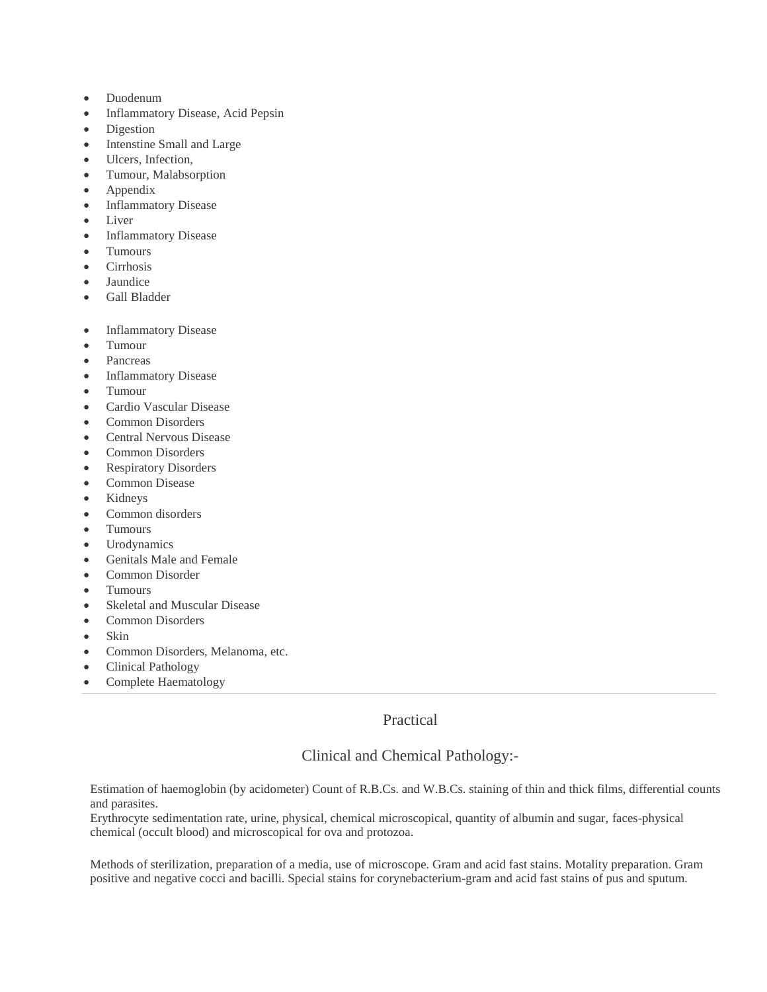- Duodenum
- Inflammatory Disease, Acid Pepsin
- Digestion
- Intenstine Small and Large
- Ulcers, Infection,
- Tumour, Malabsorption
- Appendix
- Inflammatory Disease
- Liver
- Inflammatory Disease
- Tumours
- Cirrhosis
- Jaundice
- Gall Bladder
- Inflammatory Disease
- Tumour
- Pancreas
- Inflammatory Disease
- Tumour
- Cardio Vascular Disease
- Common Disorders
- Central Nervous Disease
- Common Disorders
- Respiratory Disorders
- Common Disease
- Kidneys
- Common disorders
- Tumours
- Urodynamics
- Genitals Male and Female
- Common Disorder
- Tumours
- Skeletal and Muscular Disease
- Common Disorders
- Skin
- Common Disorders, Melanoma, etc.
- Clinical Pathology
- Complete Haematology

Practical

# Clinical and Chemical Pathology:-

Estimation of haemoglobin (by acidometer) Count of R.B.Cs. and W.B.Cs. staining of thin and thick films, differential counts and parasites.

Erythrocyte sedimentation rate, urine, physical, chemical microscopical, quantity of albumin and sugar, faces-physical chemical (occult blood) and microscopical for ova and protozoa.

Methods of sterilization, preparation of a media, use of microscope. Gram and acid fast stains. Motality preparation. Gram positive and negative cocci and bacilli. Special stains for corynebacterium-gram and acid fast stains of pus and sputum.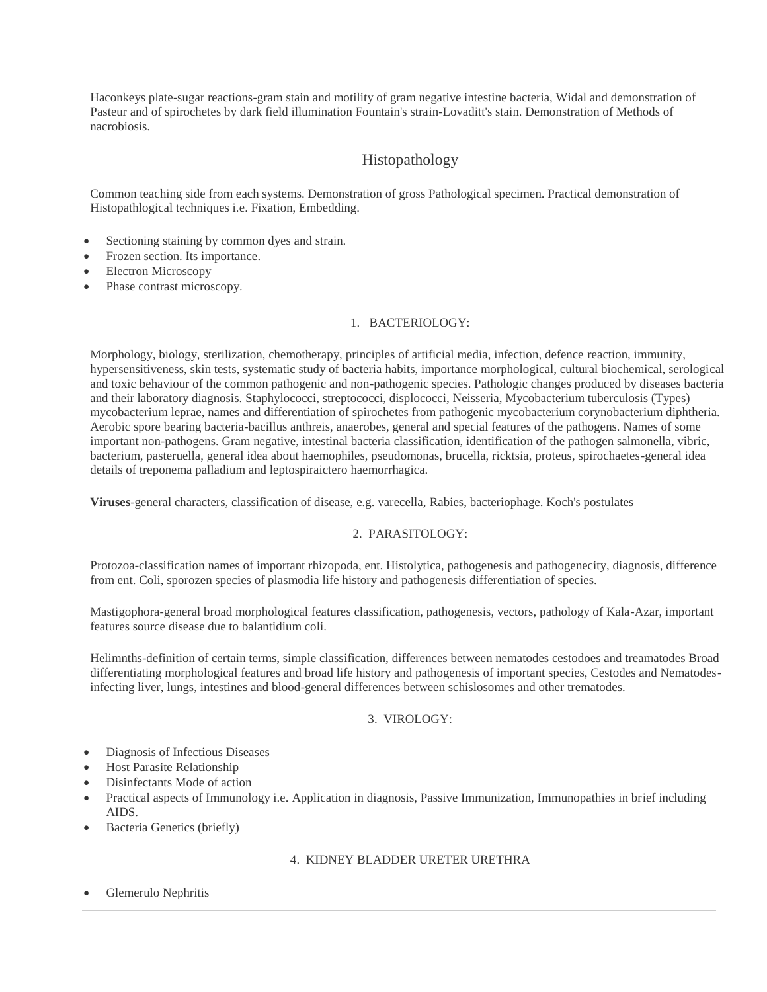Haconkeys plate-sugar reactions-gram stain and motility of gram negative intestine bacteria, Widal and demonstration of Pasteur and of spirochetes by dark field illumination Fountain's strain-Lovaditt's stain. Demonstration of Methods of nacrobiosis.

# Histopathology

Common teaching side from each systems. Demonstration of gross Pathological specimen. Practical demonstration of Histopathlogical techniques i.e. Fixation, Embedding.

- Sectioning staining by common dyes and strain.
- Frozen section. Its importance.
- Electron Microscopy
- Phase contrast microscopy.

## 1. BACTERIOLOGY:

Morphology, biology, sterilization, chemotherapy, principles of artificial media, infection, defence reaction, immunity, hypersensitiveness, skin tests, systematic study of bacteria habits, importance morphological, cultural biochemical, serological and toxic behaviour of the common pathogenic and non-pathogenic species. Pathologic changes produced by diseases bacteria and their laboratory diagnosis. Staphylococci, streptococci, displococci, Neisseria, Mycobacterium tuberculosis (Types) mycobacterium leprae, names and differentiation of spirochetes from pathogenic mycobacterium corynobacterium diphtheria. Aerobic spore bearing bacteria-bacillus anthreis, anaerobes, general and special features of the pathogens. Names of some important non-pathogens. Gram negative, intestinal bacteria classification, identification of the pathogen salmonella, vibric, bacterium, pasteruella, general idea about haemophiles, pseudomonas, brucella, ricktsia, proteus, spirochaetes-general idea details of treponema palladium and leptospiraictero haemorrhagica.

**Viruses**-general characters, classification of disease, e.g. varecella, Rabies, bacteriophage. Koch's postulates

## 2. PARASITOLOGY:

Protozoa-classification names of important rhizopoda, ent. Histolytica, pathogenesis and pathogenecity, diagnosis, difference from ent. Coli, sporozen species of plasmodia life history and pathogenesis differentiation of species.

Mastigophora-general broad morphological features classification, pathogenesis, vectors, pathology of Kala-Azar, important features source disease due to balantidium coli.

Helimnths-definition of certain terms, simple classification, differences between nematodes cestodoes and treamatodes Broad differentiating morphological features and broad life history and pathogenesis of important species, Cestodes and Nematodesinfecting liver, lungs, intestines and blood-general differences between schislosomes and other trematodes.

## 3. VIROLOGY:

- Diagnosis of Infectious Diseases
- Host Parasite Relationship
- Disinfectants Mode of action
- Practical aspects of Immunology i.e. Application in diagnosis, Passive Immunization, Immunopathies in brief including AIDS.
- Bacteria Genetics (briefly)

## 4. KIDNEY BLADDER URETER URETHRA

Glemerulo Nephritis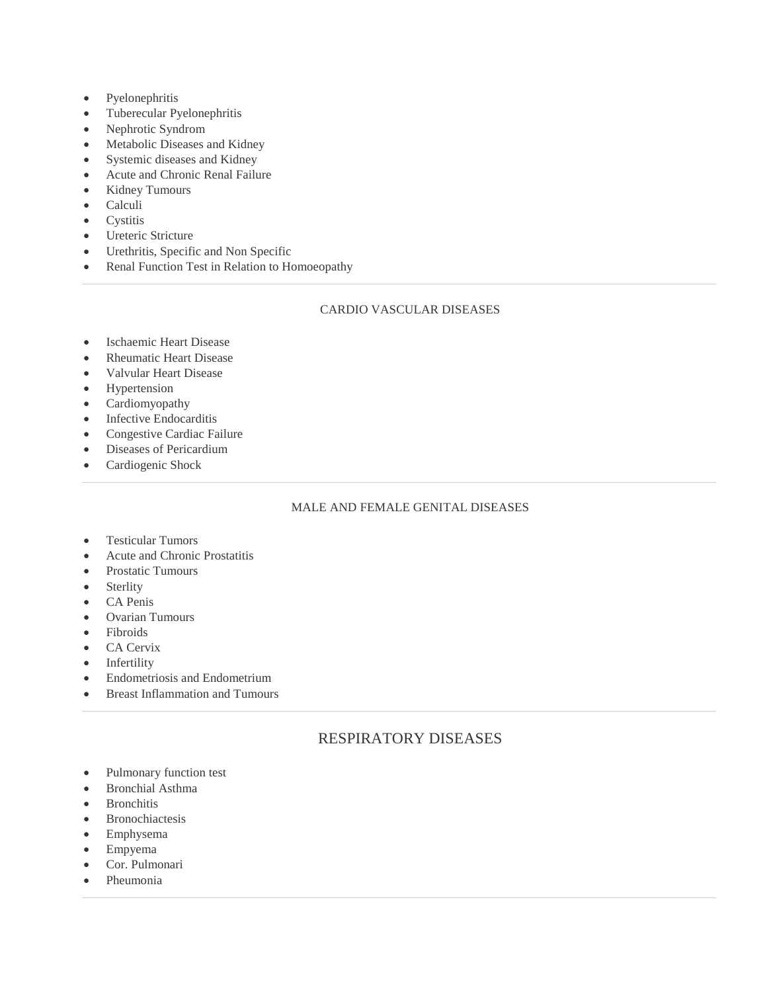- Pyelonephritis
- Tuberecular Pyelonephritis
- Nephrotic Syndrom
- Metabolic Diseases and Kidney
- Systemic diseases and Kidney
- Acute and Chronic Renal Failure
- Kidney Tumours
- Calculi
- Cystitis
- Ureteric Stricture
- Urethritis, Specific and Non Specific
- Renal Function Test in Relation to Homoeopathy

## CARDIO VASCULAR DISEASES

- Ischaemic Heart Disease
- Rheumatic Heart Disease
- Valvular Heart Disease
- Hypertension
- Cardiomyopathy
- Infective Endocarditis
- Congestive Cardiac Failure
- Diseases of Pericardium
- Cardiogenic Shock

## MALE AND FEMALE GENITAL DISEASES

- Testicular Tumors
- Acute and Chronic Prostatitis
- Prostatic Tumours
- Sterlity
- CA Penis
- Ovarian Tumours
- Fibroids
- CA Cervix
- Infertility
- Endometriosis and Endometrium
- Breast Inflammation and Tumours

# RESPIRATORY DISEASES

- Pulmonary function test
- Bronchial Asthma
- Bronchitis
- Bronochiactesis
- Emphysema
- Empyema
- Cor. Pulmonari
- Pheumonia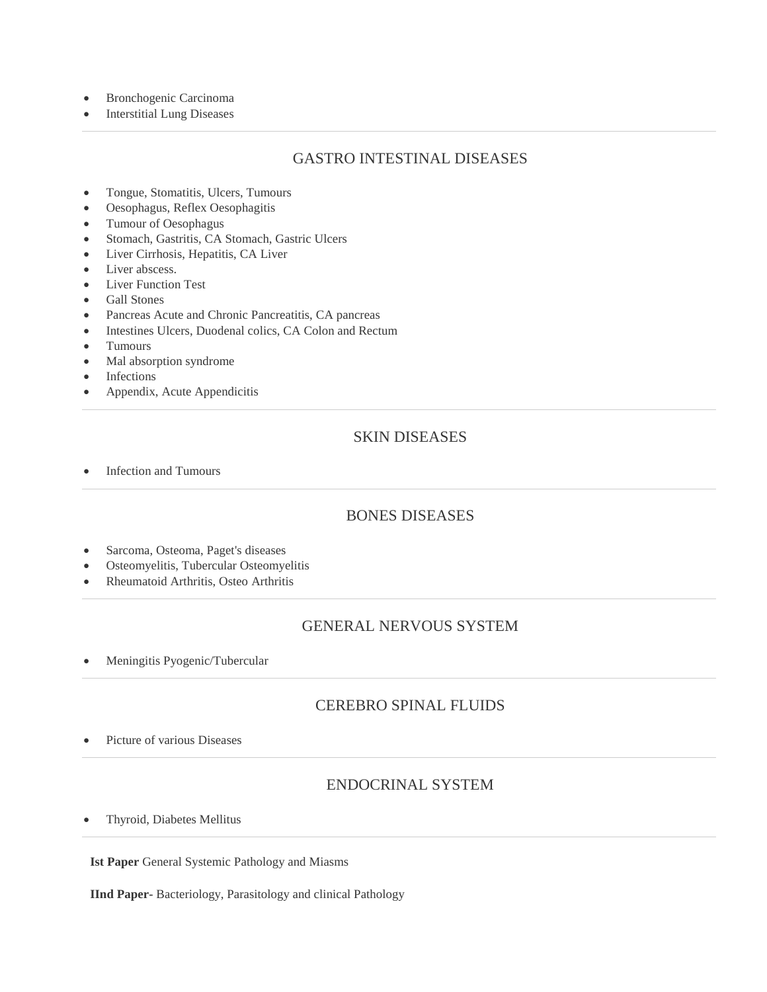- Bronchogenic Carcinoma
- Interstitial Lung Diseases

# GASTRO INTESTINAL DISEASES

- Tongue, Stomatitis, Ulcers, Tumours
- Oesophagus, Reflex Oesophagitis
- Tumour of Oesophagus
- Stomach, Gastritis, CA Stomach, Gastric Ulcers
- Liver Cirrhosis, Hepatitis, CA Liver
- Liver abscess.
- Liver Function Test
- Gall Stones
- Pancreas Acute and Chronic Pancreatitis, CA pancreas
- Intestines Ulcers, Duodenal colics, CA Colon and Rectum
- Tumours
- Mal absorption syndrome
- Infections
- Appendix, Acute Appendicitis

# SKIN DISEASES

• Infection and Tumours

# BONES DISEASES

- Sarcoma, Osteoma, Paget's diseases
- Osteomyelitis, Tubercular Osteomyelitis
- Rheumatoid Arthritis, Osteo Arthritis

# GENERAL NERVOUS SYSTEM

Meningitis Pyogenic/Tubercular

## CEREBRO SPINAL FLUIDS

Picture of various Diseases

# ENDOCRINAL SYSTEM

Thyroid, Diabetes Mellitus

**Ist Paper** General Systemic Pathology and Miasms

**IInd Paper-** Bacteriology, Parasitology and clinical Pathology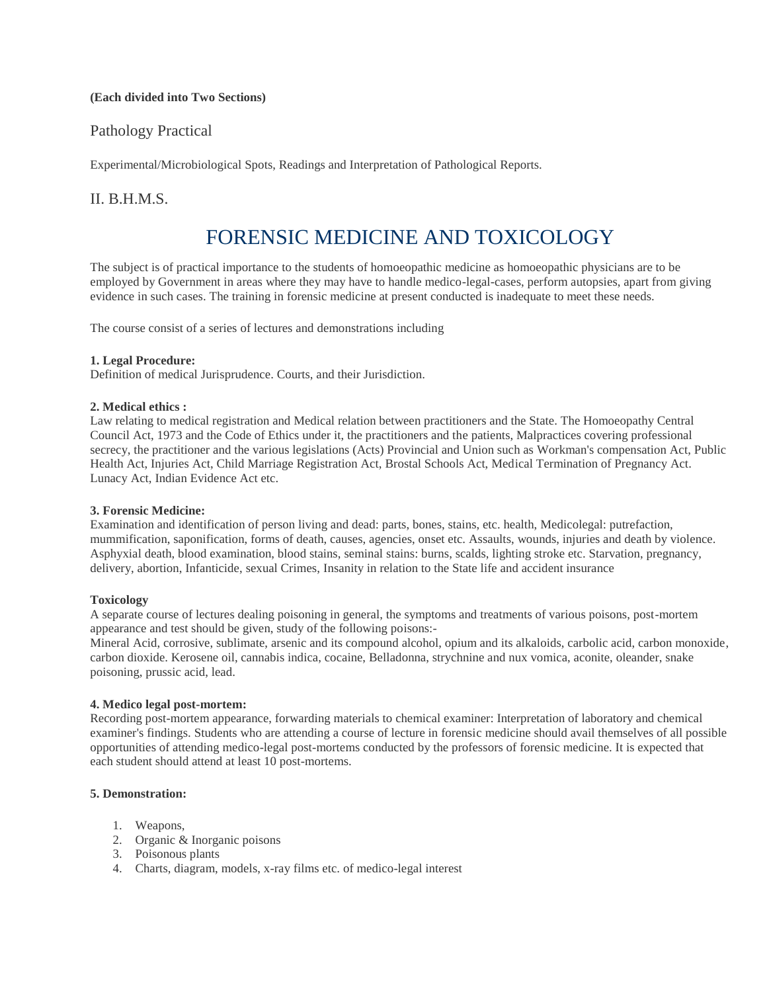## **(Each divided into Two Sections)**

## Pathology Practical

Experimental/Microbiological Spots, Readings and Interpretation of Pathological Reports.

## II. B.H.M.S.

# FORENSIC MEDICINE AND TOXICOLOGY

The subject is of practical importance to the students of homoeopathic medicine as homoeopathic physicians are to be employed by Government in areas where they may have to handle medico-legal-cases, perform autopsies, apart from giving evidence in such cases. The training in forensic medicine at present conducted is inadequate to meet these needs.

The course consist of a series of lectures and demonstrations including

#### **1. Legal Procedure:**

Definition of medical Jurisprudence. Courts, and their Jurisdiction.

### **2. Medical ethics :**

Law relating to medical registration and Medical relation between practitioners and the State. The Homoeopathy Central Council Act, 1973 and the Code of Ethics under it, the practitioners and the patients, Malpractices covering professional secrecy, the practitioner and the various legislations (Acts) Provincial and Union such as Workman's compensation Act, Public Health Act, Injuries Act, Child Marriage Registration Act, Brostal Schools Act, Medical Termination of Pregnancy Act. Lunacy Act, Indian Evidence Act etc.

#### **3. Forensic Medicine:**

Examination and identification of person living and dead: parts, bones, stains, etc. health, Medicolegal: putrefaction, mummification, saponification, forms of death, causes, agencies, onset etc. Assaults, wounds, injuries and death by violence. Asphyxial death, blood examination, blood stains, seminal stains: burns, scalds, lighting stroke etc. Starvation, pregnancy, delivery, abortion, Infanticide, sexual Crimes, Insanity in relation to the State life and accident insurance

#### **Toxicology**

A separate course of lectures dealing poisoning in general, the symptoms and treatments of various poisons, post-mortem appearance and test should be given, study of the following poisons:-

Mineral Acid, corrosive, sublimate, arsenic and its compound alcohol, opium and its alkaloids, carbolic acid, carbon monoxide, carbon dioxide. Kerosene oil, cannabis indica, cocaine, Belladonna, strychnine and nux vomica, aconite, oleander, snake poisoning, prussic acid, lead.

#### **4. Medico legal post-mortem:**

Recording post-mortem appearance, forwarding materials to chemical examiner: Interpretation of laboratory and chemical examiner's findings. Students who are attending a course of lecture in forensic medicine should avail themselves of all possible opportunities of attending medico-legal post-mortems conducted by the professors of forensic medicine. It is expected that each student should attend at least 10 post-mortems.

#### **5. Demonstration:**

- 1. Weapons,
- 2. Organic & Inorganic poisons
- 3. Poisonous plants
- 4. Charts, diagram, models, x-ray films etc. of medico-legal interest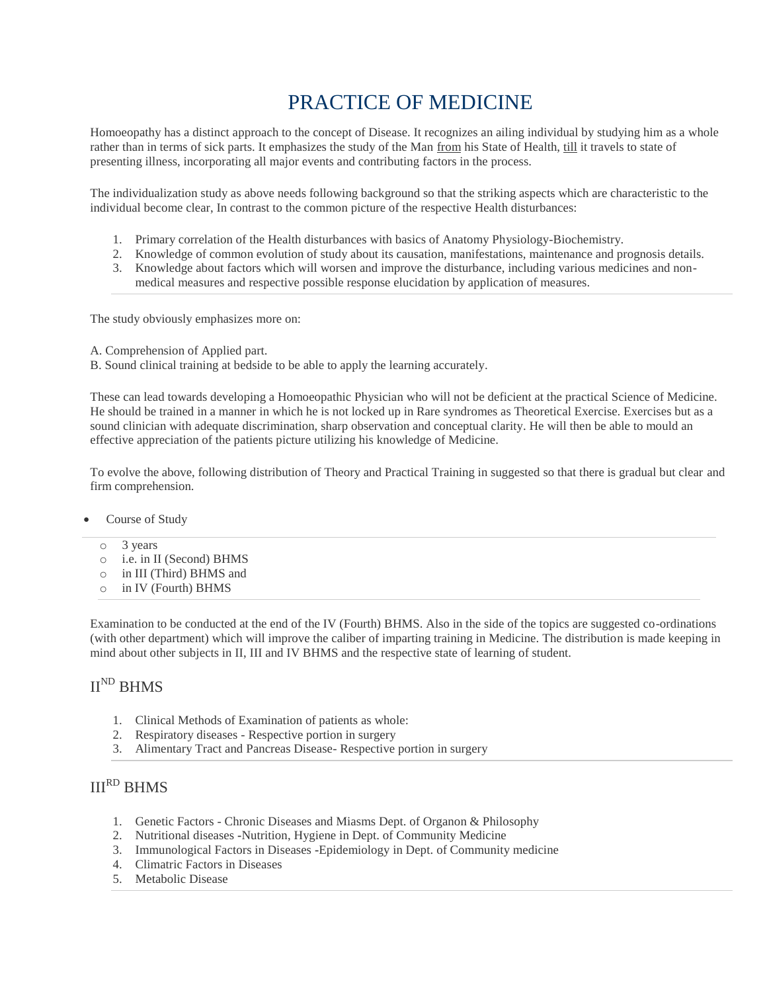# PRACTICE OF MEDICINE

Homoeopathy has a distinct approach to the concept of Disease. It recognizes an ailing individual by studying him as a whole rather than in terms of sick parts. It emphasizes the study of the Man from his State of Health, till it travels to state of presenting illness, incorporating all major events and contributing factors in the process.

The individualization study as above needs following background so that the striking aspects which are characteristic to the individual become clear, In contrast to the common picture of the respective Health disturbances:

- 1. Primary correlation of the Health disturbances with basics of Anatomy Physiology-Biochemistry.
- 2. Knowledge of common evolution of study about its causation, manifestations, maintenance and prognosis details.
- 3. Knowledge about factors which will worsen and improve the disturbance, including various medicines and nonmedical measures and respective possible response elucidation by application of measures.

The study obviously emphasizes more on:

A. Comprehension of Applied part.

B. Sound clinical training at bedside to be able to apply the learning accurately.

These can lead towards developing a Homoeopathic Physician who will not be deficient at the practical Science of Medicine. He should be trained in a manner in which he is not locked up in Rare syndromes as Theoretical Exercise. Exercises but as a sound clinician with adequate discrimination, sharp observation and conceptual clarity. He will then be able to mould an effective appreciation of the patients picture utilizing his knowledge of Medicine.

To evolve the above, following distribution of Theory and Practical Training in suggested so that there is gradual but clear and firm comprehension.

- Course of Study
	- o 3 years
	- o i.e. in II (Second) BHMS
	- o in III (Third) BHMS and
	- o in IV (Fourth) BHMS

Examination to be conducted at the end of the IV (Fourth) BHMS. Also in the side of the topics are suggested co-ordinations (with other department) which will improve the caliber of imparting training in Medicine. The distribution is made keeping in mind about other subjects in II, III and IV BHMS and the respective state of learning of student.

# $II<sup>ND</sup>$  BHMS

- 1. Clinical Methods of Examination of patients as whole:
- 2. Respiratory diseases Respective portion in surgery
- 3. Alimentary Tract and Pancreas Disease- Respective portion in surgery

# IIIRD BHMS

- 1. Genetic Factors Chronic Diseases and Miasms Dept. of Organon & Philosophy
- 2. Nutritional diseases **-**Nutrition, Hygiene in Dept. of Community Medicine
- 3. Immunological Factors in Diseases **-**Epidemiology in Dept. of Community medicine
- 4. Climatric Factors in Diseases
- 5. Metabolic Disease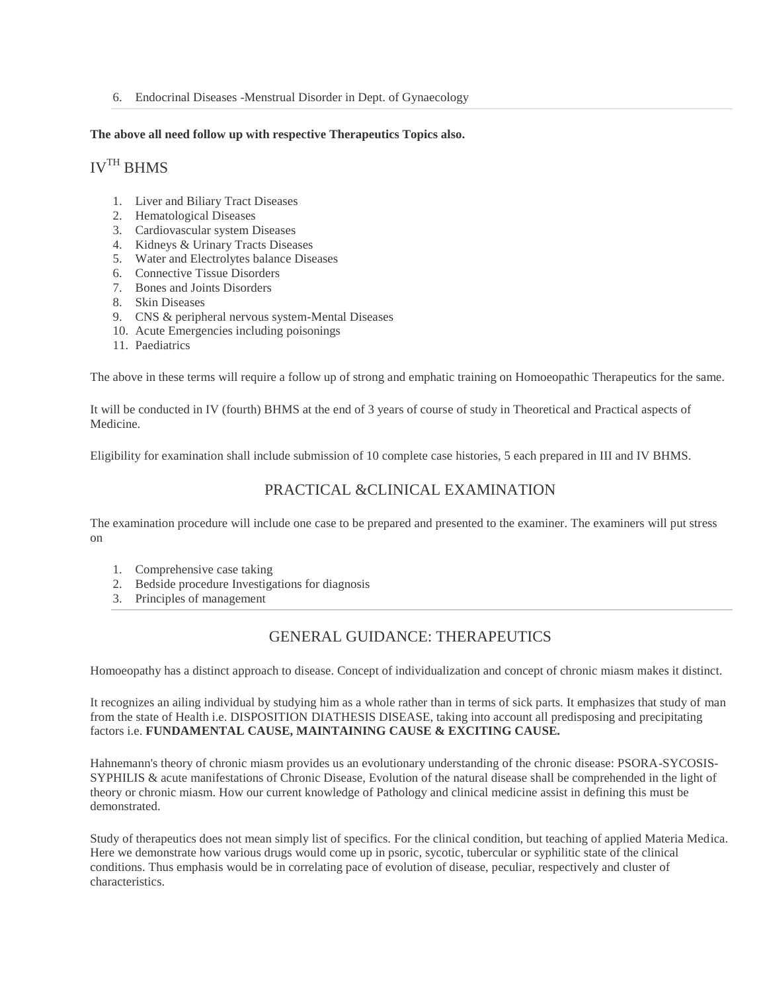6. Endocrinal Diseases -Menstrual Disorder in Dept. of Gynaecology

### **The above all need follow up with respective Therapeutics Topics also.**

# IVTH BHMS

- 1. Liver and Biliary Tract Diseases
- 2. Hematological Diseases
- 3. Cardiovascular system Diseases
- 4. Kidneys & Urinary Tracts Diseases
- 5. Water and Electrolytes balance Diseases
- 6. Connective Tissue Disorders
- 7. Bones and Joints Disorders
- 8. Skin Diseases
- 9. CNS & peripheral nervous system-Mental Diseases
- 10. Acute Emergencies including poisonings
- 11. Paediatrics

The above in these terms will require a follow up of strong and emphatic training on Homoeopathic Therapeutics for the same.

It will be conducted in IV (fourth) BHMS at the end of 3 years of course of study in Theoretical and Practical aspects of Medicine.

Eligibility for examination shall include submission of 10 complete case histories, 5 each prepared in III and IV BHMS.

# PRACTICAL &CLINICAL EXAMINATION

The examination procedure will include one case to be prepared and presented to the examiner. The examiners will put stress on

- 1. Comprehensive case taking
- 2. Bedside procedure Investigations for diagnosis
- 3. Principles of management

# GENERAL GUIDANCE: THERAPEUTICS

Homoeopathy has a distinct approach to disease. Concept of individualization and concept of chronic miasm makes it distinct.

It recognizes an ailing individual by studying him as a whole rather than in terms of sick parts. It emphasizes that study of man from the state of Health i.e. DISPOSITION DIATHESIS DISEASE, taking into account all predisposing and precipitating factors i.e. **FUNDAMENTAL CAUSE, MAINTAINING CAUSE & EXCITING CAUSE.**

Hahnemann's theory of chronic miasm provides us an evolutionary understanding of the chronic disease: PSORA-SYCOSIS-SYPHILIS & acute manifestations of Chronic Disease, Evolution of the natural disease shall be comprehended in the light of theory or chronic miasm. How our current knowledge of Pathology and clinical medicine assist in defining this must be demonstrated.

Study of therapeutics does not mean simply list of specifics. For the clinical condition, but teaching of applied Materia Medica. Here we demonstrate how various drugs would come up in psoric, sycotic, tubercular or syphilitic state of the clinical conditions. Thus emphasis would be in correlating pace of evolution of disease, peculiar, respectively and cluster of characteristics.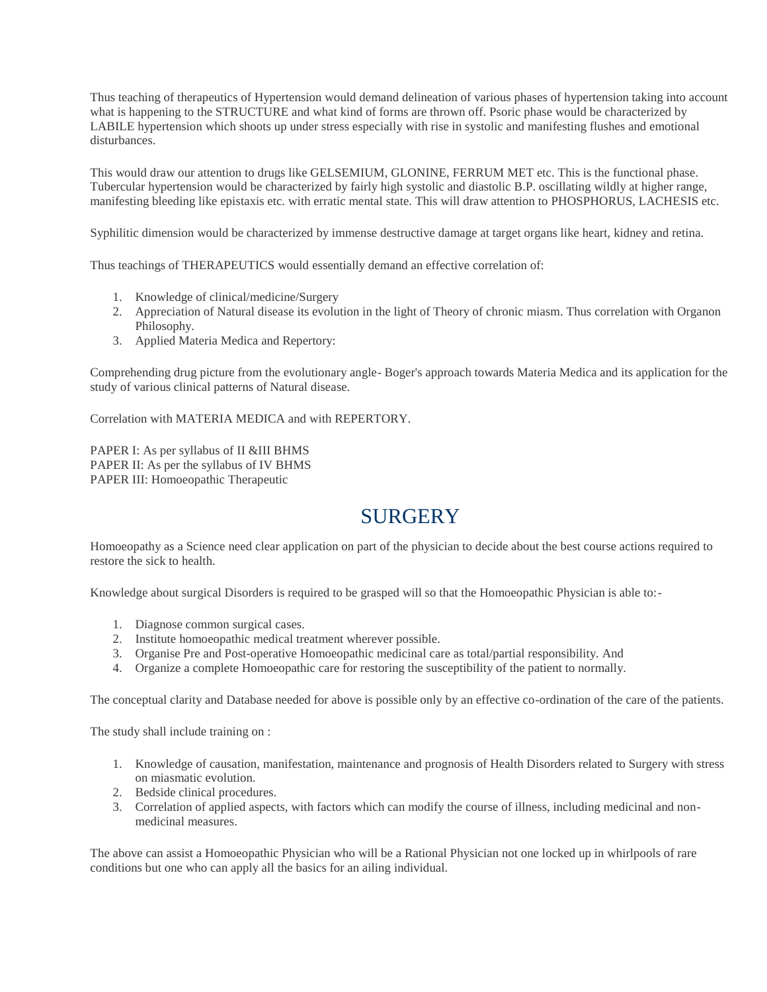Thus teaching of therapeutics of Hypertension would demand delineation of various phases of hypertension taking into account what is happening to the STRUCTURE and what kind of forms are thrown off. Psoric phase would be characterized by LABILE hypertension which shoots up under stress especially with rise in systolic and manifesting flushes and emotional disturbances.

This would draw our attention to drugs like GELSEMIUM, GLONINE, FERRUM MET etc. This is the functional phase. Tubercular hypertension would be characterized by fairly high systolic and diastolic B.P. oscillating wildly at higher range, manifesting bleeding like epistaxis etc. with erratic mental state. This will draw attention to PHOSPHORUS, LACHESIS etc.

Syphilitic dimension would be characterized by immense destructive damage at target organs like heart, kidney and retina.

Thus teachings of THERAPEUTICS would essentially demand an effective correlation of:

- 1. Knowledge of clinical/medicine/Surgery
- 2. Appreciation of Natural disease its evolution in the light of Theory of chronic miasm. Thus correlation with Organon Philosophy.
- 3. Applied Materia Medica and Repertory:

Comprehending drug picture from the evolutionary angle- Boger's approach towards Materia Medica and its application for the study of various clinical patterns of Natural disease.

Correlation with MATERIA MEDICA and with REPERTORY.

PAPER I: As per syllabus of II &III BHMS PAPER II: As per the syllabus of IV BHMS PAPER III: Homoeopathic Therapeutic

# **SURGERY**

Homoeopathy as a Science need clear application on part of the physician to decide about the best course actions required to restore the sick to health.

Knowledge about surgical Disorders is required to be grasped will so that the Homoeopathic Physician is able to:-

- 1. Diagnose common surgical cases.
- 2. Institute homoeopathic medical treatment wherever possible.
- 3. Organise Pre and Post-operative Homoeopathic medicinal care as total/partial responsibility. And
- 4. Organize a complete Homoeopathic care for restoring the susceptibility of the patient to normally.

The conceptual clarity and Database needed for above is possible only by an effective co-ordination of the care of the patients.

The study shall include training on :

- 1. Knowledge of causation, manifestation, maintenance and prognosis of Health Disorders related to Surgery with stress on miasmatic evolution.
- 2. Bedside clinical procedures.
- 3. Correlation of applied aspects, with factors which can modify the course of illness, including medicinal and nonmedicinal measures.

The above can assist a Homoeopathic Physician who will be a Rational Physician not one locked up in whirlpools of rare conditions but one who can apply all the basics for an ailing individual.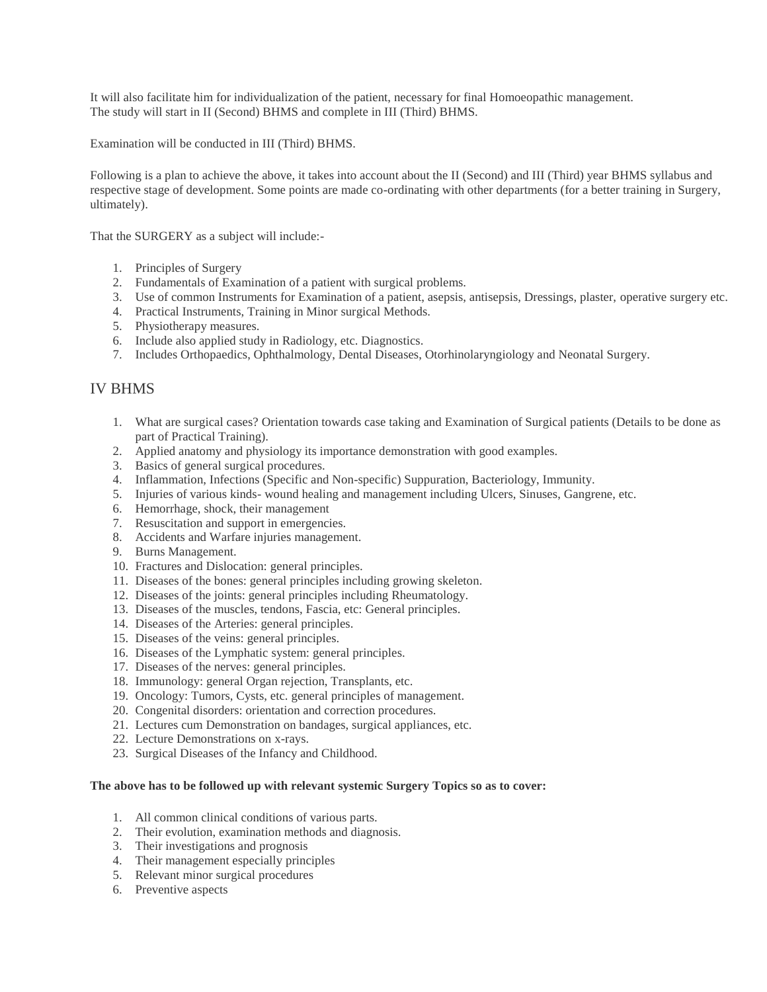It will also facilitate him for individualization of the patient, necessary for final Homoeopathic management. The study will start in II (Second) BHMS and complete in III (Third) BHMS.

Examination will be conducted in III (Third) BHMS.

Following is a plan to achieve the above, it takes into account about the II (Second) and III (Third) year BHMS syllabus and respective stage of development. Some points are made co-ordinating with other departments (for a better training in Surgery, ultimately).

That the SURGERY as a subject will include:-

- 1. Principles of Surgery
- 2. Fundamentals of Examination of a patient with surgical problems.
- 3. Use of common Instruments for Examination of a patient, asepsis, antisepsis, Dressings, plaster, operative surgery etc.
- 4. Practical Instruments, Training in Minor surgical Methods.
- 5. Physiotherapy measures.
- 6. Include also applied study in Radiology, etc. Diagnostics.
- 7. Includes Orthopaedics, Ophthalmology, Dental Diseases, Otorhinolaryngiology and Neonatal Surgery.

## IV BHMS

- 1. What are surgical cases? Orientation towards case taking and Examination of Surgical patients (Details to be done as part of Practical Training).
- 2. Applied anatomy and physiology its importance demonstration with good examples.
- 3. Basics of general surgical procedures.
- 4. Inflammation, Infections (Specific and Non-specific) Suppuration, Bacteriology, Immunity.
- 5. Injuries of various kinds- wound healing and management including Ulcers, Sinuses, Gangrene, etc.
- 6. Hemorrhage, shock, their management
- 7. Resuscitation and support in emergencies.
- 8. Accidents and Warfare injuries management.
- 9. Burns Management.
- 10. Fractures and Dislocation: general principles.
- 11. Diseases of the bones: general principles including growing skeleton.
- 12. Diseases of the joints: general principles including Rheumatology.
- 13. Diseases of the muscles, tendons, Fascia, etc: General principles.
- 14. Diseases of the Arteries: general principles.
- 15. Diseases of the veins: general principles.
- 16. Diseases of the Lymphatic system: general principles.
- 17. Diseases of the nerves: general principles.
- 18. Immunology: general Organ rejection, Transplants, etc.
- 19. Oncology: Tumors, Cysts, etc. general principles of management.
- 20. Congenital disorders: orientation and correction procedures.
- 21. Lectures cum Demonstration on bandages, surgical appliances, etc.
- 22. Lecture Demonstrations on x-rays.
- 23. Surgical Diseases of the Infancy and Childhood.

### **The above has to be followed up with relevant systemic Surgery Topics so as to cover:**

- 1. All common clinical conditions of various parts.
- 2. Their evolution, examination methods and diagnosis.
- 3. Their investigations and prognosis
- 4. Their management especially principles
- 5. Relevant minor surgical procedures
- 6. Preventive aspects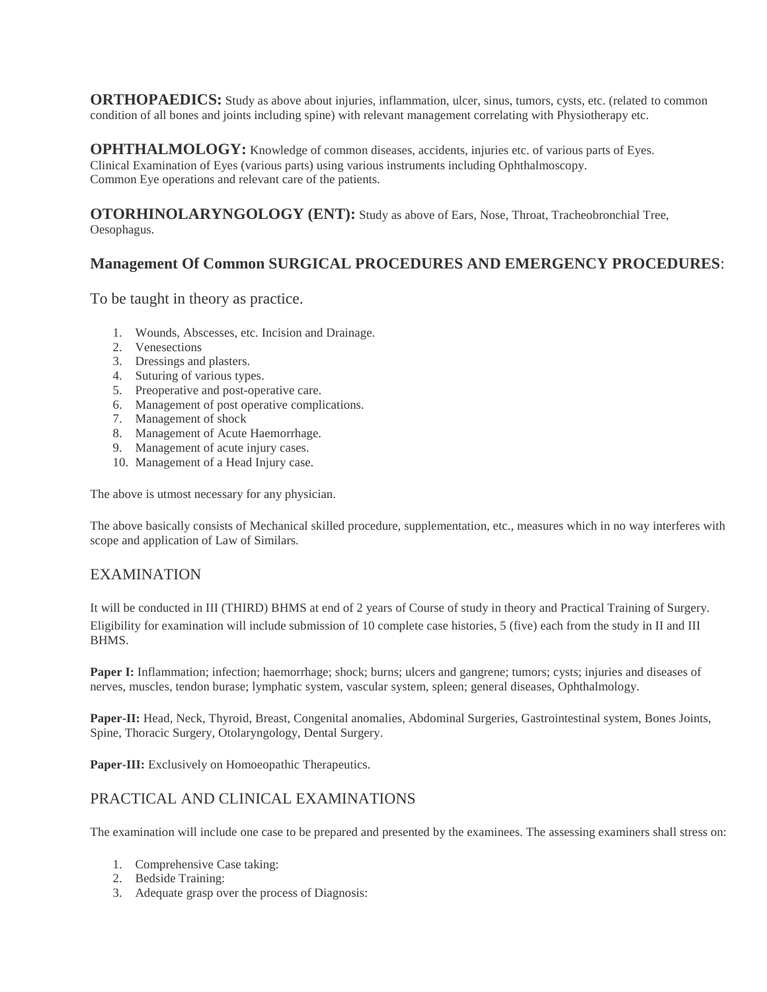**ORTHOPAEDICS:** Study as above about injuries, inflammation, ulcer, sinus, tumors, cysts, etc. (related to common condition of all bones and joints including spine) with relevant management correlating with Physiotherapy etc.

**OPHTHALMOLOGY:** Knowledge of common diseases, accidents, injuries etc. of various parts of Eyes. Clinical Examination of Eyes (various parts) using various instruments including Ophthalmoscopy. Common Eye operations and relevant care of the patients.

**OTORHINOLARYNGOLOGY (ENT):** Study as above of Ears, Nose, Throat, Tracheobronchial Tree, Oesophagus.

# **Management Of Common SURGICAL PROCEDURES AND EMERGENCY PROCEDURES**:

To be taught in theory as practice.

- 1. Wounds, Abscesses, etc. Incision and Drainage.
- 2. Venesections
- 3. Dressings and plasters.
- 4. Suturing of various types.
- 5. Preoperative and post-operative care.
- 6. Management of post operative complications.
- 7. Management of shock
- 8. Management of Acute Haemorrhage.
- 9. Management of acute injury cases.
- 10. Management of a Head Injury case.

The above is utmost necessary for any physician.

The above basically consists of Mechanical skilled procedure, supplementation, etc., measures which in no way interferes with scope and application of Law of Similars.

## EXAMINATION

It will be conducted in III (THIRD) BHMS at end of 2 years of Course of study in theory and Practical Training of Surgery. Eligibility for examination will include submission of 10 complete case histories, 5 (five) each from the study in II and III BHMS.

**Paper I:** Inflammation; infection; haemorrhage; shock; burns; ulcers and gangrene; tumors; cysts; injuries and diseases of nerves, muscles, tendon burase; lymphatic system, vascular system, spleen; general diseases, Ophthalmology.

**Paper-II:** Head, Neck, Thyroid, Breast, Congenital anomalies, Abdominal Surgeries, Gastrointestinal system, Bones Joints, Spine, Thoracic Surgery, Otolaryngology, Dental Surgery.

Paper-III: Exclusively on Homoeopathic Therapeutics.

## PRACTICAL AND CLINICAL EXAMINATIONS

The examination will include one case to be prepared and presented by the examinees. The assessing examiners shall stress on:

- 1. Comprehensive Case taking:
- 2. Bedside Training:
- 3. Adequate grasp over the process of Diagnosis: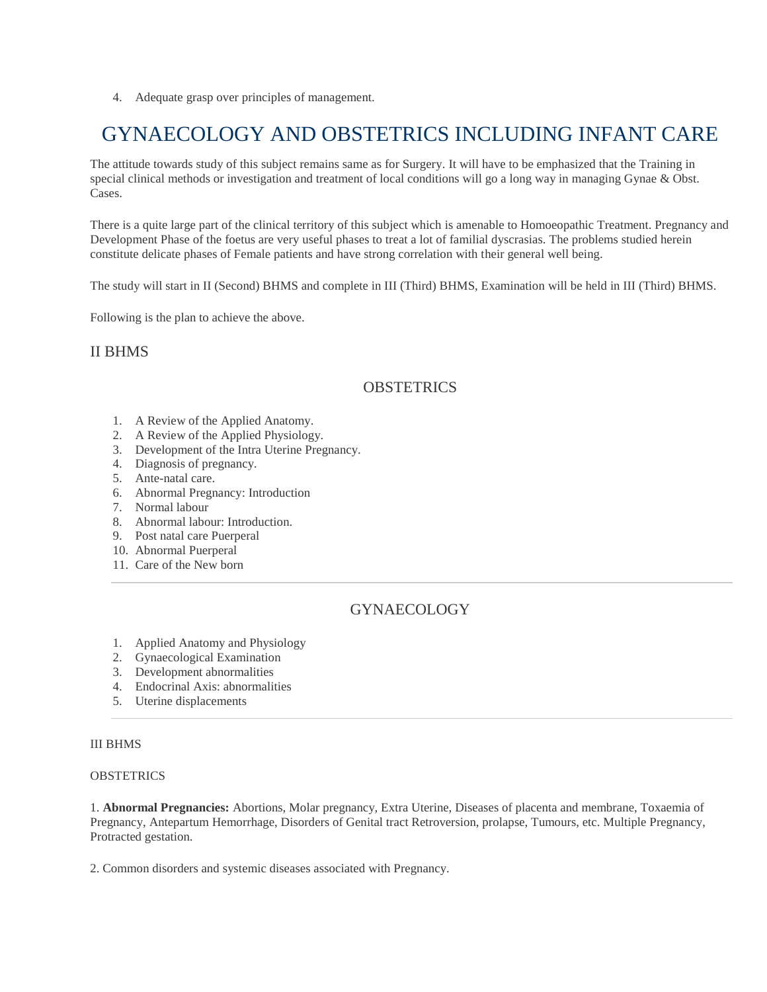4. Adequate grasp over principles of management.

# GYNAECOLOGY AND OBSTETRICS INCLUDING INFANT CARE

The attitude towards study of this subject remains same as for Surgery. It will have to be emphasized that the Training in special clinical methods or investigation and treatment of local conditions will go a long way in managing Gynae & Obst. Cases.

There is a quite large part of the clinical territory of this subject which is amenable to Homoeopathic Treatment. Pregnancy and Development Phase of the foetus are very useful phases to treat a lot of familial dyscrasias. The problems studied herein constitute delicate phases of Female patients and have strong correlation with their general well being.

The study will start in II (Second) BHMS and complete in III (Third) BHMS, Examination will be held in III (Third) BHMS.

Following is the plan to achieve the above.

## II BHMS

# **OBSTETRICS**

- 1. A Review of the Applied Anatomy.
- 2. A Review of the Applied Physiology.
- 3. Development of the Intra Uterine Pregnancy.
- 4. Diagnosis of pregnancy.
- 5. Ante-natal care.
- 6. Abnormal Pregnancy: Introduction
- 7. Normal labour
- 8. Abnormal labour: Introduction.
- 9. Post natal care Puerperal
- 10. Abnormal Puerperal
- 11. Care of the New born

# GYNAECOLOGY

- 1. Applied Anatomy and Physiology
- 2. Gynaecological Examination
- 3. Development abnormalities
- 4. Endocrinal Axis: abnormalities
- 5. Uterine displacements

## III BHMS

#### **OBSTETRICS**

1. **Abnormal Pregnancies:** Abortions, Molar pregnancy, Extra Uterine, Diseases of placenta and membrane, Toxaemia of Pregnancy, Antepartum Hemorrhage, Disorders of Genital tract Retroversion, prolapse, Tumours, etc. Multiple Pregnancy, Protracted gestation.

2. Common disorders and systemic diseases associated with Pregnancy.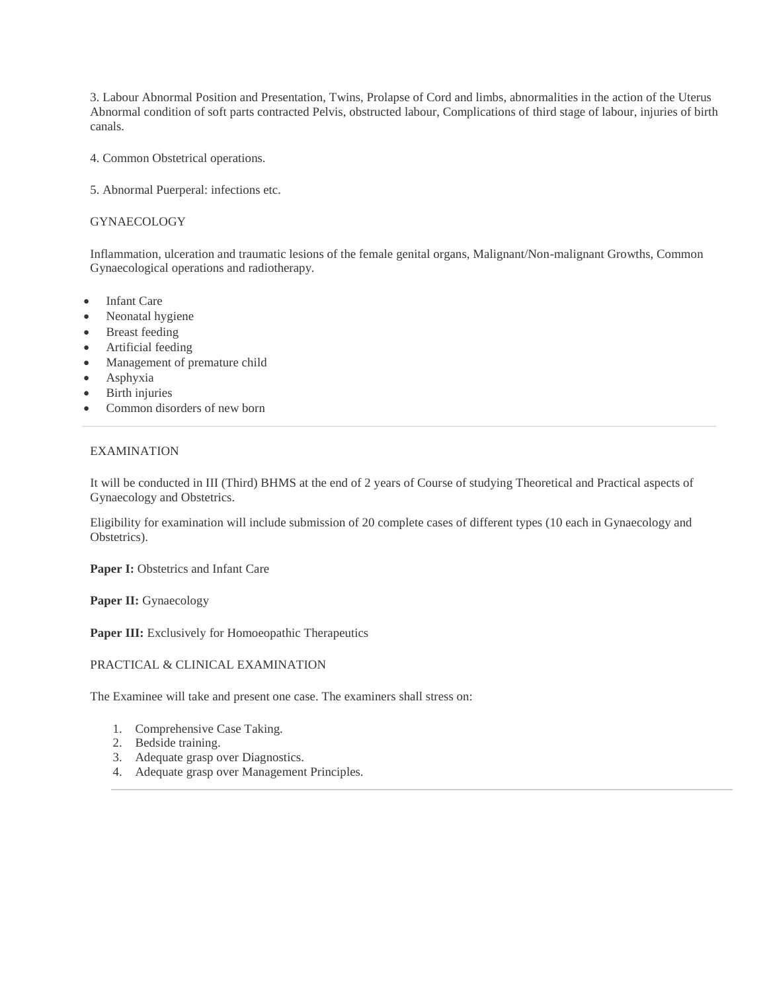3. Labour Abnormal Position and Presentation, Twins, Prolapse of Cord and limbs, abnormalities in the action of the Uterus Abnormal condition of soft parts contracted Pelvis, obstructed labour, Complications of third stage of labour, injuries of birth canals.

- 4. Common Obstetrical operations.
- 5. Abnormal Puerperal: infections etc.

### **GYNAECOLOGY**

Inflammation, ulceration and traumatic lesions of the female genital organs, Malignant/Non-malignant Growths, Common Gynaecological operations and radiotherapy.

- Infant Care
- Neonatal hygiene
- Breast feeding
- Artificial feeding
- Management of premature child
- Asphyxia
- Birth injuries
- Common disorders of new born

### EXAMINATION

It will be conducted in III (Third) BHMS at the end of 2 years of Course of studying Theoretical and Practical aspects of Gynaecology and Obstetrics.

Eligibility for examination will include submission of 20 complete cases of different types (10 each in Gynaecology and Obstetrics).

Paper I: Obstetrics and Infant Care

Paper II: Gynaecology

Paper III: Exclusively for Homoeopathic Therapeutics

#### PRACTICAL & CLINICAL EXAMINATION

The Examinee will take and present one case. The examiners shall stress on:

- 1. Comprehensive Case Taking.
- 2. Bedside training.
- 3. Adequate grasp over Diagnostics.
- 4. Adequate grasp over Management Principles.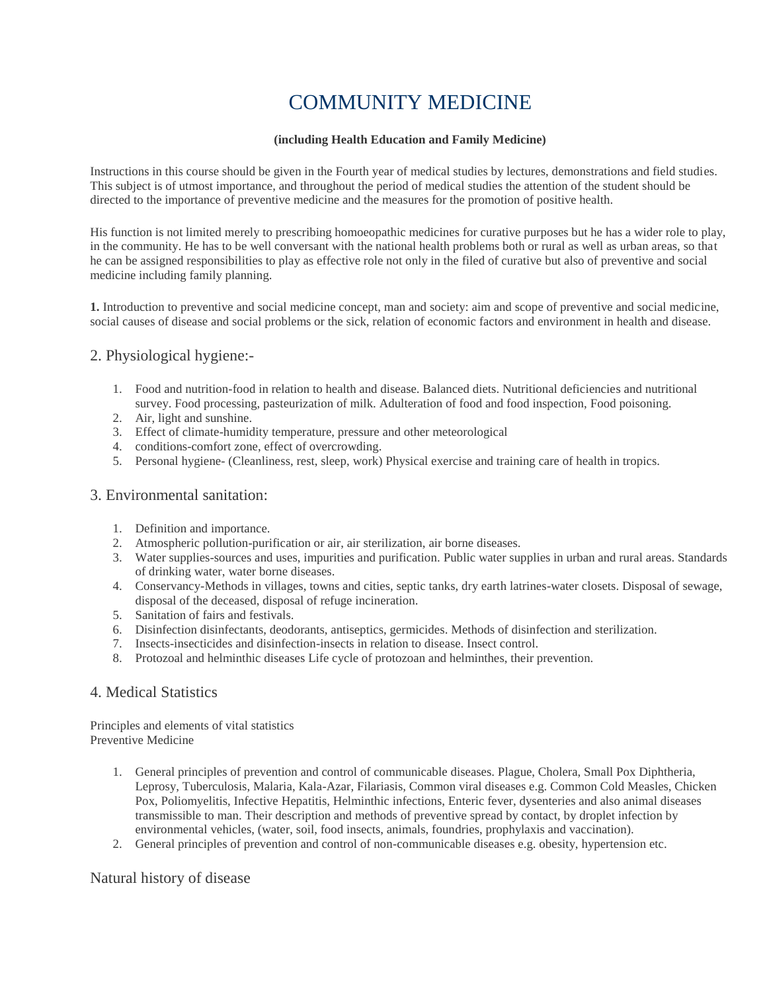# COMMUNITY MEDICINE

## **(including Health Education and Family Medicine)**

Instructions in this course should be given in the Fourth year of medical studies by lectures, demonstrations and field studies. This subject is of utmost importance, and throughout the period of medical studies the attention of the student should be directed to the importance of preventive medicine and the measures for the promotion of positive health.

His function is not limited merely to prescribing homoeopathic medicines for curative purposes but he has a wider role to play, in the community. He has to be well conversant with the national health problems both or rural as well as urban areas, so that he can be assigned responsibilities to play as effective role not only in the filed of curative but also of preventive and social medicine including family planning.

**1.** Introduction to preventive and social medicine concept, man and society: aim and scope of preventive and social medicine, social causes of disease and social problems or the sick, relation of economic factors and environment in health and disease.

# 2. Physiological hygiene:-

- 1. Food and nutrition-food in relation to health and disease. Balanced diets. Nutritional deficiencies and nutritional survey. Food processing, pasteurization of milk. Adulteration of food and food inspection, Food poisoning.
- 2. Air, light and sunshine.
- 3. Effect of climate-humidity temperature, pressure and other meteorological
- 4. conditions-comfort zone, effect of overcrowding.
- 5. Personal hygiene- (Cleanliness, rest, sleep, work) Physical exercise and training care of health in tropics.

## 3. Environmental sanitation:

- 1. Definition and importance.
- 2. Atmospheric pollution-purification or air, air sterilization, air borne diseases.
- 3. Water supplies-sources and uses, impurities and purification. Public water supplies in urban and rural areas. Standards of drinking water, water borne diseases.
- 4. Conservancy-Methods in villages, towns and cities, septic tanks, dry earth latrines-water closets. Disposal of sewage, disposal of the deceased, disposal of refuge incineration.
- 5. Sanitation of fairs and festivals.
- 6. Disinfection disinfectants, deodorants, antiseptics, germicides. Methods of disinfection and sterilization.
- 7. Insects-insecticides and disinfection-insects in relation to disease. Insect control.
- 8. Protozoal and helminthic diseases Life cycle of protozoan and helminthes, their prevention.

## 4. Medical Statistics

Principles and elements of vital statistics Preventive Medicine

- 1. General principles of prevention and control of communicable diseases. Plague, Cholera, Small Pox Diphtheria, Leprosy, Tuberculosis, Malaria, Kala-Azar, Filariasis, Common viral diseases e.g. Common Cold Measles, Chicken Pox, Poliomyelitis, Infective Hepatitis, Helminthic infections, Enteric fever, dysenteries and also animal diseases transmissible to man. Their description and methods of preventive spread by contact, by droplet infection by environmental vehicles, (water, soil, food insects, animals, foundries, prophylaxis and vaccination).
- 2. General principles of prevention and control of non-communicable diseases e.g. obesity, hypertension etc.

## Natural history of disease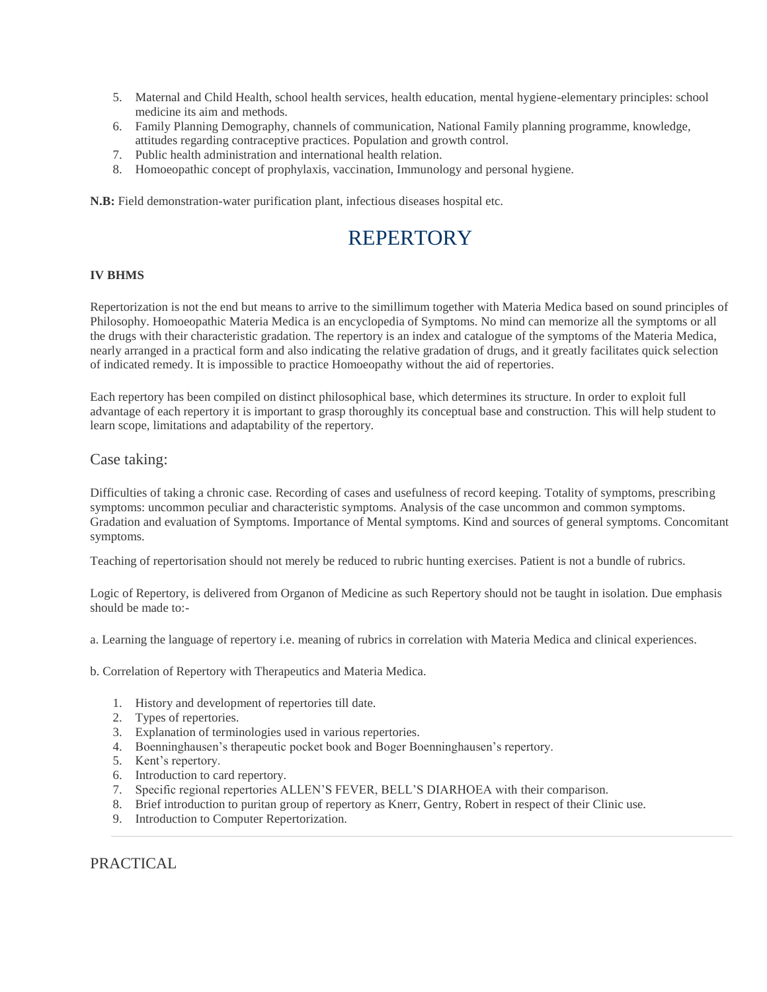- 5. Maternal and Child Health, school health services, health education, mental hygiene-elementary principles: school medicine its aim and methods.
- 6. Family Planning Demography, channels of communication, National Family planning programme, knowledge, attitudes regarding contraceptive practices. Population and growth control.
- 7. Public health administration and international health relation.
- 8. Homoeopathic concept of prophylaxis, vaccination, Immunology and personal hygiene.

**N.B:** Field demonstration-water purification plant, infectious diseases hospital etc.

# **REPERTORY**

## **IV BHMS**

Repertorization is not the end but means to arrive to the simillimum together with Materia Medica based on sound principles of Philosophy. Homoeopathic Materia Medica is an encyclopedia of Symptoms. No mind can memorize all the symptoms or all the drugs with their characteristic gradation. The repertory is an index and catalogue of the symptoms of the Materia Medica, nearly arranged in a practical form and also indicating the relative gradation of drugs, and it greatly facilitates quick selection of indicated remedy. It is impossible to practice Homoeopathy without the aid of repertories.

Each repertory has been compiled on distinct philosophical base, which determines its structure. In order to exploit full advantage of each repertory it is important to grasp thoroughly its conceptual base and construction. This will help student to learn scope, limitations and adaptability of the repertory.

## Case taking:

Difficulties of taking a chronic case. Recording of cases and usefulness of record keeping. Totality of symptoms, prescribing symptoms: uncommon peculiar and characteristic symptoms. Analysis of the case uncommon and common symptoms. Gradation and evaluation of Symptoms. Importance of Mental symptoms. Kind and sources of general symptoms. Concomitant symptoms.

Teaching of repertorisation should not merely be reduced to rubric hunting exercises. Patient is not a bundle of rubrics.

Logic of Repertory, is delivered from Organon of Medicine as such Repertory should not be taught in isolation. Due emphasis should be made to:-

a. Learning the language of repertory i.e. meaning of rubrics in correlation with Materia Medica and clinical experiences.

b. Correlation of Repertory with Therapeutics and Materia Medica.

- 1. History and development of repertories till date.
- 2. Types of repertories.
- 3. Explanation of terminologies used in various repertories.
- 4. Boenninghausen's therapeutic pocket book and Boger Boenninghausen's repertory.
- 5. Kent's repertory.
- 6. Introduction to card repertory.
- 7. Specific regional repertories ALLEN'S FEVER, BELL'S DIARHOEA with their comparison.
- 8. Brief introduction to puritan group of repertory as Knerr, Gentry, Robert in respect of their Clinic use.
- 9. Introduction to Computer Repertorization.

PRACTICAL.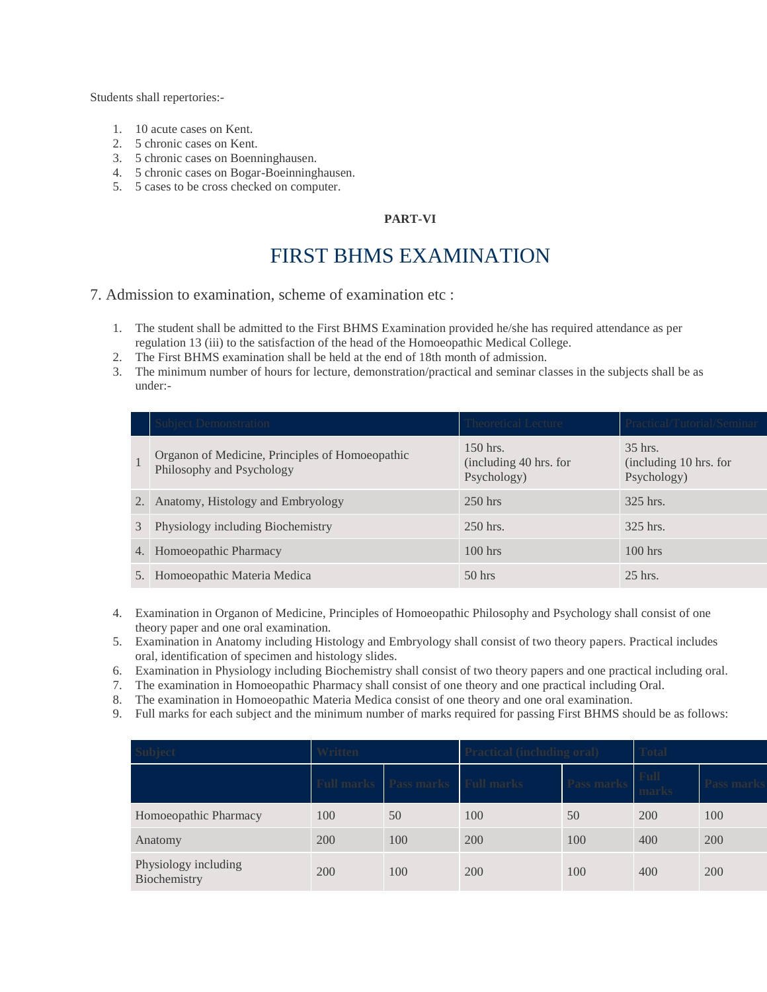Students shall repertories:-

- 1. 10 acute cases on Kent.
- 2. 5 chronic cases on Kent.
- 3. 5 chronic cases on Boenninghausen.
- 4. 5 chronic cases on Bogar-Boeinninghausen.
- 5. 5 cases to be cross checked on computer.

## **PART-VI**

# FIRST BHMS EXAMINATION

7. Admission to examination, scheme of examination etc :

- 1. The student shall be admitted to the First BHMS Examination provided he/she has required attendance as per regulation 13 (iii) to the satisfaction of the head of the Homoeopathic Medical College.
- 2. The First BHMS examination shall be held at the end of 18th month of admission.
- 3. The minimum number of hours for lecture, demonstration/practical and seminar classes in the subjects shall be as under:-

|               | <b>Subject Demonstration</b>                                                 | Theoretical Lecture                                 | Practical/Tutorial/Semina                        |
|---------------|------------------------------------------------------------------------------|-----------------------------------------------------|--------------------------------------------------|
|               | Organon of Medicine, Principles of Homoeopathic<br>Philosophy and Psychology | $150$ hrs.<br>(including 40 hrs. for<br>Psychology) | 35 hrs.<br>(including 10 hrs. for<br>Psychology) |
| 2.            | Anatomy, Histology and Embryology                                            | $250$ hrs                                           | 325 hrs.                                         |
| $\mathcal{E}$ | Physiology including Biochemistry                                            | $250$ hrs.                                          | 325 hrs.                                         |
| 4.            | Homoeopathic Pharmacy                                                        | $100$ hrs                                           | $100$ hrs                                        |
| 5.            | Homoeopathic Materia Medica                                                  | $50$ hrs                                            | $25$ hrs.                                        |

- 4. Examination in Organon of Medicine, Principles of Homoeopathic Philosophy and Psychology shall consist of one theory paper and one oral examination.
- 5. Examination in Anatomy including Histology and Embryology shall consist of two theory papers. Practical includes oral, identification of specimen and histology slides.
- 6. Examination in Physiology including Biochemistry shall consist of two theory papers and one practical including oral.
- 7. The examination in Homoeopathic Pharmacy shall consist of one theory and one practical including Oral.
- 8. The examination in Homoeopathic Materia Medica consist of one theory and one oral examination.
- 9. Full marks for each subject and the minimum number of marks required for passing First BHMS should be as follows:

| <b>Subject</b>                       | Written                  |                   |                   | <b>Practical (including oral)</b> |               | <b>Total</b> |  |
|--------------------------------------|--------------------------|-------------------|-------------------|-----------------------------------|---------------|--------------|--|
|                                      | <sup>7</sup> ull marks — | <b>Pass marks</b> | <b>Full marks</b> |                                   | Full<br>marks |              |  |
| Homoeopathic Pharmacy                | 100                      | 50                | 100               | 50                                | 200           | 100          |  |
| Anatomy                              | 200                      | 100               | 200               | 100                               | 400           | 200          |  |
| Physiology including<br>Biochemistry | 200                      | 100               | 200               | 100                               | 400           | <b>200</b>   |  |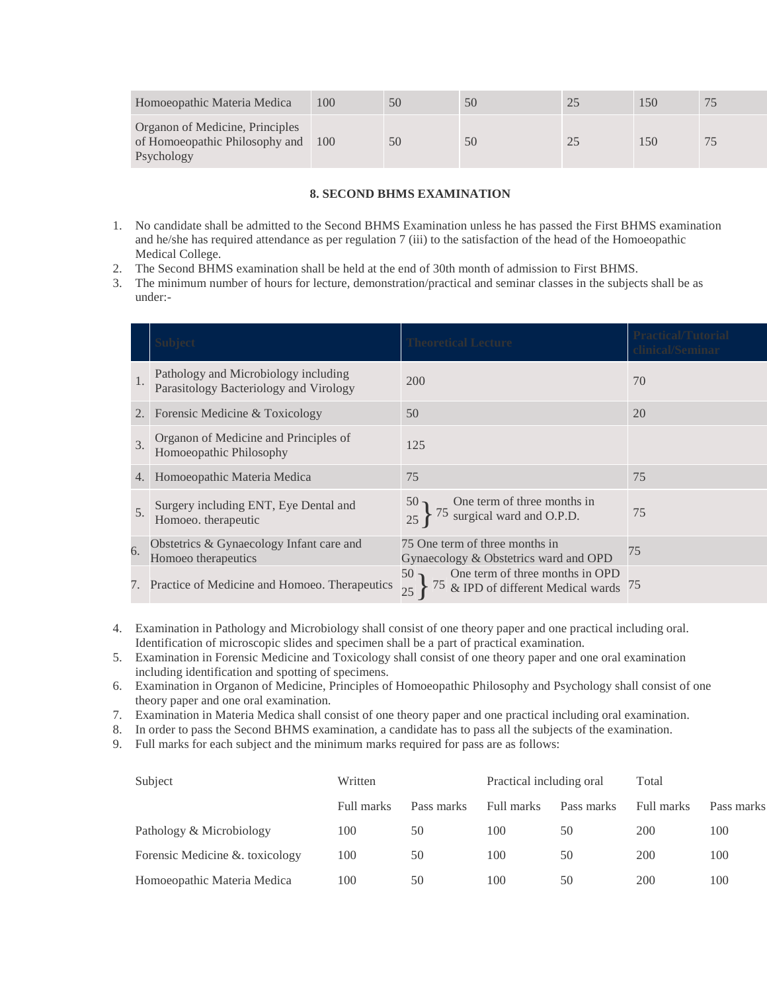| Homoeopathic Materia Medica                                                     | 100 | 50 | ЭU  | 150 |  |
|---------------------------------------------------------------------------------|-----|----|-----|-----|--|
| Organon of Medicine, Principles<br>of Homoeopathic Philosophy and<br>Psychology | 100 | 50 | D() | 150 |  |

## **8. SECOND BHMS EXAMINATION**

- 1. No candidate shall be admitted to the Second BHMS Examination unless he has passed the First BHMS examination and he/she has required attendance as per regulation 7 (iii) to the satisfaction of the head of the Homoeopathic Medical College.
- 2. The Second BHMS examination shall be held at the end of 30th month of admission to First BHMS.
- 3. The minimum number of hours for lecture, demonstration/practical and seminar classes in the subjects shall be as under:-

|               | <b>Subject</b>                                                                 | <b>Theoretical Lecture</b>                                                      | <b>Practical/Tutorial</b><br>clinical/Seminar |
|---------------|--------------------------------------------------------------------------------|---------------------------------------------------------------------------------|-----------------------------------------------|
| 1.            | Pathology and Microbiology including<br>Parasitology Bacteriology and Virology | 200                                                                             | 70                                            |
| 2.            | Forensic Medicine & Toxicology                                                 | 50                                                                              | 20                                            |
| $\mathcal{F}$ | Organon of Medicine and Principles of<br>Homoeopathic Philosophy               | 125                                                                             |                                               |
| 4.            | Homoeopathic Materia Medica                                                    | 75                                                                              | 75                                            |
| 5.            | Surgery including ENT, Eye Dental and<br>Homoeo. therapeutic                   | To one term of three months in<br>175 surgical ward and O.P.D.                  | 75                                            |
| 6.            | Obstetrics & Gynaecology Infant care and<br>Homoeo therapeutics                | 75 One term of three months in<br>Gynaecology & Obstetrics ward and OPD         | 75                                            |
|               | 7. Practice of Medicine and Homoeo. Therapeutics                               | One term of three months in OPD $\&$ IPD of different Medical wards<br>75<br>25 | 75                                            |

- 4. Examination in Pathology and Microbiology shall consist of one theory paper and one practical including oral. Identification of microscopic slides and specimen shall be a part of practical examination.
- 5. Examination in Forensic Medicine and Toxicology shall consist of one theory paper and one oral examination including identification and spotting of specimens.
- 6. Examination in Organon of Medicine, Principles of Homoeopathic Philosophy and Psychology shall consist of one theory paper and one oral examination.
- 7. Examination in Materia Medica shall consist of one theory paper and one practical including oral examination.
- 8. In order to pass the Second BHMS examination, a candidate has to pass all the subjects of the examination.
- 9. Full marks for each subject and the minimum marks required for pass are as follows:

| Subject                        | Written    |            | Practical including oral |            | Total      |            |
|--------------------------------|------------|------------|--------------------------|------------|------------|------------|
|                                | Full marks | Pass marks | Full marks               | Pass marks | Full marks | Pass marks |
| Pathology & Microbiology       | 100        | 50         | 100                      | 50         | 200        | 100        |
| Forensic Medicine & toxicology | 100        | 50         | 100                      | 50         | 200        | 100        |
| Homoeopathic Materia Medica    | 100        | 50         | 100                      | 50         | 200        | 100        |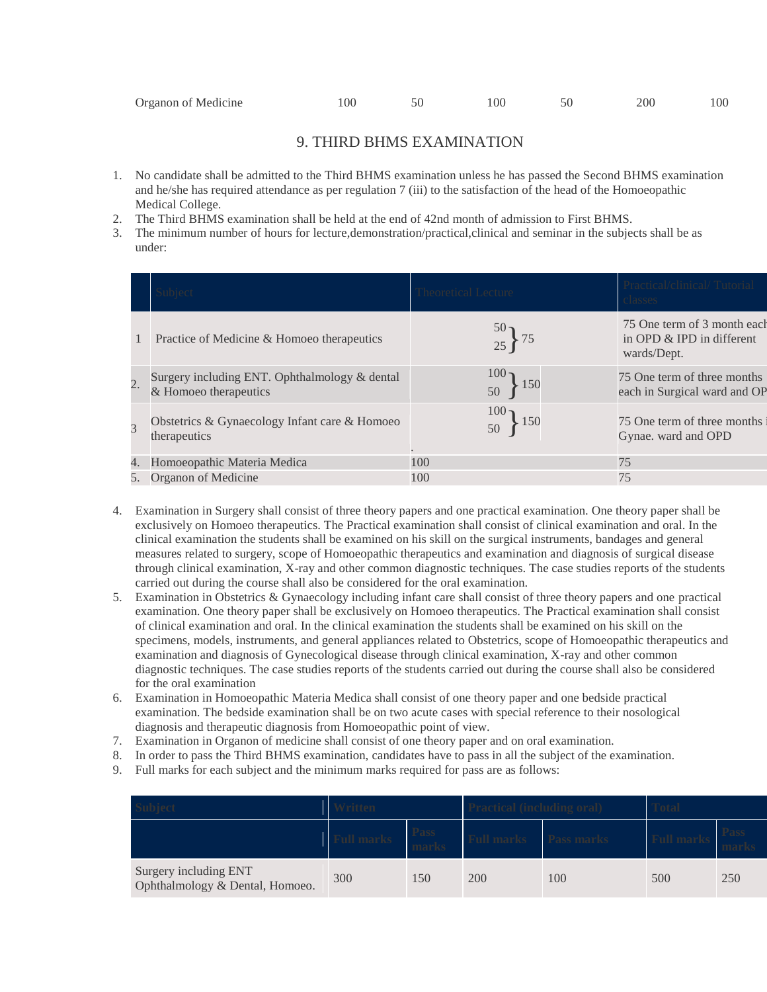# 9. THIRD BHMS EXAMINATION

- 1. No candidate shall be admitted to the Third BHMS examination unless he has passed the Second BHMS examination and he/she has required attendance as per regulation 7 (iii) to the satisfaction of the head of the Homoeopathic Medical College.
- 2. The Third BHMS examination shall be held at the end of 42nd month of admission to First BHMS.
- 3. The minimum number of hours for lecture,demonstration/practical,clinical and seminar in the subjects shall be as under:

|                  |                                                                        | <b>Theoretical Lecture</b>    | Practical/clinical/Tutorial<br>classes                                  |
|------------------|------------------------------------------------------------------------|-------------------------------|-------------------------------------------------------------------------|
|                  | Practice of Medicine & Homoeo therapeutics                             | $\frac{50}{25}$ } 75          | 75 One term of 3 month each<br>in OPD & IPD in different<br>wards/Dept. |
| $\overline{2}$ . | Surgery including ENT. Ophthalmology & dental<br>& Homoeo therapeutics | $100 -$<br>150<br>50          | 75 One term of three months<br>each in Surgical ward and OP             |
| $\overline{3}$   | Obstetrics & Gynaecology Infant care & Homoeo<br>therapeutics          | 100 <sub>1</sub><br>150<br>50 | 75 One term of three months<br>Gynae. ward and OPD                      |
| 4.               | Homoeopathic Materia Medica                                            | 100                           | 75                                                                      |
|                  | 5. Organon of Medicine                                                 | 100                           | 75                                                                      |

- 4. Examination in Surgery shall consist of three theory papers and one practical examination. One theory paper shall be exclusively on Homoeo therapeutics. The Practical examination shall consist of clinical examination and oral. In the clinical examination the students shall be examined on his skill on the surgical instruments, bandages and general measures related to surgery, scope of Homoeopathic therapeutics and examination and diagnosis of surgical disease through clinical examination, X-ray and other common diagnostic techniques. The case studies reports of the students carried out during the course shall also be considered for the oral examination.
- 5. Examination in Obstetrics & Gynaecology including infant care shall consist of three theory papers and one practical examination. One theory paper shall be exclusively on Homoeo therapeutics. The Practical examination shall consist of clinical examination and oral. In the clinical examination the students shall be examined on his skill on the specimens, models, instruments, and general appliances related to Obstetrics, scope of Homoeopathic therapeutics and examination and diagnosis of Gynecological disease through clinical examination, X-ray and other common diagnostic techniques. The case studies reports of the students carried out during the course shall also be considered for the oral examination
- 6. Examination in Homoeopathic Materia Medica shall consist of one theory paper and one bedside practical examination. The bedside examination shall be on two acute cases with special reference to their nosological diagnosis and therapeutic diagnosis from Homoeopathic point of view.
- 7. Examination in Organon of medicine shall consist of one theory paper and on oral examination.
- 8. In order to pass the Third BHMS examination, candidates have to pass in all the subject of the examination.
- 9. Full marks for each subject and the minimum marks required for pass are as follows:

|                                                          |     | <b>Pass</b> | <b>Full mark</b> | Pass marks |     |     |
|----------------------------------------------------------|-----|-------------|------------------|------------|-----|-----|
| Surgery including ENT<br>Ophthalmology & Dental, Homoeo. | 300 | 150         | 200              | 100        | 500 | 250 |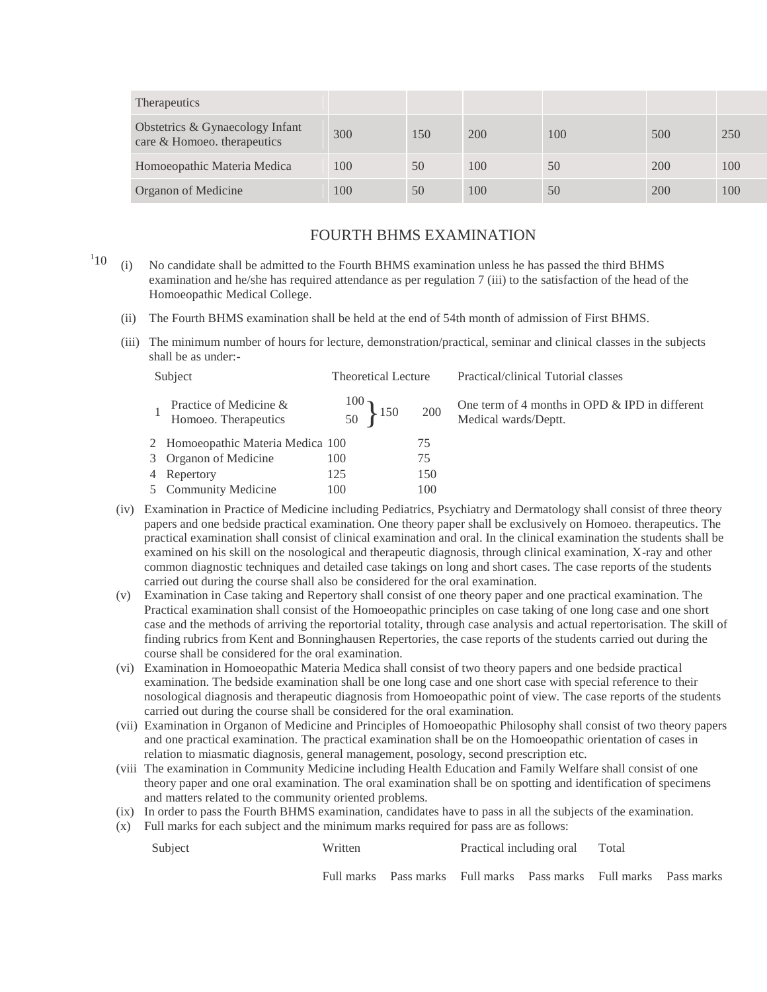| <b>Therapeutics</b>                                            |     |     |     |     |     |     |
|----------------------------------------------------------------|-----|-----|-----|-----|-----|-----|
| Obstetrics & Gynaecology Infant<br>care & Homoeo. therapeutics | 300 | 150 | 200 | 100 | 500 | 250 |
| Homoeopathic Materia Medica                                    | 100 | 50  | 100 | 50  | 200 | 100 |
| <b>Organon of Medicine</b>                                     | 100 | 50  | 100 | 50  | 200 | 100 |

## FOURTH BHMS EXAMINATION

- $110$  (i) 10 (i) No candidate shall be admitted to the Fourth BHMS examination unless he has passed the third BHMS examination and he/she has required attendance as per regulation 7 (iii) to the satisfaction of the head of the Homoeopathic Medical College.
	- (ii) The Fourth BHMS examination shall be held at the end of 54th month of admission of First BHMS.
	- (iii) The minimum number of hours for lecture, demonstration/practical, seminar and clinical classes in the subjects shall be as under:-

| Subject                                        | <b>Theoretical Lecture</b>              |     | Practical/clinical Tutorial classes                                    |
|------------------------------------------------|-----------------------------------------|-----|------------------------------------------------------------------------|
| Practice of Medicine &<br>Homoeo. Therapeutics | $\begin{matrix}100\\50\end{matrix}$ 150 | 200 | One term of 4 months in OPD & IPD in different<br>Medical wards/Deptt. |
| 2 Homoeopathic Materia Medica 100              |                                         | 75  |                                                                        |
| 3 Organon of Medicine                          | 100                                     | 75  |                                                                        |
| 4 Repertory                                    | 125                                     | 150 |                                                                        |
| 5 Community Medicine                           | 100                                     | 100 |                                                                        |

- (iv) Examination in Practice of Medicine including Pediatrics, Psychiatry and Dermatology shall consist of three theory papers and one bedside practical examination. One theory paper shall be exclusively on Homoeo. therapeutics. The practical examination shall consist of clinical examination and oral. In the clinical examination the students shall be examined on his skill on the nosological and therapeutic diagnosis, through clinical examination, X-ray and other common diagnostic techniques and detailed case takings on long and short cases. The case reports of the students carried out during the course shall also be considered for the oral examination.
- (v) Examination in Case taking and Repertory shall consist of one theory paper and one practical examination. The Practical examination shall consist of the Homoeopathic principles on case taking of one long case and one short case and the methods of arriving the reportorial totality, through case analysis and actual repertorisation. The skill of finding rubrics from Kent and Bonninghausen Repertories, the case reports of the students carried out during the course shall be considered for the oral examination.
- (vi) Examination in Homoeopathic Materia Medica shall consist of two theory papers and one bedside practical examination. The bedside examination shall be one long case and one short case with special reference to their nosological diagnosis and therapeutic diagnosis from Homoeopathic point of view. The case reports of the students carried out during the course shall be considered for the oral examination.
- (vii) Examination in Organon of Medicine and Principles of Homoeopathic Philosophy shall consist of two theory papers and one practical examination. The practical examination shall be on the Homoeopathic orientation of cases in relation to miasmatic diagnosis, general management, posology, second prescription etc.
- (viii The examination in Community Medicine including Health Education and Family Welfare shall consist of one theory paper and one oral examination. The oral examination shall be on spotting and identification of specimens and matters related to the community oriented problems.
- (ix) In order to pass the Fourth BHMS examination, candidates have to pass in all the subjects of the examination.
- (x) Full marks for each subject and the minimum marks required for pass are as follows:

| Subject | Written | Practical including oral Total |  |
|---------|---------|--------------------------------|--|
|         |         |                                |  |

Full marks Pass marks Full marks Pass marks Full marks Pass marks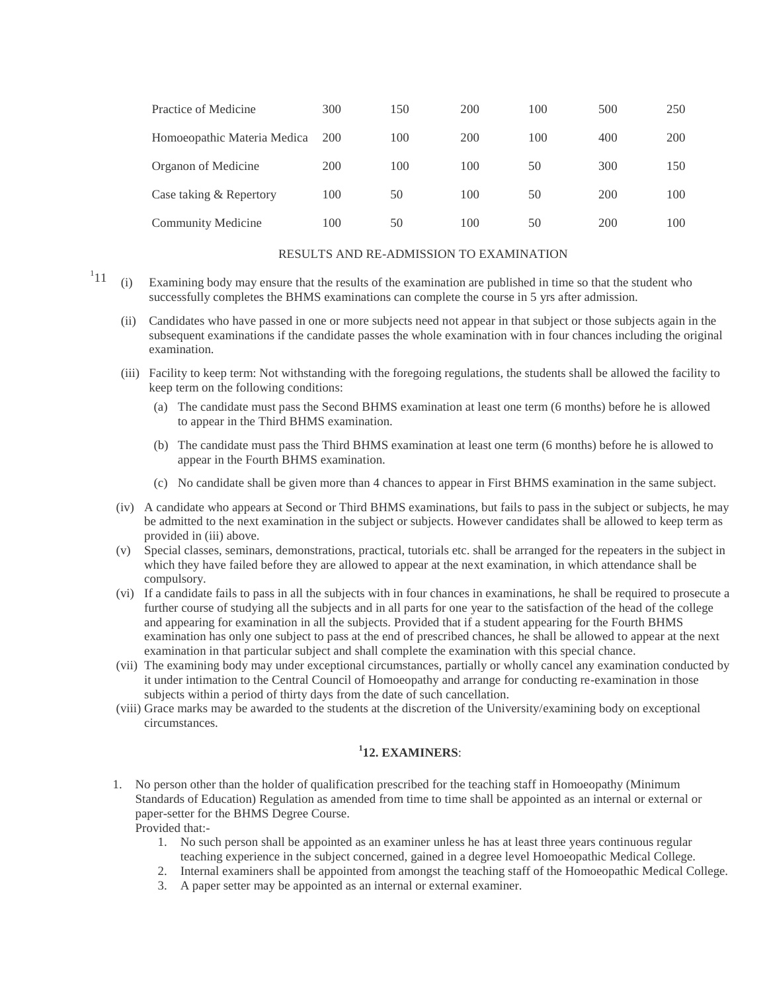| Practice of Medicine        | 300        | 150 | 200 | 100 | 500 | 250 |
|-----------------------------|------------|-----|-----|-----|-----|-----|
| Homoeopathic Materia Medica | <b>200</b> | 100 | 200 | 100 | 400 | 200 |
| Organon of Medicine         | 200        | 100 | 100 | 50  | 300 | 150 |
| Case taking & Repertory     | 100        | 50  | 100 | 50  | 200 | 100 |
| <b>Community Medicine</b>   | 100        | 50  | 100 | 50  | 200 | 100 |

#### RESULTS AND RE-ADMISSION TO EXAMINATION

- $11$  (i) Examining body may ensure that the results of the examination are published in time so that the student who successfully completes the BHMS examinations can complete the course in 5 yrs after admission.
	- (ii) Candidates who have passed in one or more subjects need not appear in that subject or those subjects again in the subsequent examinations if the candidate passes the whole examination with in four chances including the original examination.
	- (iii) Facility to keep term: Not withstanding with the foregoing regulations, the students shall be allowed the facility to keep term on the following conditions:
		- (a) The candidate must pass the Second BHMS examination at least one term (6 months) before he is allowed to appear in the Third BHMS examination.
		- (b) The candidate must pass the Third BHMS examination at least one term (6 months) before he is allowed to appear in the Fourth BHMS examination.
		- (c) No candidate shall be given more than 4 chances to appear in First BHMS examination in the same subject.
	- (iv) A candidate who appears at Second or Third BHMS examinations, but fails to pass in the subject or subjects, he may be admitted to the next examination in the subject or subjects. However candidates shall be allowed to keep term as provided in (iii) above.
	- (v) Special classes, seminars, demonstrations, practical, tutorials etc. shall be arranged for the repeaters in the subject in which they have failed before they are allowed to appear at the next examination, in which attendance shall be compulsory.
	- (vi) If a candidate fails to pass in all the subjects with in four chances in examinations, he shall be required to prosecute a further course of studying all the subjects and in all parts for one year to the satisfaction of the head of the college and appearing for examination in all the subjects. Provided that if a student appearing for the Fourth BHMS examination has only one subject to pass at the end of prescribed chances, he shall be allowed to appear at the next examination in that particular subject and shall complete the examination with this special chance.
	- (vii) The examining body may under exceptional circumstances, partially or wholly cancel any examination conducted by it under intimation to the Central Council of Homoeopathy and arrange for conducting re-examination in those subjects within a period of thirty days from the date of such cancellation.
	- (viii) Grace marks may be awarded to the students at the discretion of the University/examining body on exceptional circumstances.

## **1 12. EXAMINERS**:

- 1. No person other than the holder of qualification prescribed for the teaching staff in Homoeopathy (Minimum Standards of Education) Regulation as amended from time to time shall be appointed as an internal or external or paper-setter for the BHMS Degree Course. Provided that:-
	- 1. No such person shall be appointed as an examiner unless he has at least three years continuous regular teaching experience in the subject concerned, gained in a degree level Homoeopathic Medical College.
	- 2. Internal examiners shall be appointed from amongst the teaching staff of the Homoeopathic Medical College.
	- 3. A paper setter may be appointed as an internal or external examiner.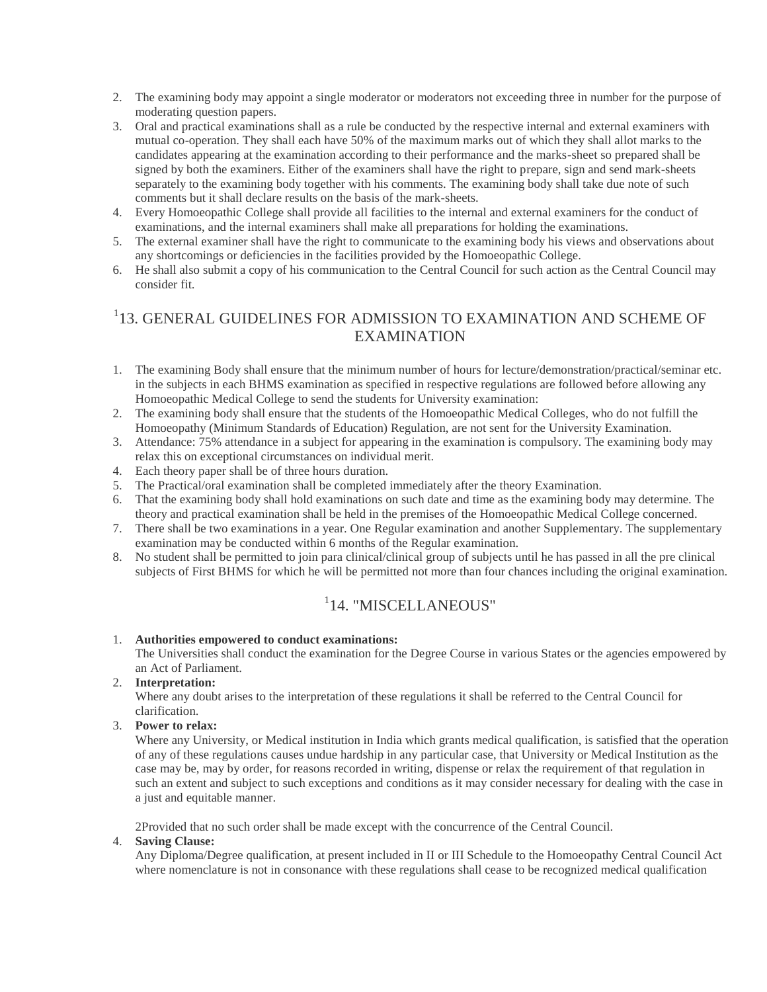- 2. The examining body may appoint a single moderator or moderators not exceeding three in number for the purpose of moderating question papers.
- 3. Oral and practical examinations shall as a rule be conducted by the respective internal and external examiners with mutual co-operation. They shall each have 50% of the maximum marks out of which they shall allot marks to the candidates appearing at the examination according to their performance and the marks-sheet so prepared shall be signed by both the examiners. Either of the examiners shall have the right to prepare, sign and send mark-sheets separately to the examining body together with his comments. The examining body shall take due note of such comments but it shall declare results on the basis of the mark-sheets.
- 4. Every Homoeopathic College shall provide all facilities to the internal and external examiners for the conduct of examinations, and the internal examiners shall make all preparations for holding the examinations.
- 5. The external examiner shall have the right to communicate to the examining body his views and observations about any shortcomings or deficiencies in the facilities provided by the Homoeopathic College.
- 6. He shall also submit a copy of his communication to the Central Council for such action as the Central Council may consider fit.

# 1 13. GENERAL GUIDELINES FOR ADMISSION TO EXAMINATION AND SCHEME OF EXAMINATION

- 1. The examining Body shall ensure that the minimum number of hours for lecture/demonstration/practical/seminar etc. in the subjects in each BHMS examination as specified in respective regulations are followed before allowing any Homoeopathic Medical College to send the students for University examination:
- 2. The examining body shall ensure that the students of the Homoeopathic Medical Colleges, who do not fulfill the Homoeopathy (Minimum Standards of Education) Regulation, are not sent for the University Examination.
- 3. Attendance: 75% attendance in a subject for appearing in the examination is compulsory. The examining body may relax this on exceptional circumstances on individual merit.
- 4. Each theory paper shall be of three hours duration.
- 5. The Practical/oral examination shall be completed immediately after the theory Examination.
- 6. That the examining body shall hold examinations on such date and time as the examining body may determine. The theory and practical examination shall be held in the premises of the Homoeopathic Medical College concerned.
- 7. There shall be two examinations in a year. One Regular examination and another Supplementary. The supplementary examination may be conducted within 6 months of the Regular examination.
- 8. No student shall be permitted to join para clinical/clinical group of subjects until he has passed in all the pre clinical subjects of First BHMS for which he will be permitted not more than four chances including the original examination.

# 1 14. "MISCELLANEOUS"

## 1. **Authorities empowered to conduct examinations:**

The Universities shall conduct the examination for the Degree Course in various States or the agencies empowered by an Act of Parliament.

2. **Interpretation:**

Where any doubt arises to the interpretation of these regulations it shall be referred to the Central Council for clarification.

3. **Power to relax:**

Where any University, or Medical institution in India which grants medical qualification, is satisfied that the operation of any of these regulations causes undue hardship in any particular case, that University or Medical Institution as the case may be, may by order, for reasons recorded in writing, dispense or relax the requirement of that regulation in such an extent and subject to such exceptions and conditions as it may consider necessary for dealing with the case in a just and equitable manner.

2Provided that no such order shall be made except with the concurrence of the Central Council.

## 4. **Saving Clause:**

Any Diploma/Degree qualification, at present included in II or III Schedule to the Homoeopathy Central Council Act where nomenclature is not in consonance with these regulations shall cease to be recognized medical qualification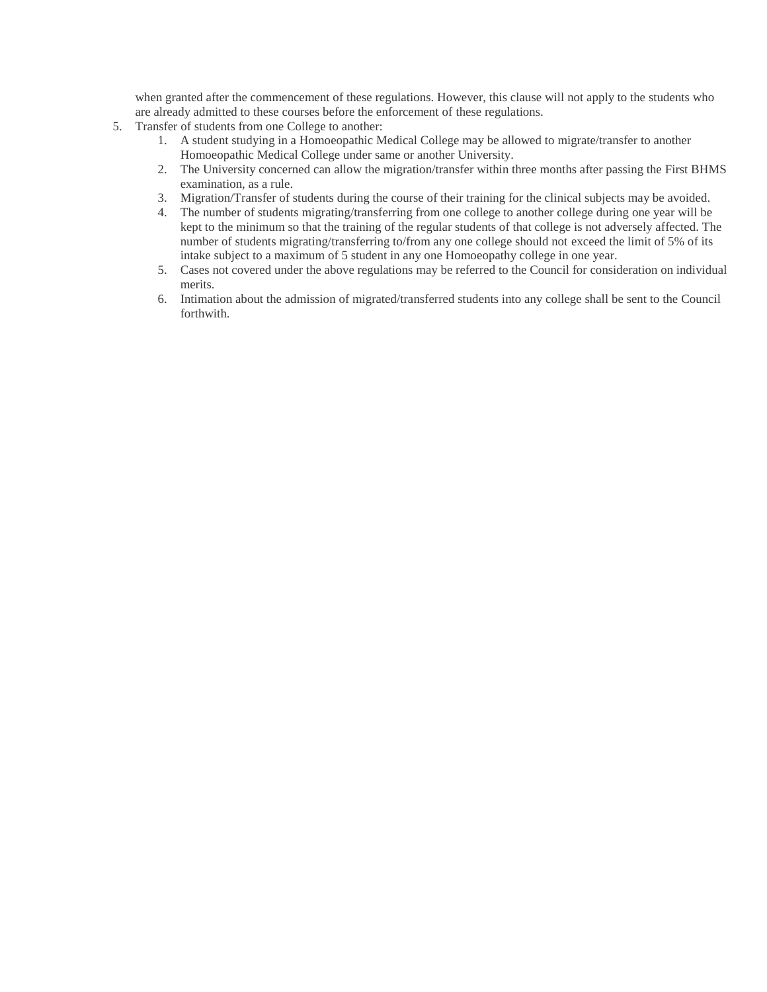when granted after the commencement of these regulations. However, this clause will not apply to the students who are already admitted to these courses before the enforcement of these regulations.

- 5. Transfer of students from one College to another:
	- 1. A student studying in a Homoeopathic Medical College may be allowed to migrate/transfer to another Homoeopathic Medical College under same or another University.
	- 2. The University concerned can allow the migration/transfer within three months after passing the First BHMS examination, as a rule.
	- 3. Migration/Transfer of students during the course of their training for the clinical subjects may be avoided.
	- 4. The number of students migrating/transferring from one college to another college during one year will be kept to the minimum so that the training of the regular students of that college is not adversely affected. The number of students migrating/transferring to/from any one college should not exceed the limit of 5% of its intake subject to a maximum of 5 student in any one Homoeopathy college in one year.
	- 5. Cases not covered under the above regulations may be referred to the Council for consideration on individual merits.
	- 6. Intimation about the admission of migrated/transferred students into any college shall be sent to the Council forthwith.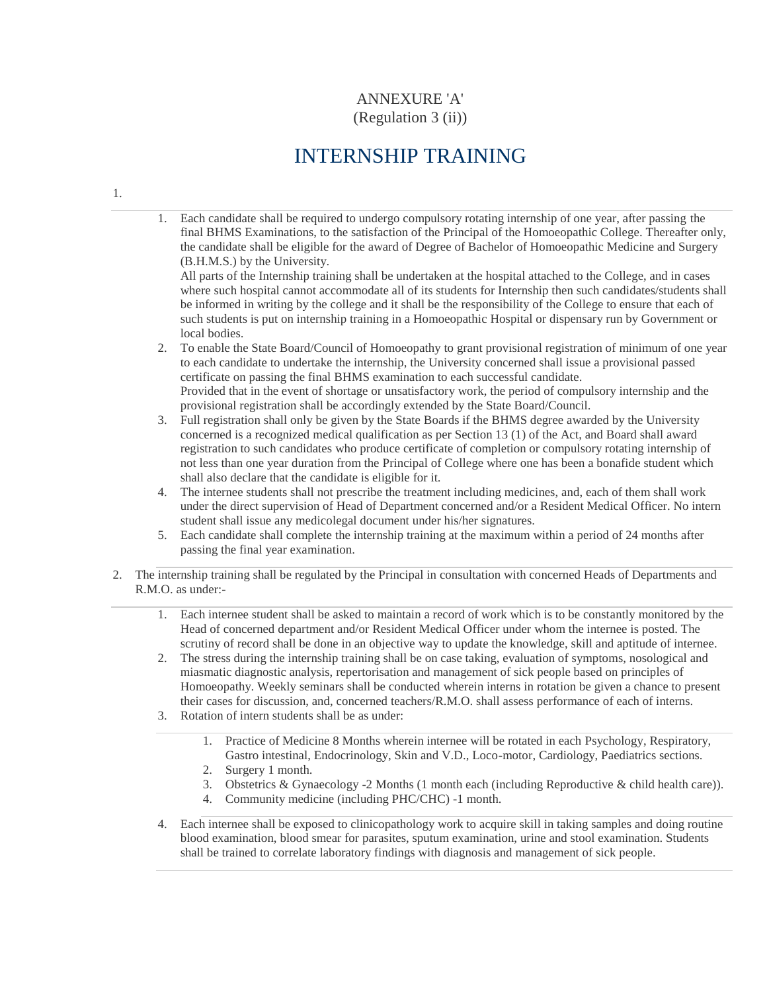# ANNEXURE 'A' (Regulation 3 (ii))

# INTERNSHIP TRAINING

1.

1. Each candidate shall be required to undergo compulsory rotating internship of one year, after passing the final BHMS Examinations, to the satisfaction of the Principal of the Homoeopathic College. Thereafter only, the candidate shall be eligible for the award of Degree of Bachelor of Homoeopathic Medicine and Surgery (B.H.M.S.) by the University.

All parts of the Internship training shall be undertaken at the hospital attached to the College, and in cases where such hospital cannot accommodate all of its students for Internship then such candidates/students shall be informed in writing by the college and it shall be the responsibility of the College to ensure that each of such students is put on internship training in a Homoeopathic Hospital or dispensary run by Government or local bodies.

2. To enable the State Board/Council of Homoeopathy to grant provisional registration of minimum of one year to each candidate to undertake the internship, the University concerned shall issue a provisional passed certificate on passing the final BHMS examination to each successful candidate. Provided that in the event of shortage or unsatisfactory work, the period of compulsory internship and the provisional registration shall be accordingly extended by the State Board/Council.

- 3. Full registration shall only be given by the State Boards if the BHMS degree awarded by the University concerned is a recognized medical qualification as per Section 13 (1) of the Act, and Board shall award registration to such candidates who produce certificate of completion or compulsory rotating internship of not less than one year duration from the Principal of College where one has been a bonafide student which shall also declare that the candidate is eligible for it.
- 4. The internee students shall not prescribe the treatment including medicines, and, each of them shall work under the direct supervision of Head of Department concerned and/or a Resident Medical Officer. No intern student shall issue any medicolegal document under his/her signatures.
- 5. Each candidate shall complete the internship training at the maximum within a period of 24 months after passing the final year examination.
- 2. The internship training shall be regulated by the Principal in consultation with concerned Heads of Departments and R.M.O. as under:-
	- 1. Each internee student shall be asked to maintain a record of work which is to be constantly monitored by the Head of concerned department and/or Resident Medical Officer under whom the internee is posted. The scrutiny of record shall be done in an objective way to update the knowledge, skill and aptitude of internee.
	- 2. The stress during the internship training shall be on case taking, evaluation of symptoms, nosological and miasmatic diagnostic analysis, repertorisation and management of sick people based on principles of Homoeopathy. Weekly seminars shall be conducted wherein interns in rotation be given a chance to present their cases for discussion, and, concerned teachers/R.M.O. shall assess performance of each of interns.
	- 3. Rotation of intern students shall be as under:
		- 1. Practice of Medicine 8 Months wherein internee will be rotated in each Psychology, Respiratory, Gastro intestinal, Endocrinology, Skin and V.D., Loco-motor, Cardiology, Paediatrics sections.
		- 2. Surgery 1 month.
		- 3. Obstetrics & Gynaecology -2 Months (1 month each (including Reproductive & child health care)).
		- 4. Community medicine (including PHC/CHC) -1 month.
	- 4. Each internee shall be exposed to clinicopathology work to acquire skill in taking samples and doing routine blood examination, blood smear for parasites, sputum examination, urine and stool examination. Students shall be trained to correlate laboratory findings with diagnosis and management of sick people.